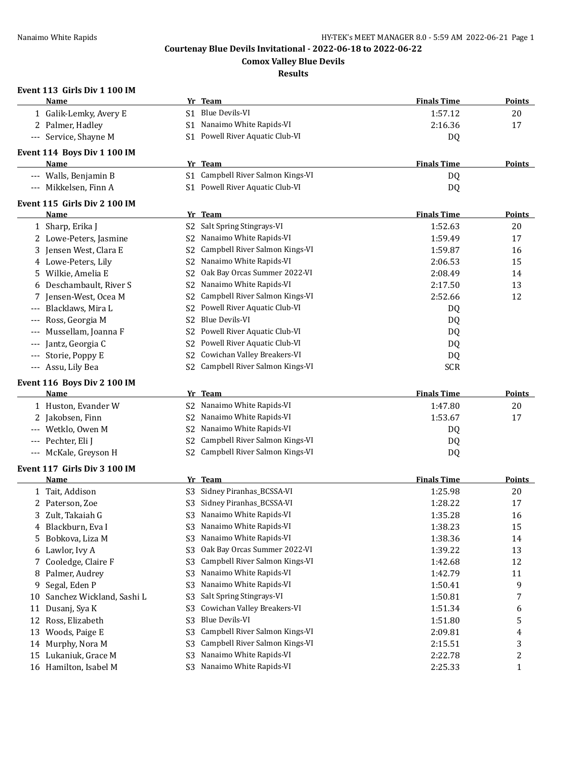**Comox Valley Blue Devils**

## **Results**

## **Event 113 Girls Div 1 100 IM**

|                                          | Name                                          |                                  | Yr Team                                            | <b>Finals Time</b> | Points            |
|------------------------------------------|-----------------------------------------------|----------------------------------|----------------------------------------------------|--------------------|-------------------|
|                                          | 1 Galik-Lemky, Avery E                        | S1.                              | Blue Devils-VI                                     | 1:57.12            | 20                |
|                                          | 2 Palmer, Hadley                              |                                  | S1 Nanaimo White Rapids-VI                         | 2:16.36            | 17                |
|                                          | --- Service, Shayne M                         |                                  | S1 Powell River Aquatic Club-VI                    | DQ                 |                   |
|                                          | Event 114 Boys Div 1 100 IM                   |                                  |                                                    |                    |                   |
|                                          | Name                                          |                                  | Yr Team                                            | <b>Finals Time</b> | <b>Points</b>     |
|                                          | --- Walls, Benjamin B                         |                                  | S1 Campbell River Salmon Kings-VI                  | DQ                 |                   |
|                                          | Mikkelsen, Finn A                             |                                  | S1 Powell River Aquatic Club-VI                    | DQ                 |                   |
|                                          | Event 115 Girls Div 2 100 IM                  |                                  |                                                    |                    |                   |
|                                          | Name                                          |                                  | Yr Team                                            | <b>Finals Time</b> | <b>Points</b>     |
|                                          | 1 Sharp, Erika J                              |                                  | S2 Salt Spring Stingrays-VI                        | 1:52.63            | 20                |
|                                          | 2 Lowe-Peters, Jasmine                        | S2                               | Nanaimo White Rapids-VI                            | 1:59.49            | 17                |
|                                          | 3 Jensen West, Clara E                        | S2                               | Campbell River Salmon Kings-VI                     | 1:59.87            | 16                |
|                                          | 4 Lowe-Peters, Lily                           | S <sub>2</sub>                   | Nanaimo White Rapids-VI                            | 2:06.53            | 15                |
|                                          | 5 Wilkie, Amelia E                            | S2                               | Oak Bay Orcas Summer 2022-VI                       | 2:08.49            | 14                |
| 6                                        | Deschambault, River S                         | S2                               | Nanaimo White Rapids-VI                            | 2:17.50            | 13                |
|                                          | Jensen-West, Ocea M                           | S <sub>2</sub>                   | Campbell River Salmon Kings-VI                     | 2:52.66            | 12                |
|                                          | Blacklaws, Mira L                             | S2                               | Powell River Aquatic Club-VI                       | DQ                 |                   |
|                                          | Ross, Georgia M                               | S <sub>2</sub>                   | <b>Blue Devils-VI</b>                              | DQ                 |                   |
|                                          | Mussellam, Joanna F                           | S2                               | Powell River Aquatic Club-VI                       | DQ                 |                   |
|                                          | Jantz, Georgia C                              | S2                               | Powell River Aquatic Club-VI                       | DQ                 |                   |
|                                          | Storie, Poppy E                               | S <sub>2</sub>                   | Cowichan Valley Breakers-VI                        | DQ                 |                   |
| $\hspace{0.05cm} \ldots \hspace{0.05cm}$ | Assu, Lily Bea                                |                                  | S2 Campbell River Salmon Kings-VI                  | <b>SCR</b>         |                   |
|                                          |                                               |                                  |                                                    |                    |                   |
|                                          | Event 116 Boys Div 2 100 IM                   |                                  | Yr Team                                            | <b>Finals Time</b> | <b>Points</b>     |
|                                          | Name<br>1 Huston, Evander W                   |                                  | S2 Nanaimo White Rapids-VI                         | 1:47.80            | 20                |
|                                          | Jakobsen, Finn                                | S2                               | Nanaimo White Rapids-VI                            | 1:53.67            | 17                |
|                                          | Wetklo, Owen M                                | S2                               | Nanaimo White Rapids-VI                            | DQ                 |                   |
| $---$                                    | Pechter, Eli J                                | S2                               | Campbell River Salmon Kings-VI                     | DQ                 |                   |
| $\qquad \qquad - -$                      | McKale, Greyson H                             |                                  | S2 Campbell River Salmon Kings-VI                  | DQ                 |                   |
|                                          |                                               |                                  |                                                    |                    |                   |
|                                          | Event 117 Girls Div 3 100 IM                  |                                  |                                                    |                    |                   |
|                                          | Name                                          |                                  | Yr Team                                            | <b>Finals Time</b> | Points            |
|                                          | 1 Tait, Addison                               |                                  | S3 Sidney Piranhas_BCSSA-VI                        | 1:25.98            | 20                |
|                                          | 2 Paterson, Zoe                               |                                  | S3 Sidney Piranhas_BCSSA-VI                        | 1:28.22            | 17                |
|                                          | 3 Zult, Takaiah G                             |                                  | S3 Nanaimo White Rapids-VI                         | 1:35.28            | 16                |
| 4                                        | Blackburn, Eva I                              |                                  | Nanaimo White Rapids-VI                            | 1:38.23            | 15                |
| 5.                                       | Bobkova, Liza M                               | S3                               | Nanaimo White Rapids-VI                            | 1:38.36            | 14                |
|                                          | 6 Lawlor, Ivy A                               | S <sub>3</sub>                   | Oak Bay Orcas Summer 2022-VI                       | 1:39.22            | 13                |
| 7                                        | Cooledge, Claire F                            | S <sub>3</sub>                   | Campbell River Salmon Kings-VI                     | 1:42.68            | 12                |
| 8                                        | Palmer, Audrey                                | S <sub>3</sub>                   | Nanaimo White Rapids-VI                            | 1:42.79            | 11                |
| 9                                        | Segal, Eden P                                 | S <sub>3</sub>                   | Nanaimo White Rapids-VI                            | 1:50.41            | 9                 |
|                                          |                                               |                                  |                                                    |                    |                   |
| 10                                       | Sanchez Wickland, Sashi L                     | S <sub>3</sub>                   | Salt Spring Stingrays-VI                           | 1:50.81            | 7                 |
| 11                                       | Dusanj, Sya K                                 | S <sub>3</sub>                   | Cowichan Valley Breakers-VI                        | 1:51.34            | 6                 |
|                                          | 12 Ross, Elizabeth                            | S <sub>3</sub>                   | <b>Blue Devils-VI</b>                              | 1:51.80            | 5                 |
| 13                                       | Woods, Paige E                                | S <sub>3</sub>                   | Campbell River Salmon Kings-VI                     | 2:09.81            | 4                 |
| 14                                       | Murphy, Nora M                                | S <sub>3</sub>                   | Campbell River Salmon Kings-VI                     | 2:15.51            | 3                 |
|                                          | 15 Lukaniuk, Grace M<br>16 Hamilton, Isabel M | S <sub>3</sub><br>S <sub>3</sub> | Nanaimo White Rapids-VI<br>Nanaimo White Rapids-VI | 2:22.78<br>2:25.33 | 2<br>$\mathbf{1}$ |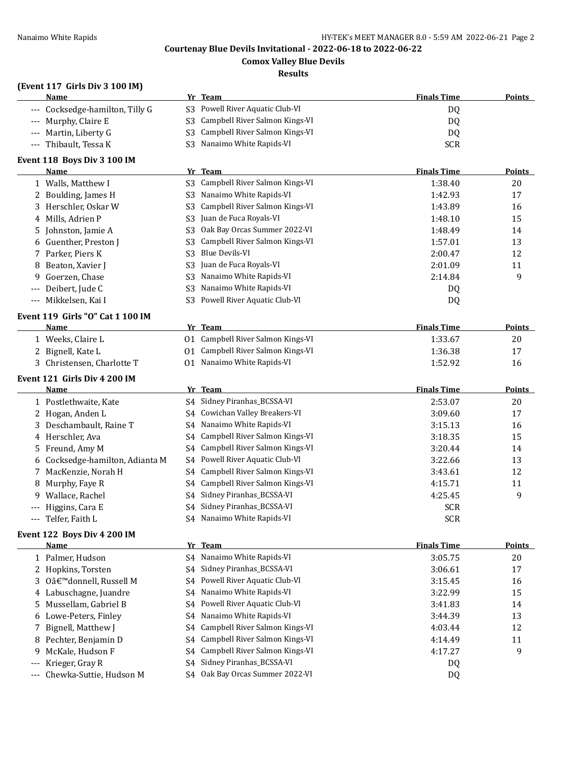**Comox Valley Blue Devils**

## **Results**

## **(Event 117 Girls Div 3 100 IM)**

|       | (EVEIL 117 GIFTS DIV 3 TOO IM)<br><u>Name</u> |                | Yr Team                           | <b>Finals Time</b> | <b>Points</b> |
|-------|-----------------------------------------------|----------------|-----------------------------------|--------------------|---------------|
|       | --- Cocksedge-hamilton, Tilly G               | S3             | Powell River Aquatic Club-VI      | DQ                 |               |
|       | --- Murphy, Claire E                          | S <sub>3</sub> | Campbell River Salmon Kings-VI    | DQ                 |               |
|       | Martin, Liberty G                             | S <sub>3</sub> | Campbell River Salmon Kings-VI    | DQ                 |               |
| $---$ | Thibault, Tessa K                             | S <sub>3</sub> | Nanaimo White Rapids-VI           | <b>SCR</b>         |               |
|       | Event 118 Boys Div 3 100 IM                   |                |                                   |                    |               |
|       | Name                                          |                | Yr Team                           | <b>Finals Time</b> | <b>Points</b> |
|       | 1 Walls, Matthew I                            | S3             | Campbell River Salmon Kings-VI    | 1:38.40            | 20            |
|       | 2 Boulding, James H                           | S <sub>3</sub> | Nanaimo White Rapids-VI           | 1:42.93            | 17            |
| 3     | Herschler, Oskar W                            | S <sub>3</sub> | Campbell River Salmon Kings-VI    | 1:43.89            | 16            |
| 4     | Mills, Adrien P                               | S <sub>3</sub> | Juan de Fuca Royals-VI            | 1:48.10            | 15            |
| 5     | Johnston, Jamie A                             | S3             | Oak Bay Orcas Summer 2022-VI      | 1:48.49            | 14            |
|       | Guenther, Preston J                           | S3             | Campbell River Salmon Kings-VI    | 1:57.01            | 13            |
| 7     | Parker, Piers K                               | S <sub>3</sub> | <b>Blue Devils-VI</b>             | 2:00.47            | 12            |
| 8     | Beaton, Xavier J                              | S <sub>3</sub> | Juan de Fuca Royals-VI            | 2:01.09            | 11            |
| 9     | Goerzen, Chase                                | S <sub>3</sub> | Nanaimo White Rapids-VI           | 2:14.84            | 9             |
|       | Deibert, Jude C                               | S <sub>3</sub> | Nanaimo White Rapids-VI           | DQ                 |               |
|       | Mikkelsen, Kai I                              | S3             | Powell River Aquatic Club-VI      | DQ                 |               |
|       |                                               |                |                                   |                    |               |
|       | Event 119 Girls "O" Cat 1 100 IM              |                |                                   |                    |               |
|       | <u>Name</u>                                   |                | Yr Team                           | <b>Finals Time</b> | <b>Points</b> |
|       | 1 Weeks, Claire L                             |                | 01 Campbell River Salmon Kings-VI | 1:33.67            | 20            |
| 2     | Bignell, Kate L                               |                | 01 Campbell River Salmon Kings-VI | 1:36.38            | 17            |
| 3     | Christensen, Charlotte T                      |                | 01 Nanaimo White Rapids-VI        | 1:52.92            | 16            |
|       | Event 121 Girls Div 4 200 IM                  |                |                                   |                    |               |
|       | Name                                          |                | Yr Team                           | <b>Finals Time</b> | <b>Points</b> |
|       | 1 Postlethwaite, Kate                         | S4             | Sidney Piranhas_BCSSA-VI          | 2:53.07            | 20            |
|       | 2 Hogan, Anden L                              | S4             | Cowichan Valley Breakers-VI       | 3:09.60            | 17            |
| 3     | Deschambault, Raine T                         | S4             | Nanaimo White Rapids-VI           | 3:15.13            | 16            |
| 4     | Herschler, Ava                                | S4             | Campbell River Salmon Kings-VI    | 3:18.35            | 15            |
| 5     | Freund, Amy M                                 | S4             | Campbell River Salmon Kings-VI    | 3:20.44            | 14            |
|       | Cocksedge-hamilton, Adianta M                 | S4             | Powell River Aquatic Club-VI      | 3:22.66            | 13            |
| 7     | MacKenzie, Norah H                            | S4             | Campbell River Salmon Kings-VI    | 3:43.61            | 12            |
| 8     | Murphy, Faye R                                | S4             | Campbell River Salmon Kings-VI    | 4:15.71            | 11            |
|       | 9 Wallace, Rachel                             | S4             | Sidney Piranhas_BCSSA-VI          | 4:25.45            | 9             |
|       | Higgins, Cara E                               |                | S4 Sidney Piranhas_BCSSA-VI       | <b>SCR</b>         |               |
|       | Telfer, Faith L                               |                | S4 Nanaimo White Rapids-VI        | <b>SCR</b>         |               |
|       | Event 122 Boys Div 4 200 IM                   |                |                                   |                    |               |
|       | <b>Name</b>                                   |                | Yr Team                           | <b>Finals Time</b> | <b>Points</b> |
|       | 1 Palmer, Hudson                              | S4             | Nanaimo White Rapids-VI           | 3:05.75            | $20\,$        |
|       | 2 Hopkins, Torsten                            | S4             | Sidney Piranhas_BCSSA-VI          | 3:06.61            | 17            |
| 3     | O'donnell, Russell M                          | S4             | Powell River Aquatic Club-VI      | 3:15.45            | 16            |
| 4     | Labuschagne, Juandre                          | S4             | Nanaimo White Rapids-VI           | 3:22.99            | 15            |
| 5     | Mussellam, Gabriel B                          | S4             | Powell River Aquatic Club-VI      | 3:41.83            | 14            |
| 6     | Lowe-Peters, Finley                           | S4             | Nanaimo White Rapids-VI           | 3:44.39            | 13            |
| 7     | Bignell, Matthew J                            | S <sub>4</sub> | Campbell River Salmon Kings-VI    | 4:03.44            | 12            |
| 8     | Pechter, Benjamin D                           | S4             | Campbell River Salmon Kings-VI    | 4:14.49            | 11            |
| 9     | McKale, Hudson F                              | S4             | Campbell River Salmon Kings-VI    | 4:17.27            | 9             |
| $---$ | Krieger, Gray R                               | S4             | Sidney Piranhas_BCSSA-VI          | DQ                 |               |
| $---$ | Chewka-Suttie, Hudson M                       | S4             | Oak Bay Orcas Summer 2022-VI      | <b>DQ</b>          |               |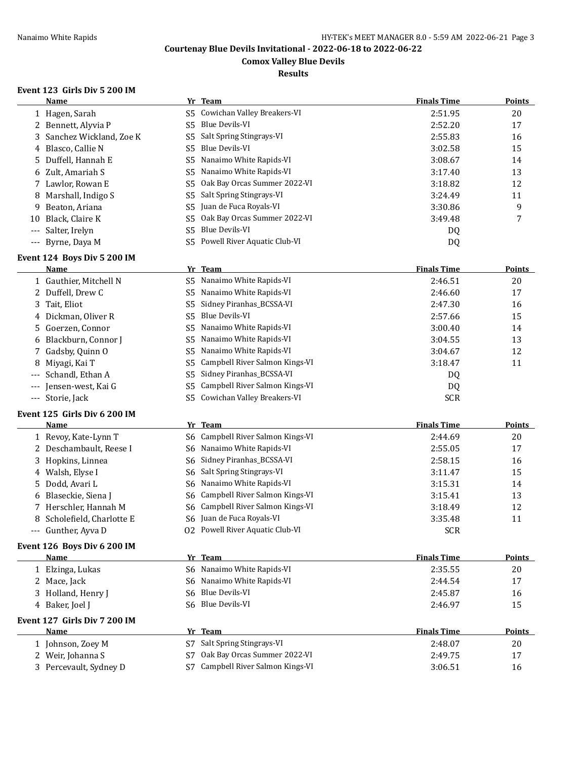**Comox Valley Blue Devils**

**Results**

## **Event 123 Girls Div 5 200 IM**

|       | Name                                   |                | Yr Team                         | <b>Finals Time</b> | <b>Points</b> |
|-------|----------------------------------------|----------------|---------------------------------|--------------------|---------------|
|       | 1 Hagen, Sarah                         | S5.            | Cowichan Valley Breakers-VI     | 2:51.95            | 20            |
|       | 2 Bennett, Alyvia P                    | S <sub>5</sub> | <b>Blue Devils-VI</b>           | 2:52.20            | 17            |
| 3     | Sanchez Wickland, Zoe K                | S5             | Salt Spring Stingrays-VI        | 2:55.83            | 16            |
| 4     | Blasco, Callie N                       | S5             | <b>Blue Devils-VI</b>           | 3:02.58            | 15            |
| 5.    | Duffell, Hannah E                      | S <sub>5</sub> | Nanaimo White Rapids-VI         | 3:08.67            | 14            |
| 6     | Zult, Amariah S                        | S5             | Nanaimo White Rapids-VI         | 3:17.40            | 13            |
| 7     | Lawlor, Rowan E                        | S5             | Oak Bay Orcas Summer 2022-VI    | 3:18.82            | 12            |
| 8     | Marshall, Indigo S                     | S5             | Salt Spring Stingrays-VI        | 3:24.49            | 11            |
| 9     | Beaton, Ariana                         | S5             | Juan de Fuca Royals-VI          | 3:30.86            | 9             |
| 10    | Black, Claire K                        | S5             | Oak Bay Orcas Summer 2022-VI    | 3:49.48            | 7             |
| $---$ | Salter, Irelyn                         | S5             | <b>Blue Devils-VI</b>           | DQ                 |               |
| $---$ | Byrne, Daya M                          |                | S5 Powell River Aquatic Club-VI | DQ                 |               |
|       | Event 124 Boys Div 5 200 IM            |                |                                 |                    |               |
|       | Name                                   | Yr             | <b>Team</b>                     | <b>Finals Time</b> | Points        |
|       | 1 Gauthier, Mitchell N                 | S <sub>5</sub> | Nanaimo White Rapids-VI         | 2:46.51            | 20            |
|       | 2 Duffell, Drew C                      | S5             | Nanaimo White Rapids-VI         | 2:46.60            | 17            |
| 3     | Tait, Eliot                            | S5             | Sidney Piranhas_BCSSA-VI        | 2:47.30            | 16            |
|       | Dickman, Oliver R                      | S5             | <b>Blue Devils-VI</b>           | 2:57.66            | 15            |
| 4     | Goerzen, Connor                        | S5             | Nanaimo White Rapids-VI         | 3:00.40            | 14            |
| 5     |                                        | S5             | Nanaimo White Rapids-VI         |                    |               |
| 6     | Blackburn, Connor J<br>Gadsby, Quinn O |                |                                 | 3:04.55            | 13            |
| 7.    |                                        | S5             | Nanaimo White Rapids-VI         | 3:04.67            | 12            |
| 8     | Miyagi, Kai T                          | S5             | Campbell River Salmon Kings-VI  | 3:18.47            | 11            |
| $---$ | Schandl, Ethan A                       | S5             | Sidney Piranhas_BCSSA-VI        | DQ                 |               |
| $---$ | Jensen-west, Kai G                     | S5             | Campbell River Salmon Kings-VI  | DQ                 |               |
|       | --- Storie, Jack                       | S5.            | Cowichan Valley Breakers-VI     | <b>SCR</b>         |               |
|       | Event 125 Girls Div 6 200 IM           |                |                                 |                    |               |
|       | Name                                   | Yr             | Team                            | <b>Finals Time</b> | <b>Points</b> |
|       | 1 Revoy, Kate-Lynn T                   | S6             | Campbell River Salmon Kings-VI  | 2:44.69            | 20            |
|       | 2 Deschambault, Reese I                | S6             | Nanaimo White Rapids-VI         | 2:55.05            | 17            |
|       | 3 Hopkins, Linnea                      | S6             | Sidney Piranhas_BCSSA-VI        | 2:58.15            | 16            |
|       | 4 Walsh, Elyse I                       | S6             | Salt Spring Stingrays-VI        | 3:11.47            | 15            |
| 5     | Dodd, Avari L                          | S6             | Nanaimo White Rapids-VI         | 3:15.31            | 14            |
| 6     | Blaseckie, Siena J                     | S6             | Campbell River Salmon Kings-VI  | 3:15.41            | 13            |
| 7     | Herschler, Hannah M                    | S6             | Campbell River Salmon Kings-VI  | 3:18.49            | 12            |
| 8     | Scholefield, Charlotte E               | S6             | Juan de Fuca Royals-VI          | 3:35.48            | 11            |
|       | --- Gunther, Ayva D                    |                | 02 Powell River Aquatic Club-VI | <b>SCR</b>         |               |
|       | Event 126 Boys Div 6 200 IM            |                |                                 |                    |               |
|       | <b>Name</b>                            |                | Yr Team                         | <b>Finals Time</b> | <b>Points</b> |
|       | 1 Elzinga, Lukas                       | S6.            | Nanaimo White Rapids-VI         | 2:35.55            | 20            |
|       | 2 Mace, Jack                           | S6             | Nanaimo White Rapids-VI         | 2:44.54            | 17            |
|       | 3 Holland, Henry J                     | S6             | Blue Devils-VI                  | 2:45.87            | 16            |
|       | 4 Baker, Joel J                        |                | S6 Blue Devils-VI               | 2:46.97            | 15            |
|       | Event 127 Girls Div 7 200 IM           |                |                                 |                    |               |
|       | Name                                   |                | Yr Team                         | <b>Finals Time</b> | <b>Points</b> |
|       | 1 Johnson, Zoey M                      | S7             | Salt Spring Stingrays-VI        | 2:48.07            | 20            |
| 2     | Weir, Johanna S                        | S7             | Oak Bay Orcas Summer 2022-VI    | 2:49.75            | 17            |
|       | 3 Percevault, Sydney D                 | S7             | Campbell River Salmon Kings-VI  | 3:06.51            | 16            |
|       |                                        |                |                                 |                    |               |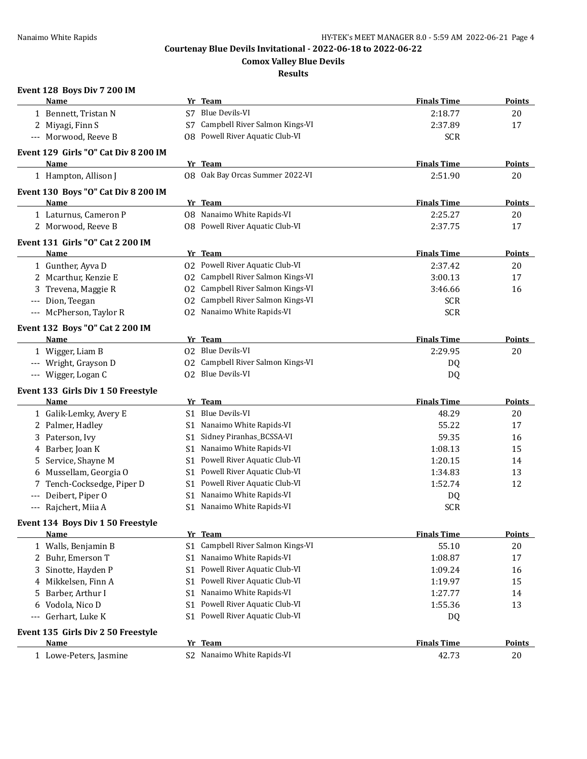**Comox Valley Blue Devils**

**Results**

## **Event 128 Boys Div 7 200 IM**

|       | <b>Name</b>                          |                | Yr Team                           | <b>Finals Time</b> | <b>Points</b> |
|-------|--------------------------------------|----------------|-----------------------------------|--------------------|---------------|
|       | 1 Bennett, Tristan N                 |                | S7 Blue Devils-VI                 | 2:18.77            | 20            |
|       | 2 Miyagi, Finn S                     |                | S7 Campbell River Salmon Kings-VI | 2:37.89            | 17            |
|       | --- Morwood, Reeve B                 |                | 08 Powell River Aquatic Club-VI   | <b>SCR</b>         |               |
|       | Event 129 Girls "O" Cat Div 8 200 IM |                |                                   |                    |               |
|       | <b>Name</b>                          |                | Yr Team                           | <b>Finals Time</b> | Points        |
|       | 1 Hampton, Allison J                 |                | 08 Oak Bay Orcas Summer 2022-VI   | 2:51.90            | 20            |
|       | Event 130 Boys "O" Cat Div 8 200 IM  |                |                                   |                    |               |
|       | Name                                 |                | Yr Team                           | <b>Finals Time</b> | Points        |
|       | 1 Laturnus, Cameron P                |                | 08 Nanaimo White Rapids-VI        | 2:25.27            | 20            |
|       | 2 Morwood, Reeve B                   |                | 08 Powell River Aquatic Club-VI   | 2:37.75            | 17            |
|       | Event 131 Girls "O" Cat 2 200 IM     |                |                                   |                    |               |
|       | Name                                 |                | Yr Team                           | <b>Finals Time</b> | Points        |
|       | 1 Gunther, Ayva D                    |                | 02 Powell River Aquatic Club-VI   | 2:37.42            | 20            |
|       | 2 Mcarthur, Kenzie E                 |                | 02 Campbell River Salmon Kings-VI | 3:00.13            | 17            |
|       | 3 Trevena, Maggie R                  |                | 02 Campbell River Salmon Kings-VI | 3:46.66            | 16            |
|       | --- Dion, Teegan                     |                | 02 Campbell River Salmon Kings-VI | <b>SCR</b>         |               |
|       | --- McPherson, Taylor R              |                | 02 Nanaimo White Rapids-VI        | <b>SCR</b>         |               |
|       | Event 132 Boys "O" Cat 2 200 IM      |                |                                   |                    |               |
|       | Name                                 |                | Yr Team                           | <b>Finals Time</b> | Points        |
|       | 1 Wigger, Liam B                     |                | 02 Blue Devils-VI                 | 2:29.95            | 20            |
|       | --- Wright, Grayson D                |                | 02 Campbell River Salmon Kings-VI | DQ.                |               |
|       | --- Wigger, Logan C                  |                | 02 Blue Devils-VI                 | DQ                 |               |
|       | Event 133 Girls Div 1 50 Freestyle   |                |                                   |                    |               |
|       | Name                                 |                | Yr Team                           | <b>Finals Time</b> | Points        |
|       | 1 Galik-Lemky, Avery E               | S1.            | Blue Devils-VI                    | 48.29              | 20            |
|       | 2 Palmer, Hadley                     | S1             | Nanaimo White Rapids-VI           | 55.22              | 17            |
| 3     | Paterson, Ivy                        | S1             | Sidney Piranhas_BCSSA-VI          | 59.35              | 16            |
|       | 4 Barber, Joan K                     | S1             | Nanaimo White Rapids-VI           | 1:08.13            | 15            |
| 5     | Service, Shayne M                    | S1             | Powell River Aquatic Club-VI      | 1:20.15            | 14            |
| 6     | Mussellam, Georgia O                 | S1             | Powell River Aquatic Club-VI      | 1:34.83            | 13            |
| 7     | Tench-Cocksedge, Piper D             | S1             | Powell River Aquatic Club-VI      | 1:52.74            | 12            |
| $---$ | Deibert, Piper O                     | S1             | Nanaimo White Rapids-VI           | DQ                 |               |
|       | --- Rajchert, Miia A                 |                | S1 Nanaimo White Rapids-VI        | <b>SCR</b>         |               |
|       | Event 134 Boys Div 1 50 Freestyle    |                |                                   |                    |               |
|       | <b>Name</b>                          |                | Yr Team                           | <b>Finals Time</b> | Points        |
|       | 1 Walls, Benjamin B                  | S <sub>1</sub> | Campbell River Salmon Kings-VI    | 55.10              | 20            |
| 2     | Buhr, Emerson T                      | S1             | Nanaimo White Rapids-VI           | 1:08.87            | 17            |
| 3     | Sinotte, Hayden P                    | S1             | Powell River Aquatic Club-VI      | 1:09.24            | 16            |
| 4     | Mikkelsen, Finn A                    | S1             | Powell River Aquatic Club-VI      | 1:19.97            | 15            |
| 5     | Barber, Arthur I                     | S1             | Nanaimo White Rapids-VI           | 1:27.77            | 14            |
| 6     | Vodola, Nico D                       | S1             | Powell River Aquatic Club-VI      | 1:55.36            | 13            |
|       | --- Gerhart, Luke K                  | S1             | Powell River Aquatic Club-VI      | DQ                 |               |
|       | Event 135 Girls Div 2 50 Freestyle   |                |                                   |                    |               |
|       | Name                                 |                | Yr Team                           | <b>Finals Time</b> | <b>Points</b> |
|       | 1 Lowe-Peters, Jasmine               |                | S2 Nanaimo White Rapids-VI        | 42.73              | 20            |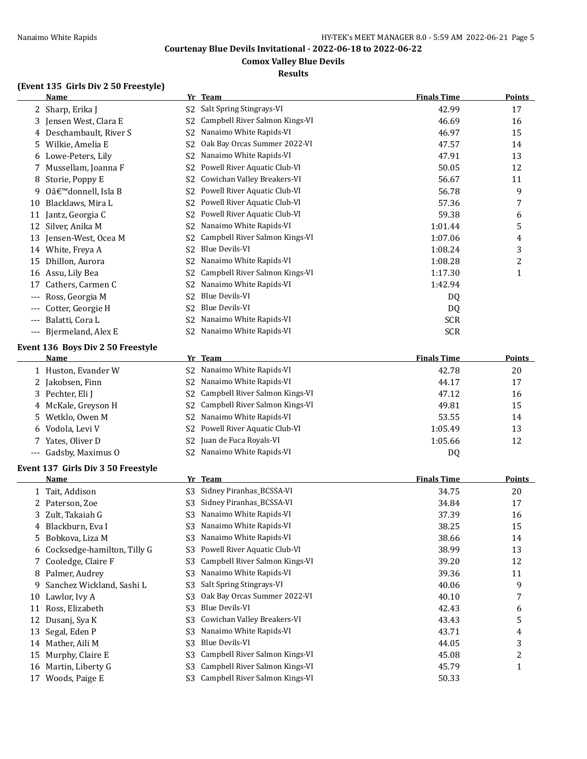## **Comox Valley Blue Devils**

## **Results**

# **(Event 135 Girls Div 2 50 Freestyle)**

|                   | <b>Name</b>                               |                | Yr Team                                                   | <b>Finals Time</b> | <b>Points</b>  |
|-------------------|-------------------------------------------|----------------|-----------------------------------------------------------|--------------------|----------------|
|                   | 2 Sharp, Erika J                          | S <sub>2</sub> | Salt Spring Stingrays-VI                                  | 42.99              | 17             |
|                   | 3 Jensen West, Clara E                    | S <sub>2</sub> | Campbell River Salmon Kings-VI                            | 46.69              | 16             |
| 4                 | Deschambault, River S                     | S <sub>2</sub> | Nanaimo White Rapids-VI                                   | 46.97              | 15             |
| 5.                | Wilkie, Amelia E                          | S <sub>2</sub> | Oak Bay Orcas Summer 2022-VI                              | 47.57              | 14             |
| 6                 | Lowe-Peters, Lily                         | S <sub>2</sub> | Nanaimo White Rapids-VI                                   | 47.91              | 13             |
| 7                 | Mussellam, Joanna F                       | S <sub>2</sub> | Powell River Aquatic Club-VI                              | 50.05              | 12             |
| 8                 | Storie, Poppy E                           | S2             | Cowichan Valley Breakers-VI                               | 56.67              | 11             |
| 9                 | O'donnell, Isla B                         | S <sub>2</sub> | Powell River Aquatic Club-VI                              | 56.78              | 9              |
| 10                | Blacklaws, Mira L                         | S <sub>2</sub> | Powell River Aquatic Club-VI                              | 57.36              | 7              |
|                   | 11 Jantz, Georgia C                       | S <sub>2</sub> | Powell River Aquatic Club-VI                              | 59.38              | 6              |
|                   | 12 Silver, Anika M                        | S <sub>2</sub> | Nanaimo White Rapids-VI                                   | 1:01.44            | 5              |
|                   | 13 Jensen-West, Ocea M                    | S <sub>2</sub> | Campbell River Salmon Kings-VI                            | 1:07.06            | 4              |
|                   | 14 White, Freya A                         | S <sub>2</sub> | <b>Blue Devils-VI</b>                                     | 1:08.24            | 3              |
| 15                | Dhillon, Aurora                           | S <sub>2</sub> | Nanaimo White Rapids-VI                                   | 1:08.28            | $\overline{c}$ |
| 16                | Assu, Lily Bea                            | S <sub>2</sub> | Campbell River Salmon Kings-VI                            | 1:17.30            | 1              |
| 17                | Cathers, Carmen C                         | S <sub>2</sub> | Nanaimo White Rapids-VI                                   | 1:42.94            |                |
|                   | Ross, Georgia M                           | S <sub>2</sub> | <b>Blue Devils-VI</b>                                     | DQ                 |                |
|                   | Cotter, Georgie H                         | S <sub>2</sub> | <b>Blue Devils-VI</b>                                     | DQ                 |                |
| ---               | Balatti, Cora L                           | S2             | Nanaimo White Rapids-VI                                   | <b>SCR</b>         |                |
| $---$             | Bjermeland, Alex E                        | S2             | Nanaimo White Rapids-VI                                   | <b>SCR</b>         |                |
|                   |                                           |                |                                                           |                    |                |
|                   | Event 136 Boys Div 2 50 Freestyle<br>Name |                | Yr Team                                                   | <b>Finals Time</b> | <b>Points</b>  |
|                   |                                           |                | Nanaimo White Rapids-VI                                   |                    |                |
|                   | 1 Huston, Evander W                       | S <sub>2</sub> |                                                           | 42.78              | 20             |
| 2                 | Jakobsen, Finn                            | S <sub>2</sub> | Nanaimo White Rapids-VI<br>Campbell River Salmon Kings-VI | 44.17              | 17             |
| 3.                | Pechter, Eli J                            | S <sub>2</sub> |                                                           | 47.12              | 16             |
| 4                 | McKale, Greyson H                         | S <sub>2</sub> | Campbell River Salmon Kings-VI                            | 49.81              | 15             |
| 5                 | Wetklo, Owen M                            | S <sub>2</sub> | Nanaimo White Rapids-VI                                   | 53.55              | 14             |
| 6                 | Vodola, Levi V                            | S <sub>2</sub> | Powell River Aquatic Club-VI                              | 1:05.49            | 13             |
|                   | Yates, Oliver D                           | S <sub>2</sub> | Juan de Fuca Royals-VI                                    | 1:05.66            | 12             |
| $\qquad \qquad -$ | Gadsby, Maximus O                         | S <sub>2</sub> | Nanaimo White Rapids-VI                                   | DQ                 |                |
|                   | Event 137 Girls Div 3 50 Freestyle        |                |                                                           |                    |                |
|                   | Name                                      |                | Yr Team                                                   | <b>Finals Time</b> | <b>Points</b>  |
|                   | 1 Tait, Addison                           | S <sub>3</sub> | Sidney Piranhas_BCSSA-VI                                  | 34.75              | 20             |
| 2                 | Paterson, Zoe                             | S <sub>3</sub> | Sidney Piranhas_BCSSA-VI                                  | 34.84              | 17             |
|                   | 3 Zult, Takaiah G                         | S3             | Nanaimo White Rapids-VI                                   | 37.39              | 16             |
| 4                 | Blackburn, Eva I                          | S3             | Nanaimo White Rapids-VI                                   | 38.25              | 15             |
| 5                 | Bobkova, Liza M                           | S <sub>3</sub> | Nanaimo White Rapids-VI                                   | 38.66              | 14             |
| 6                 | Cocksedge-hamilton, Tilly G               | S <sub>3</sub> | Powell River Aquatic Club-VI                              | 38.99              | 13             |
| 7                 | Cooledge, Claire F                        | S <sub>3</sub> | Campbell River Salmon Kings-VI                            | 39.20              | 12             |
| 8                 | Palmer, Audrey                            | S <sub>3</sub> | Nanaimo White Rapids-VI                                   | 39.36              | 11             |
| 9                 | Sanchez Wickland, Sashi L                 | S3             | Salt Spring Stingrays-VI                                  | 40.06              | 9              |
| 10                | Lawlor, Ivy A                             | S <sub>3</sub> | Oak Bay Orcas Summer 2022-VI                              | 40.10              | 7              |
| 11                | Ross, Elizabeth                           | S <sub>3</sub> | <b>Blue Devils-VI</b>                                     | 42.43              | 6              |
| 12                | Dusanj, Sya K                             | S <sub>3</sub> | Cowichan Valley Breakers-VI                               | 43.43              | 5              |
| 13                | Segal, Eden P                             | S3             | Nanaimo White Rapids-VI                                   | 43.71              | 4              |
| 14                | Mather, Aili M                            | S <sub>3</sub> | <b>Blue Devils-VI</b>                                     | 44.05              | 3              |
| 15                | Murphy, Claire E                          | S3             | Campbell River Salmon Kings-VI                            | 45.08              | 2              |
| 16                | Martin, Liberty G                         | S <sub>3</sub> | Campbell River Salmon Kings-VI                            | 45.79              | $\mathbf{1}$   |
|                   | 17 Woods, Paige E                         | S <sub>3</sub> | Campbell River Salmon Kings-VI                            | 50.33              |                |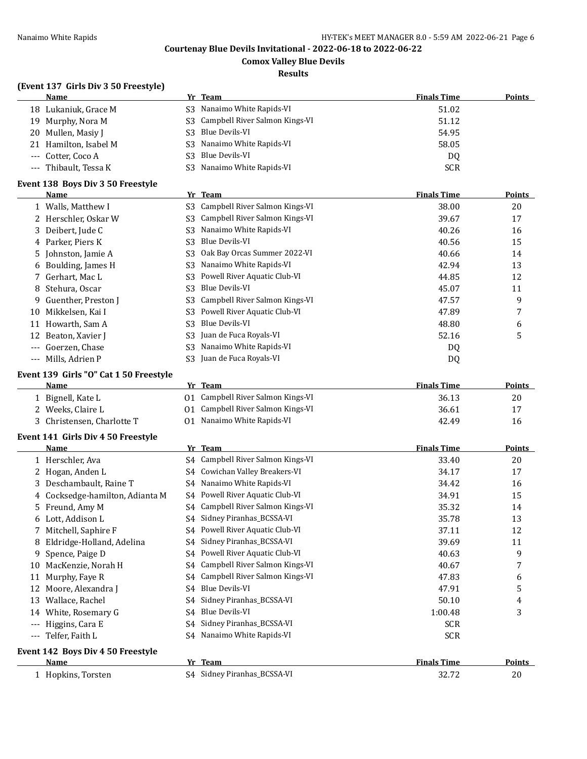**Comox Valley Blue Devils**

#### **Results**

## **(Event 137 Girls Div 3 50 Freestyle)**

|       | <b>Name</b>                            |                | Yr Team                                     | <b>Finals Time</b> | <b>Points</b>  |
|-------|----------------------------------------|----------------|---------------------------------------------|--------------------|----------------|
|       | 18 Lukaniuk, Grace M                   | S3             | Nanaimo White Rapids-VI                     | 51.02              |                |
| 19    | Murphy, Nora M                         | S <sub>3</sub> | Campbell River Salmon Kings-VI              | 51.12              |                |
| 20    | Mullen, Masiy J                        | S <sub>3</sub> | <b>Blue Devils-VI</b>                       | 54.95              |                |
| 21    | Hamilton, Isabel M                     | S <sub>3</sub> | Nanaimo White Rapids-VI                     | 58.05              |                |
| ---   | Cotter, Coco A                         | S <sub>3</sub> | <b>Blue Devils-VI</b>                       | D <sub>0</sub>     |                |
| ---   | Thibault, Tessa K                      | S <sub>3</sub> | Nanaimo White Rapids-VI                     | <b>SCR</b>         |                |
|       | Event 138 Boys Div 3 50 Freestyle      |                |                                             |                    |                |
|       | <b>Name</b>                            |                | Yr Team                                     | <b>Finals Time</b> | <b>Points</b>  |
|       | 1 Walls, Matthew I                     | S <sub>3</sub> | Campbell River Salmon Kings-VI              | 38.00              | 20             |
|       | 2 Herschler, Oskar W                   | S <sub>3</sub> | Campbell River Salmon Kings-VI              | 39.67              | 17             |
| 3     | Deibert, Jude C                        | S <sub>3</sub> | Nanaimo White Rapids-VI                     | 40.26              | 16             |
| 4     | Parker, Piers K                        | S <sub>3</sub> | <b>Blue Devils-VI</b>                       | 40.56              | 15             |
| 5     | Johnston, Jamie A                      | S <sub>3</sub> | Oak Bay Orcas Summer 2022-VI                | 40.66              | 14             |
| 6     | Boulding, James H                      | S <sub>3</sub> | Nanaimo White Rapids-VI                     | 42.94              | 13             |
|       | Gerhart, Mac L                         | S <sub>3</sub> | Powell River Aquatic Club-VI                | 44.85              | 12             |
| 8     | Stehura, Oscar                         | S <sub>3</sub> | <b>Blue Devils-VI</b>                       | 45.07              | 11             |
| 9     | Guenther, Preston J                    | S <sub>3</sub> | Campbell River Salmon Kings-VI              | 47.57              | 9              |
| 10    | Mikkelsen, Kai I                       | S <sub>3</sub> | Powell River Aquatic Club-VI                | 47.89              | 7              |
| 11    | Howarth, Sam A                         | S <sub>3</sub> | <b>Blue Devils-VI</b>                       | 48.80              | 6              |
| 12    | Beaton, Xavier J                       | S <sub>3</sub> | Juan de Fuca Royals-VI                      | 52.16              | 5              |
| $---$ | Goerzen, Chase                         | S <sub>3</sub> | Nanaimo White Rapids-VI                     | DQ                 |                |
|       | --- Mills, Adrien P                    | S <sub>3</sub> | Juan de Fuca Royals-VI                      | DQ                 |                |
|       | Event 139 Girls "O" Cat 1 50 Freestyle |                |                                             |                    |                |
|       | Name                                   |                | Yr Team                                     | <b>Finals Time</b> | Points         |
|       | 1 Bignell, Kate L                      | 01             | Campbell River Salmon Kings-VI              | 36.13              | 20             |
|       | 2 Weeks, Claire L                      |                | 01 Campbell River Salmon Kings-VI           | 36.61              | 17             |
|       | 3 Christensen, Charlotte T             |                | 01 Nanaimo White Rapids-VI                  | 42.49              | 16             |
|       | Event 141 Girls Div 4 50 Freestyle     |                |                                             |                    |                |
|       | Name                                   |                | Yr Team                                     | <b>Finals Time</b> | Points         |
|       | 1 Herschler, Ava                       |                | S4 Campbell River Salmon Kings-VI           | 33.40              | 20             |
|       | 2.11111                                |                | C <sub>4</sub> Courighan Valley Dreakang VI | 247                | $\overline{ }$ |

|                     | Name                                     |    | Yr Team                            | <b>Finals Time</b> | Points |
|---------------------|------------------------------------------|----|------------------------------------|--------------------|--------|
|                     | <b>Event 142 Boys Div 4 50 Freestyle</b> |    |                                    |                    |        |
|                     | --- Telfer, Faith L                      | S4 | Nanaimo White Rapids-VI            | <b>SCR</b>         |        |
| $\qquad \qquad - -$ | Higgins, Cara E                          | S4 | Sidney Piranhas_BCSSA-VI           | <b>SCR</b>         |        |
| 14                  | White, Rosemary G                        | S4 | Blue Devils-VI                     | 1:00.48            | 3      |
| 13                  | Wallace, Rachel                          | S4 | Sidney Piranhas_BCSSA-VI           | 50.10              | 4      |
| 12                  | Moore, Alexandra J                       | S4 | Blue Devils-VI                     | 47.91              | 5      |
| 11                  | Murphy, Faye R                           | S4 | Campbell River Salmon Kings-VI     | 47.83              | 6      |
| 10                  | MacKenzie, Norah H                       | S4 | Campbell River Salmon Kings-VI     | 40.67              |        |
| 9                   | Spence, Paige D                          |    | S4 Powell River Aquatic Club-VI    | 40.63              | 9      |
| 8                   | Eldridge-Holland, Adelina                | S4 | Sidney Piranhas BCSSA-VI           | 39.69              | 11     |
|                     | 7 Mitchell, Saphire F                    |    | S4 Powell River Aquatic Club-VI    | 37.11              | 12     |
|                     | 6 Lott, Addison L                        | S4 | Sidney Piranhas_BCSSA-VI           | 35.78              | 13     |
|                     | 5 Freund, Amy M                          |    | S4 Campbell River Salmon Kings-VI  | 35.32              | 14     |
|                     | 4 Cocksedge-hamilton, Adianta M          |    | S4 Powell River Aquatic Club-VI    | 34.91              | 15     |
|                     | 3 Deschambault, Raine T                  |    | S4 Nanaimo White Rapids-VI         | 34.42              | 16     |
|                     | 2 Hogan, Anden L                         |    | S4 Cowichan Valley Breakers-VI     | 34.17              | 17     |
|                     | Herschler, Ava                           |    | \$4 Campbell River Salmon Kings-VI | 33.40              | ZU     |

1 Hopkins, Torsten S4 Sidney Piranhas\_BCSSA-VI 32.72 32.72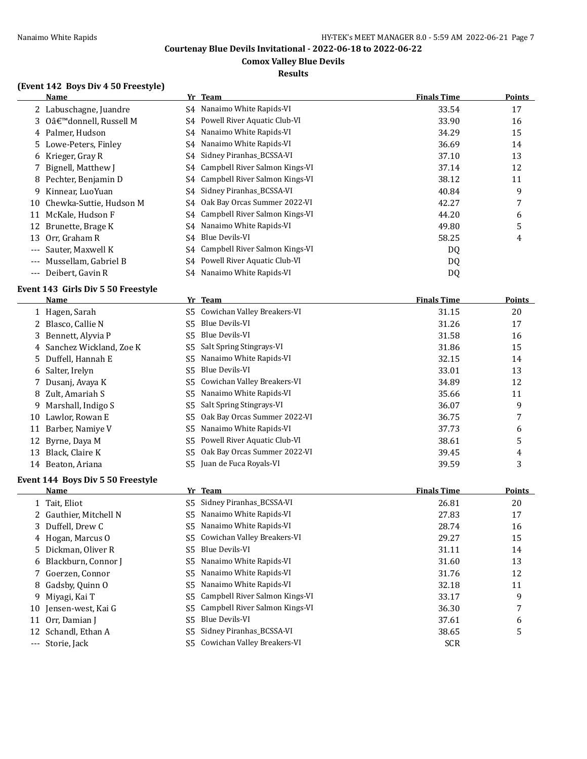## **Comox Valley Blue Devils**

## **Results**

## **(Event 142 Boys Div 4 50 Freestyle)**

|       | Name                       |      | Yr Team                           | <b>Finals Time</b> | <b>Points</b> |
|-------|----------------------------|------|-----------------------------------|--------------------|---------------|
|       | 2 Labuschagne, Juandre     |      | S4 Nanaimo White Rapids-VI        | 33.54              | 17            |
|       | 3 O'donnell. Russell M     | S4   | Powell River Aquatic Club-VI      | 33.90              | 16            |
|       | 4 Palmer, Hudson           |      | S4 Nanaimo White Rapids-VI        | 34.29              | 15            |
|       | 5 Lowe-Peters, Finley      | S4   | Nanaimo White Rapids-VI           | 36.69              | 14            |
|       | 6 Krieger, Gray R          |      | S4 Sidney Piranhas BCSSA-VI       | 37.10              | 13            |
|       | 7 Bignell, Matthew J       | S4 - | Campbell River Salmon Kings-VI    | 37.14              | 12            |
|       | 8 Pechter, Benjamin D      | S4 - | Campbell River Salmon Kings-VI    | 38.12              | 11            |
| 9.    | Kinnear, LuoYuan           |      | S4 Sidney Piranhas_BCSSA-VI       | 40.84              | 9             |
|       | 10 Chewka-Suttie, Hudson M | S4 - | Oak Bay Orcas Summer 2022-VI      | 42.27              | 7             |
| 11    | McKale, Hudson F           |      | S4 Campbell River Salmon Kings-VI | 44.20              | 6             |
| 12    | Brunette, Brage K          |      | S4 Nanaimo White Rapids-VI        | 49.80              | 5             |
| 13    | Orr, Graham R              | S4   | Blue Devils-VI                    | 58.25              | 4             |
| $---$ | Sauter, Maxwell K          |      | S4 Campbell River Salmon Kings-VI | DQ                 |               |
| $---$ | Mussellam, Gabriel B       | S4   | Powell River Aquatic Club-VI      | DQ                 |               |
| $---$ | Deibert, Gavin R           |      | S4 Nanaimo White Rapids-VI        | D <sub>0</sub>     |               |

#### **Event 143 Girls Div 5 50 Freestyle**

|    | Name                      |     | Yr Team                         | <b>Finals Time</b> | <b>Points</b> |
|----|---------------------------|-----|---------------------------------|--------------------|---------------|
|    | 1 Hagen, Sarah            |     | S5 Cowichan Valley Breakers-VI  | 31.15              | 20            |
|    | 2 Blasco, Callie N        | S5. | Blue Devils-VI                  | 31.26              | 17            |
|    | 3 Bennett, Alyvia P       | S5. | Blue Devils-VI                  | 31.58              | 16            |
|    | 4 Sanchez Wickland, Zoe K | S5  | Salt Spring Stingrays-VI        | 31.86              | 15            |
|    | 5 Duffell, Hannah E       | S5  | Nanaimo White Rapids-VI         | 32.15              | 14            |
|    | 6 Salter, Irelyn          | S5. | Blue Devils-VI                  | 33.01              | 13            |
|    | 7 Dusanj, Avaya K         |     | S5 Cowichan Valley Breakers-VI  | 34.89              | 12            |
|    | 8 Zult, Amariah S         | S5. | Nanaimo White Rapids-VI         | 35.66              | 11            |
| 9  | Marshall, Indigo S        |     | S5 Salt Spring Stingrays-VI     | 36.07              | 9             |
| 10 | Lawlor, Rowan E           | S5. | Oak Bay Orcas Summer 2022-VI    | 36.75              | 7             |
| 11 | Barber, Namiye V          | S5. | Nanaimo White Rapids-VI         | 37.73              | 6             |
|    | 12 Byrne, Daya M          |     | S5 Powell River Aquatic Club-VI | 38.61              | 5             |
| 13 | Black, Claire K           | S5. | Oak Bay Orcas Summer 2022-VI    | 39.45              | 4             |
| 14 | Beaton, Ariana            |     | S5 Juan de Fuca Royals-VI       | 39.59              | 3             |
|    |                           |     |                                 |                    |               |

#### **Event 144 Boys Div 5 50 Freestyle**

|    | <b>Name</b>            |     | Yr Team                           | <b>Finals Time</b> | <b>Points</b> |
|----|------------------------|-----|-----------------------------------|--------------------|---------------|
|    | 1 Tait, Eliot          |     | S5 Sidney Piranhas_BCSSA-VI       | 26.81              | 20            |
|    | 2 Gauthier, Mitchell N |     | S5 Nanaimo White Rapids-VI        | 27.83              | 17            |
|    | 3 Duffell, Drew C      |     | S5 Nanaimo White Rapids-VI        | 28.74              | 16            |
|    | 4 Hogan, Marcus O      |     | S5 Cowichan Valley Breakers-VI    | 29.27              | 15            |
|    | 5 Dickman, Oliver R    | S5. | Blue Devils-VI                    | 31.11              | 14            |
|    | 6 Blackburn, Connor J  |     | S5 Nanaimo White Rapids-VI        | 31.60              | 13            |
|    | 7 Goerzen, Connor      |     | S5 Nanaimo White Rapids-VI        | 31.76              | 12            |
|    | 8 Gadsby, Quinn O      |     | S5 Nanaimo White Rapids-VI        | 32.18              | 11            |
| 9. | Miyagi, Kai T          |     | S5 Campbell River Salmon Kings-VI | 33.17              | 9             |
| 10 | Jensen-west, Kai G     |     | S5 Campbell River Salmon Kings-VI | 36.30              |               |
|    | 11 Orr, Damian J       | S5  | Blue Devils-VI                    | 37.61              | 6             |
|    | 12 Schandl, Ethan A    |     | S5 Sidney Piranhas BCSSA-VI       | 38.65              | 5             |
|    | --- Storie, Jack       |     | S5 Cowichan Valley Breakers-VI    | <b>SCR</b>         |               |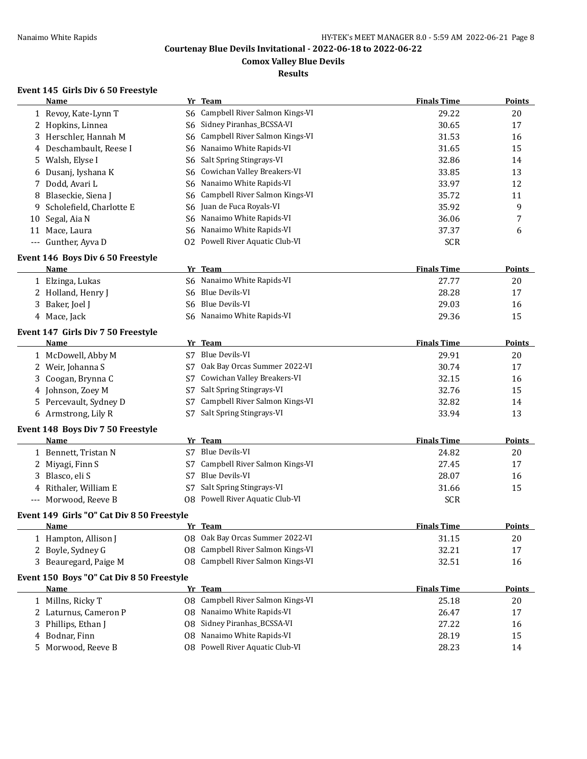## **Comox Valley Blue Devils**

## **Results**

## **Event 145 Girls Div 6 50 Freestyle**

|    | <b>Name</b>                                |                | Yr Team                           | <b>Finals Time</b> | <b>Points</b> |
|----|--------------------------------------------|----------------|-----------------------------------|--------------------|---------------|
|    | 1 Revoy, Kate-Lynn T<br>S6                 |                | Campbell River Salmon Kings-VI    | 29.22              | 20            |
|    | 2 Hopkins, Linnea<br>S6                    |                | Sidney Piranhas_BCSSA-VI          | 30.65              | 17            |
| 3  | Herschler, Hannah M<br>S6                  |                | Campbell River Salmon Kings-VI    | 31.53              | 16            |
| 4  | Deschambault, Reese I<br>S6                |                | Nanaimo White Rapids-VI           | 31.65              | 15            |
| 5  | Walsh, Elyse I<br>S6                       |                | Salt Spring Stingrays-VI          | 32.86              | 14            |
| 6  | Dusanj, Iyshana K<br>S6                    |                | Cowichan Valley Breakers-VI       | 33.85              | 13            |
| 7  | Dodd, Avari L<br>S6                        |                | Nanaimo White Rapids-VI           | 33.97              | 12            |
| 8  | Blaseckie, Siena J<br>S6                   |                | Campbell River Salmon Kings-VI    | 35.72              | 11            |
| 9  | Scholefield, Charlotte E<br>S6             |                | Juan de Fuca Royals-VI            | 35.92              | 9             |
| 10 | Segal, Aia N<br>S6                         |                | Nanaimo White Rapids-VI           | 36.06              | 7             |
|    | 11 Mace, Laura<br>S6                       |                | Nanaimo White Rapids-VI           | 37.37              | 6             |
|    | --- Gunther, Ayva D                        |                | 02 Powell River Aquatic Club-VI   | <b>SCR</b>         |               |
|    | Event 146 Boys Div 6 50 Freestyle          |                |                                   |                    |               |
|    | Name                                       |                | Yr Team                           | <b>Finals Time</b> | <b>Points</b> |
|    | 1 Elzinga, Lukas                           |                | S6 Nanaimo White Rapids-VI        | 27.77              | 20            |
|    | 2 Holland, Henry J<br>S6                   |                | Blue Devils-VI                    | 28.28              | 17            |
| 3  | Baker, Joel J<br>S6                        |                | <b>Blue Devils-VI</b>             | 29.03              | 16            |
|    | 4 Mace, Jack<br>S6                         |                | Nanaimo White Rapids-VI           | 29.36              | 15            |
|    | Event 147 Girls Div 7 50 Freestyle         |                |                                   |                    |               |
|    | <b>Name</b>                                |                | Yr Team                           | <b>Finals Time</b> | <b>Points</b> |
|    | 1 McDowell, Abby M                         | S <sub>7</sub> | <b>Blue Devils-VI</b>             | 29.91              | 20            |
|    | 2 Weir, Johanna S<br>S7                    |                | Oak Bay Orcas Summer 2022-VI      | 30.74              | 17            |
| 3  | Coogan, Brynna C<br>S7                     |                | Cowichan Valley Breakers-VI       | 32.15              | 16            |
| 4  | Johnson, Zoey M<br>S7                      |                | Salt Spring Stingrays-VI          | 32.76              | 15            |
| 5  | Percevault, Sydney D<br>S7                 |                | Campbell River Salmon Kings-VI    | 32.82              | 14            |
|    | 6 Armstrong, Lily R<br>S7                  |                | Salt Spring Stingrays-VI          | 33.94              | 13            |
|    | Event 148 Boys Div 7 50 Freestyle          |                |                                   |                    |               |
|    | <b>Name</b>                                |                | Yr Team                           | <b>Finals Time</b> | <b>Points</b> |
|    | 1 Bennett, Tristan N                       |                | S7 Blue Devils-VI                 | 24.82              | 20            |
|    | 2 Miyagi, Finn S<br>S7                     |                | Campbell River Salmon Kings-VI    | 27.45              | 17            |
|    | 3 Blasco, eli S<br>S7                      |                | <b>Blue Devils-VI</b>             | 28.07              | 16            |
| 4  | Rithaler, William E<br>S7                  |                | Salt Spring Stingrays-VI          | 31.66              | 15            |
|    | Morwood, Reeve B                           |                | 08 Powell River Aquatic Club-VI   | <b>SCR</b>         |               |
|    | Event 149 Girls "O" Cat Div 8 50 Freestyle |                |                                   |                    |               |
|    | Name                                       |                | Yr Team                           | <b>Finals Time</b> | <b>Points</b> |
|    | 1 Hampton, Allison J                       |                | 08 Oak Bay Orcas Summer 2022-VI   | 31.15              | 20            |
|    | 2 Boyle, Sydney G<br>08                    |                | Campbell River Salmon Kings-VI    | 32.21              | 17            |
|    | 3 Beauregard, Paige M                      |                | 08 Campbell River Salmon Kings-VI | 32.51              | 16            |
|    | Event 150 Boys "O" Cat Div 8 50 Freestyle  |                |                                   |                    |               |
|    | Name                                       |                | Yr Team                           | <b>Finals Time</b> | <b>Points</b> |
|    | 1 Millns, Ricky T                          |                | 08 Campbell River Salmon Kings-VI | 25.18              | 20            |
| 2  | Laturnus, Cameron P<br>08                  |                | Nanaimo White Rapids-VI           | 26.47              | 17            |
| 3  | Phillips, Ethan J<br>08                    |                | Sidney Piranhas_BCSSA-VI          | 27.22              | 16            |
| 4  | Bodnar, Finn<br>08                         |                | Nanaimo White Rapids-VI           | 28.19              | 15            |
| 5. | Morwood, Reeve B                           |                | 08 Powell River Aquatic Club-VI   | 28.23              | 14            |
|    |                                            |                |                                   |                    |               |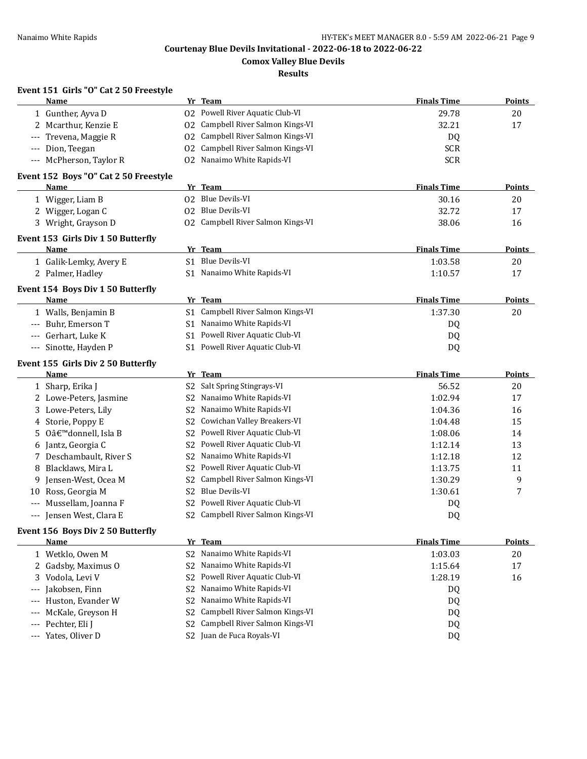**Comox Valley Blue Devils**

**Results**

## **Event 151 Girls "O" Cat 2 50 Freestyle**

|     | <b>Name</b>                           |                | Yr Team                           | <b>Finals Time</b> | <b>Points</b> |
|-----|---------------------------------------|----------------|-----------------------------------|--------------------|---------------|
|     | 1 Gunther, Ayva D                     |                | 02 Powell River Aquatic Club-VI   | 29.78              | 20            |
|     | 2 Mcarthur, Kenzie E                  |                | 02 Campbell River Salmon Kings-VI | 32.21              | 17            |
|     | Trevena, Maggie R                     | 02             | Campbell River Salmon Kings-VI    | DQ                 |               |
|     | Dion, Teegan                          | 02             | Campbell River Salmon Kings-VI    | <b>SCR</b>         |               |
|     | McPherson, Taylor R                   | 02             | Nanaimo White Rapids-VI           | <b>SCR</b>         |               |
|     | Event 152 Boys "O" Cat 2 50 Freestyle |                |                                   |                    |               |
|     | <b>Name</b>                           |                | Yr Team                           | <b>Finals Time</b> | <b>Points</b> |
|     | 1 Wigger, Liam B                      |                | 02 Blue Devils-VI                 | 30.16              | 20            |
|     | 2 Wigger, Logan C                     |                | 02 Blue Devils-VI                 | 32.72              | 17            |
|     | 3 Wright, Grayson D                   |                | 02 Campbell River Salmon Kings-VI | 38.06              | 16            |
|     | Event 153 Girls Div 1 50 Butterfly    |                |                                   |                    |               |
|     | <b>Name</b>                           |                | Yr Team                           | <b>Finals Time</b> | <b>Points</b> |
|     | 1 Galik-Lemky, Avery E                |                | S1 Blue Devils-VI                 | 1:03.58            | 20            |
|     | 2 Palmer, Hadley                      |                | S1 Nanaimo White Rapids-VI        | 1:10.57            | 17            |
|     | Event 154 Boys Div 1 50 Butterfly     |                |                                   |                    |               |
|     | Name                                  |                | Yr Team                           | <b>Finals Time</b> | <b>Points</b> |
|     | 1 Walls, Benjamin B                   |                | S1 Campbell River Salmon Kings-VI | 1:37.30            | 20            |
|     | --- Buhr, Emerson T                   |                | S1 Nanaimo White Rapids-VI        | DQ                 |               |
|     | Gerhart, Luke K                       |                | S1 Powell River Aquatic Club-VI   | DQ                 |               |
| --- | Sinotte, Hayden P                     |                | S1 Powell River Aquatic Club-VI   | DQ                 |               |
|     | Event 155 Girls Div 2 50 Butterfly    |                |                                   |                    |               |
|     | Name                                  |                | Yr Team                           | <b>Finals Time</b> | Points        |
|     | 1 Sharp, Erika J                      | S2             | Salt Spring Stingrays-VI          | 56.52              | 20            |
|     | 2 Lowe-Peters, Jasmine                | S2             | Nanaimo White Rapids-VI           | 1:02.94            | 17            |
|     | 3 Lowe-Peters, Lily                   | S <sub>2</sub> | Nanaimo White Rapids-VI           | 1:04.36            | 16            |
|     | 4 Storie, Poppy E                     | S2             | Cowichan Valley Breakers-VI       | 1:04.48            | 15            |
| 5.  | O'donnell, Isla B                     | S <sub>2</sub> | Powell River Aquatic Club-VI      | 1:08.06            | 14            |
|     | 6 Jantz, Georgia C                    | S2             | Powell River Aquatic Club-VI      | 1:12.14            | 13            |
|     | Deschambault, River S                 | S2             | Nanaimo White Rapids-VI           | 1:12.18            | 12            |
|     | 8 Blacklaws, Mira L                   | S2             | Powell River Aquatic Club-VI      | 1:13.75            | 11            |
| 9.  | Jensen-West, Ocea M                   | S2             | Campbell River Salmon Kings-VI    | 1:30.29            | 9             |
|     | 10 Ross, Georgia M                    | S <sub>2</sub> | <b>Blue Devils-VI</b>             | 1:30.61            | 7             |
|     | Mussellam, Joanna F                   | S2             | Powell River Aquatic Club-VI      | DQ                 |               |
|     | --- Jensen West, Clara E              | S2             | Campbell River Salmon Kings-VI    | DQ                 |               |
|     | Event 156 Boys Div 2 50 Butterfly     |                |                                   |                    |               |
|     | <b>Name</b>                           |                | Yr Team                           | <b>Finals Time</b> | <b>Points</b> |
|     | 1 Wetklo, Owen M                      | S <sub>2</sub> | Nanaimo White Rapids-VI           | 1:03.03            | 20            |
|     | 2 Gadsby, Maximus O                   | S2             | Nanaimo White Rapids-VI           | 1:15.64            | 17            |
| 3   | Vodola, Levi V                        | S <sub>2</sub> | Powell River Aquatic Club-VI      | 1:28.19            | 16            |
| --- | Jakobsen, Finn                        | S <sub>2</sub> | Nanaimo White Rapids-VI           | DQ                 |               |
|     | Huston, Evander W                     | S <sub>2</sub> | Nanaimo White Rapids-VI           | DQ                 |               |
|     | McKale, Greyson H                     | S <sub>2</sub> | Campbell River Salmon Kings-VI    | DQ                 |               |
|     | Pechter, Eli J                        | S <sub>2</sub> | Campbell River Salmon Kings-VI    | DQ                 |               |
| --- | Yates, Oliver D                       |                | S2 Juan de Fuca Royals-VI         | <b>DQ</b>          |               |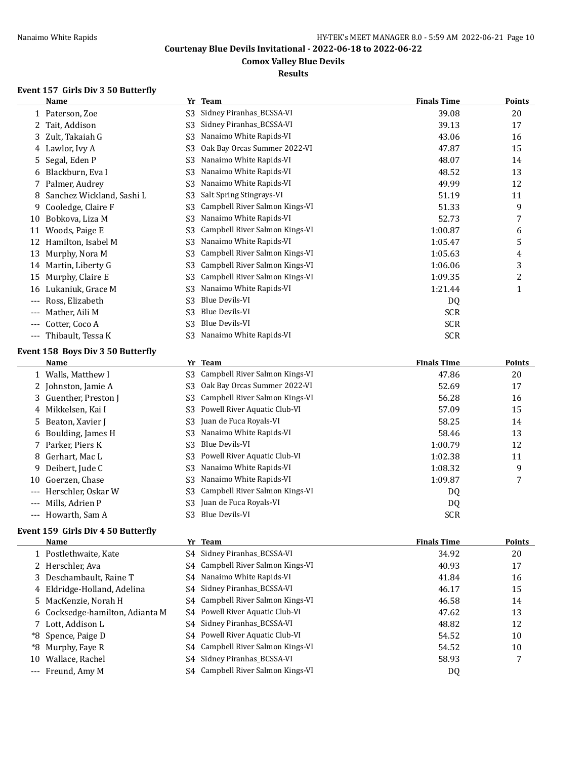## **Comox Valley Blue Devils**

## **Results**

## **Event 157 Girls Div 3 50 Butterfly**

|          | <b>Name</b>                       | Yr             | <b>Team</b>                    | <b>Finals Time</b> | <b>Points</b> |
|----------|-----------------------------------|----------------|--------------------------------|--------------------|---------------|
|          | 1 Paterson, Zoe                   | S <sub>3</sub> | Sidney Piranhas_BCSSA-VI       | 39.08              | 20            |
| 2        | Tait, Addison                     | S3             | Sidney Piranhas BCSSA-VI       | 39.13              | 17            |
| 3.       | Zult, Takaiah G                   | S3             | Nanaimo White Rapids-VI        | 43.06              | 16            |
| 4        | Lawlor, Ivy A                     | S3             | Oak Bay Orcas Summer 2022-VI   | 47.87              | 15            |
| 5.       | Segal, Eden P                     | S <sub>3</sub> | Nanaimo White Rapids-VI        | 48.07              | 14            |
| 6        | Blackburn, Eva I                  | S3             | Nanaimo White Rapids-VI        | 48.52              | 13            |
| 7        | Palmer, Audrey                    | S3             | Nanaimo White Rapids-VI        | 49.99              | 12            |
| 8        | Sanchez Wickland, Sashi L         | S3             | Salt Spring Stingrays-VI       | 51.19              | 11            |
| 9        | Cooledge, Claire F                | S3             | Campbell River Salmon Kings-VI | 51.33              | 9             |
| 10       | Bobkova, Liza M                   | S3             | Nanaimo White Rapids-VI        | 52.73              | 7             |
| 11       | Woods, Paige E                    | S3             | Campbell River Salmon Kings-VI | 1:00.87            | 6             |
| 12       | Hamilton, Isabel M                | S3             | Nanaimo White Rapids-VI        | 1:05.47            | 5             |
| 13       | Murphy, Nora M                    | S <sub>3</sub> | Campbell River Salmon Kings-VI | 1:05.63            | 4             |
| 14       | Martin, Liberty G                 | S3             | Campbell River Salmon Kings-VI | 1:06.06            | 3             |
| 15       | Murphy, Claire E                  | S3             | Campbell River Salmon Kings-VI | 1:09.35            | 2             |
| 16       | Lukaniuk, Grace M                 | S3             | Nanaimo White Rapids-VI        | 1:21.44            | 1             |
| ---      | Ross, Elizabeth                   | S3             | Blue Devils-VI                 | DQ                 |               |
| ---      | Mather, Aili M                    | S3             | <b>Blue Devils-VI</b>          | <b>SCR</b>         |               |
|          | Cotter, Coco A                    | S3             | <b>Blue Devils-VI</b>          | <b>SCR</b>         |               |
| $\cdots$ | Thibault, Tessa K                 | S <sub>3</sub> | Nanaimo White Rapids-VI        | <b>SCR</b>         |               |
|          | Event 158 Boys Div 3 50 Butterfly |                |                                |                    |               |
|          | Name                              | Yr             | <b>Team</b>                    | <b>Finals Time</b> | <b>Points</b> |
|          | 1 Walls, Matthew I                | S3             | Campbell River Salmon Kings-VI | 47.86              | 20            |
| 2        | Johnston, Jamie A                 | S <sub>3</sub> | Oak Bay Orcas Summer 2022-VI   | 52.69              | 17            |
| 3        | Guenther, Preston J               | S3             | Campbell River Salmon Kings-VI | 56.28              | 16            |
|          | 4 Mikkelsen, Kai I                | S <sub>3</sub> | Powell River Aquatic Club-VI   | 57.09              | 15            |
|          |                                   |                |                                |                    |               |

| 5 Beaton, Xavier J     | S3 Juan de Fuca Royals-VI             | 58.25      | 14 |
|------------------------|---------------------------------------|------------|----|
| 6 Boulding, James H    | S3 Nanaimo White Rapids-VI            | 58.46      | 13 |
| 7 Parker, Piers K      | S3 Blue Devils-VI                     | 1:00.79    | 12 |
| 8 Gerhart, Mac L       | S3 Powell River Aquatic Club-VI       | 1:02.38    | 11 |
| 9 Deibert, Jude C      | S3 Nanaimo White Rapids-VI            | 1:08.32    | Q  |
| 10 Goerzen, Chase      | S3 Nanaimo White Rapids-VI            | 1:09.87    |    |
| --- Herschler, Oskar W | S3 Campbell River Salmon Kings-VI     | DO.        |    |
| --- Mills. Adrien P    | S <sub>3</sub> Juan de Fuca Royals-VI | DQ         |    |
| --- Howarth, Sam A     | S3 Blue Devils-VI                     | <b>SCR</b> |    |

## **Event 159 Girls Div 4 50 Butterfly**

|       | <b>Name</b>                     | Yr Team                           | <b>Finals Time</b> | Points |
|-------|---------------------------------|-----------------------------------|--------------------|--------|
|       | 1 Postlethwaite, Kate           | S4 Sidney Piranhas_BCSSA-VI       | 34.92              | 20     |
|       | 2 Herschler, Ava                | S4 Campbell River Salmon Kings-VI | 40.93              | 17     |
|       | 3 Deschambault, Raine T         | S4 Nanaimo White Rapids-VI        | 41.84              | 16     |
|       | 4 Eldridge-Holland, Adelina     | S4 Sidney Piranhas_BCSSA-VI       | 46.17              | 15     |
|       | 5 MacKenzie, Norah H            | S4 Campbell River Salmon Kings-VI | 46.58              | 14     |
|       | 6 Cocksedge-hamilton, Adianta M | S4 Powell River Aquatic Club-VI   | 47.62              | 13     |
|       | 7 Lott, Addison L               | S4 Sidney Piranhas_BCSSA-VI       | 48.82              | 12     |
|       | *8 Spence, Paige D              | S4 Powell River Aquatic Club-VI   | 54.52              | 10     |
|       | *8 Murphy, Faye R               | S4 Campbell River Salmon Kings-VI | 54.52              | 10     |
| 10    | Wallace, Rachel                 | S4 Sidney Piranhas_BCSSA-VI       | 58.93              |        |
| $---$ | Freund, Amy M                   | S4 Campbell River Salmon Kings-VI | DQ                 |        |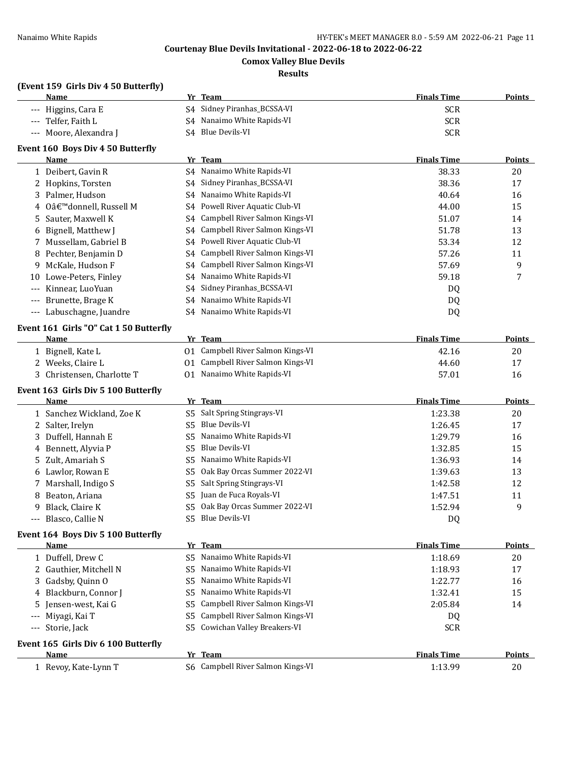**Comox Valley Blue Devils**

#### **Results**

## **(Event 159 Girls Div 4 50 Butterfly)**

|                                          | <u>Name</u>                                    |    | Yr Team                           | <b>Finals Time</b> | <b>Points</b> |
|------------------------------------------|------------------------------------------------|----|-----------------------------------|--------------------|---------------|
|                                          | Higgins, Cara E                                |    | S4 Sidney Piranhas_BCSSA-VI       | <b>SCR</b>         |               |
|                                          | Telfer, Faith L                                |    | S4 Nanaimo White Rapids-VI        | <b>SCR</b>         |               |
| $\hspace{0.05cm} \ldots \hspace{0.05cm}$ | Moore, Alexandra J                             |    | S4 Blue Devils-VI                 | <b>SCR</b>         |               |
|                                          | Event 160 Boys Div 4 50 Butterfly              |    |                                   |                    |               |
|                                          | Name                                           |    | Yr Team                           | <b>Finals Time</b> | Points        |
|                                          | 1 Deibert, Gavin R                             |    | S4 Nanaimo White Rapids-VI        | 38.33              | 20            |
|                                          | 2 Hopkins, Torsten                             |    | S4 Sidney Piranhas_BCSSA-VI       | 38.36              | 17            |
|                                          | 3 Palmer, Hudson                               |    | S4 Nanaimo White Rapids-VI        | 40.64              | 16            |
|                                          | 4 O'donnell, Russell M                         |    | S4 Powell River Aquatic Club-VI   | 44.00              | 15            |
| 5                                        | Sauter, Maxwell K                              |    | S4 Campbell River Salmon Kings-VI | 51.07              | 14            |
| 6                                        | Bignell, Matthew J                             |    | S4 Campbell River Salmon Kings-VI | 51.78              | 13            |
|                                          | 7 Mussellam, Gabriel B                         |    | S4 Powell River Aquatic Club-VI   | 53.34              | 12            |
| 8                                        | Pechter, Benjamin D                            |    | S4 Campbell River Salmon Kings-VI | 57.26              | 11            |
| 9                                        | McKale, Hudson F                               |    | S4 Campbell River Salmon Kings-VI | 57.69              | 9             |
| 10                                       | Lowe-Peters, Finley                            | S4 | Nanaimo White Rapids-VI           | 59.18              | 7             |
| $---$                                    | Kinnear, LuoYuan                               | S4 | Sidney Piranhas_BCSSA-VI          | DQ                 |               |
|                                          | Brunette, Brage K                              | S4 | Nanaimo White Rapids-VI           | DQ                 |               |
| $---$                                    | Labuschagne, Juandre                           |    | S4 Nanaimo White Rapids-VI        | DQ                 |               |
|                                          |                                                |    |                                   |                    |               |
|                                          | Event 161 Girls "O" Cat 1 50 Butterfly<br>Name |    | Yr Team                           | <b>Finals Time</b> | <b>Points</b> |
|                                          | 1 Bignell, Kate L                              |    | 01 Campbell River Salmon Kings-VI | 42.16              | 20            |
|                                          | 2 Weeks, Claire L                              |    | 01 Campbell River Salmon Kings-VI | 44.60              | 17            |
|                                          | 3 Christensen, Charlotte T                     |    | 01 Nanaimo White Rapids-VI        | 57.01              | 16            |
|                                          |                                                |    |                                   |                    |               |
|                                          | Event 163 Girls Div 5 100 Butterfly<br>Name    |    | Yr Team                           | <b>Finals Time</b> | <b>Points</b> |
|                                          | 1 Sanchez Wickland, Zoe K                      |    | S5 Salt Spring Stingrays-VI       | 1:23.38            | 20            |
|                                          | 2 Salter, Irelyn                               | S5 | <b>Blue Devils-VI</b>             | 1:26.45            | 17            |
|                                          | 3 Duffell, Hannah E                            | S5 | Nanaimo White Rapids-VI           | 1:29.79            | 16            |
|                                          | 4 Bennett, Alyvia P                            | S5 | Blue Devils-VI                    | 1:32.85            | 15            |
|                                          | 5 Zult, Amariah S                              | S5 | Nanaimo White Rapids-VI           | 1:36.93            | 14            |
|                                          | 6 Lawlor, Rowan E                              | S5 | Oak Bay Orcas Summer 2022-VI      | 1:39.63            | 13            |
|                                          | 7 Marshall, Indigo S                           | S5 | Salt Spring Stingrays-VI          | 1:42.58            | 12            |
| 8                                        | Beaton, Ariana                                 | S5 | Juan de Fuca Royals-VI            | 1:47.51            | 11            |
| 9.                                       | Black, Claire K                                |    | S5 Oak Bay Orcas Summer 2022-VI   | 1:52.94            | 9             |
|                                          | Blasco, Callie N                               |    | S5 Blue Devils-VI                 | DQ                 |               |
|                                          |                                                |    |                                   |                    |               |
|                                          | Event 164 Boys Div 5 100 Butterfly<br>Name     |    | Yr Team                           | <b>Finals Time</b> | <b>Points</b> |
|                                          | 1 Duffell, Drew C                              |    | S5 Nanaimo White Rapids-VI        | 1:18.69            | 20            |
|                                          | 2 Gauthier, Mitchell N                         |    | S5 Nanaimo White Rapids-VI        |                    |               |
|                                          |                                                |    | Nanaimo White Rapids-VI           | 1:18.93            | 17            |
|                                          | 3 Gadsby, Quinn O                              | S5 | S5 Nanaimo White Rapids-VI        | 1:22.77            | 16            |
|                                          | 4 Blackburn, Connor J                          |    |                                   | 1:32.41            | 15            |
| 5                                        | Jensen-west, Kai G                             | S5 | Campbell River Salmon Kings-VI    | 2:05.84            | 14            |
|                                          | Miyagi, Kai T                                  |    | S5 Campbell River Salmon Kings-VI | DQ                 |               |
| $---$                                    | Storie, Jack                                   |    | S5 Cowichan Valley Breakers-VI    | <b>SCR</b>         |               |
|                                          | Event 165 Girls Div 6 100 Butterfly            |    |                                   |                    |               |
|                                          | <b>Name</b>                                    |    | Yr Team                           | <b>Finals Time</b> | <b>Points</b> |
|                                          | 1 Revoy, Kate-Lynn T                           |    | S6 Campbell River Salmon Kings-VI | 1:13.99            | 20            |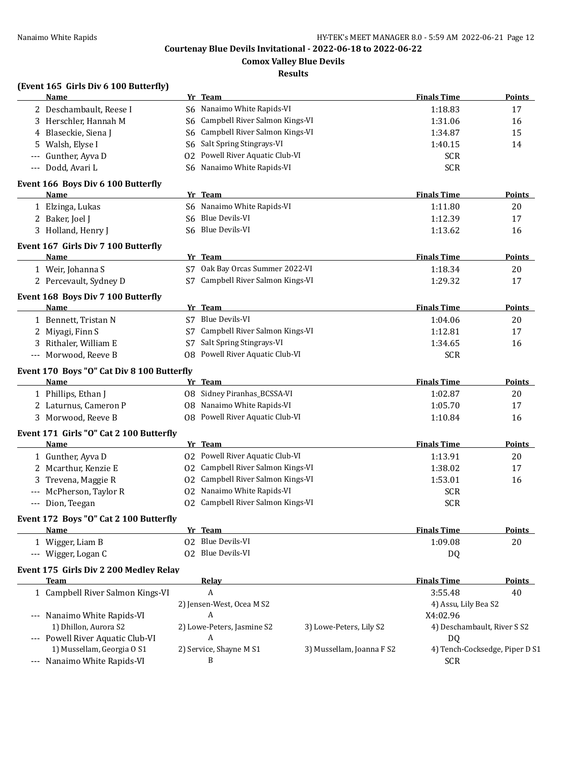**Comox Valley Blue Devils**

**Results**

### **(Event 165 Girls Div 6 100 Butterfly)**

|                     | <b>Name</b>                                          |    | Yr Team                           |                           | <b>Finals Time</b>                      | <b>Points</b>                  |
|---------------------|------------------------------------------------------|----|-----------------------------------|---------------------------|-----------------------------------------|--------------------------------|
|                     | 2 Deschambault, Reese I                              |    | S6 Nanaimo White Rapids-VI        |                           | 1:18.83                                 | 17                             |
|                     | 3 Herschler, Hannah M                                | S6 | Campbell River Salmon Kings-VI    |                           | 1:31.06                                 | 16                             |
|                     | 4 Blaseckie, Siena J                                 | S6 | Campbell River Salmon Kings-VI    |                           | 1:34.87                                 | 15                             |
| 5                   | Walsh, Elyse I                                       | S6 | Salt Spring Stingrays-VI          |                           | 1:40.15                                 | 14                             |
| $---$               | Gunther, Ayva D                                      | 02 | Powell River Aquatic Club-VI      |                           | <b>SCR</b>                              |                                |
| $\qquad \qquad - -$ | Dodd, Avari L                                        |    | S6 Nanaimo White Rapids-VI        |                           | <b>SCR</b>                              |                                |
|                     | Event 166 Boys Div 6 100 Butterfly                   |    |                                   |                           |                                         |                                |
|                     | Name                                                 |    | Yr Team                           |                           | <b>Finals Time</b>                      | <b>Points</b>                  |
|                     | 1 Elzinga, Lukas                                     |    | S6 Nanaimo White Rapids-VI        |                           | 1:11.80                                 | 20                             |
|                     | 2 Baker, Joel J                                      | S6 | Blue Devils-VI                    |                           | 1:12.39                                 | 17                             |
|                     | 3 Holland, Henry J                                   |    | S6 Blue Devils-VI                 |                           | 1:13.62                                 | 16                             |
|                     |                                                      |    |                                   |                           |                                         |                                |
|                     | Event 167 Girls Div 7 100 Butterfly<br>Name          |    | Yr Team                           |                           | <b>Finals Time</b>                      | Points                         |
|                     |                                                      |    | S7 Oak Bay Orcas Summer 2022-VI   |                           |                                         |                                |
|                     | 1 Weir, Johanna S                                    |    |                                   |                           | 1:18.34                                 | 20                             |
|                     | 2 Percevault, Sydney D                               |    | S7 Campbell River Salmon Kings-VI |                           | 1:29.32                                 | 17                             |
|                     | Event 168 Boys Div 7 100 Butterfly                   |    |                                   |                           |                                         |                                |
|                     | Name                                                 |    | Yr Team                           |                           | <b>Finals Time</b>                      | Points                         |
|                     | 1 Bennett, Tristan N                                 | S7 | Blue Devils-VI                    |                           | 1:04.06                                 | 20                             |
|                     | 2 Miyagi, Finn S                                     | S7 | Campbell River Salmon Kings-VI    |                           | 1:12.81                                 | 17                             |
|                     | 3 Rithaler, William E                                | S7 | Salt Spring Stingrays-VI          |                           | 1:34.65                                 | 16                             |
|                     | --- Morwood, Reeve B                                 | 08 | Powell River Aquatic Club-VI      |                           | <b>SCR</b>                              |                                |
|                     | Event 170 Boys "O" Cat Div 8 100 Butterfly           |    |                                   |                           |                                         |                                |
|                     | <b>Name</b>                                          |    | Yr Team                           |                           | <b>Finals Time</b>                      | <b>Points</b>                  |
|                     | 1 Phillips, Ethan J                                  | 08 | Sidney Piranhas_BCSSA-VI          |                           | 1:02.87                                 | 20                             |
|                     | 2 Laturnus, Cameron P                                | 08 | Nanaimo White Rapids-VI           |                           | 1:05.70                                 | 17                             |
|                     | 3 Morwood, Reeve B                                   |    | 08 Powell River Aquatic Club-VI   |                           | 1:10.84                                 | 16                             |
|                     | Event 171 Girls "O" Cat 2 100 Butterfly              |    |                                   |                           |                                         |                                |
|                     | Name                                                 |    | Yr Team                           |                           | <b>Finals Time</b>                      | Points                         |
|                     | 1 Gunther, Ayva D                                    |    | 02 Powell River Aquatic Club-VI   |                           | 1:13.91                                 | 20                             |
|                     | 2 Mcarthur, Kenzie E                                 |    | 02 Campbell River Salmon Kings-VI |                           | 1:38.02                                 | 17                             |
| 3                   | Trevena, Maggie R                                    |    | 02 Campbell River Salmon Kings-VI |                           | 1:53.01                                 | 16                             |
|                     | McPherson, Taylor R                                  |    | 02 Nanaimo White Rapids-VI        |                           | <b>SCR</b>                              |                                |
|                     | --- Dion, Teegan                                     |    | 02 Campbell River Salmon Kings-VI |                           | <b>SCR</b>                              |                                |
|                     | Event 172 Boys "O" Cat 2 100 Butterfly               |    |                                   |                           |                                         |                                |
|                     | <u>Name</u>                                          |    | Yr Team                           |                           | <b>Finals Time</b>                      | <b>Points</b>                  |
|                     | 1 Wigger, Liam B                                     |    | 02 Blue Devils-VI                 |                           | 1:09.08                                 | 20                             |
|                     | --- Wigger, Logan C                                  |    | 02 Blue Devils-VI                 |                           | DQ                                      |                                |
|                     |                                                      |    |                                   |                           |                                         |                                |
|                     | Event 175 Girls Div 2 200 Medley Relay<br>Team       |    | <u>Relav</u>                      |                           | <b>Finals Time</b>                      | <b>Points</b>                  |
|                     | 1 Campbell River Salmon Kings-VI                     |    | A                                 |                           | 3:55.48                                 | 40                             |
|                     |                                                      |    | 2) Jensen-West, Ocea M S2         |                           | 4) Assu, Lily Bea S2                    |                                |
|                     |                                                      |    | A                                 |                           |                                         |                                |
|                     | --- Nanaimo White Rapids-VI<br>1) Dhillon, Aurora S2 |    | 2) Lowe-Peters, Jasmine S2        | 3) Lowe-Peters, Lily S2   | X4:02.96<br>4) Deschambault, River S S2 |                                |
|                     | --- Powell River Aquatic Club-VI                     |    | A                                 |                           |                                         |                                |
|                     | 1) Mussellam, Georgia O S1                           |    | 2) Service, Shayne M S1           | 3) Mussellam, Joanna F S2 | DQ                                      | 4) Tench-Cocksedge, Piper D S1 |
|                     | --- Nanaimo White Rapids-VI                          |    | B                                 |                           | <b>SCR</b>                              |                                |
|                     |                                                      |    |                                   |                           |                                         |                                |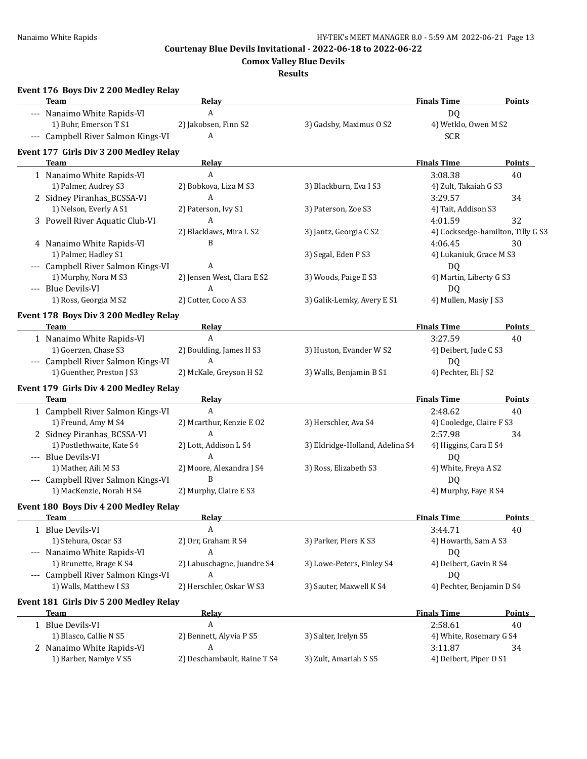**Comox Valley Blue Devils**

## **Results**

| Event 176 Boys Div 2 200 Medley Relay  |                             |                                 |                                   |               |
|----------------------------------------|-----------------------------|---------------------------------|-----------------------------------|---------------|
| <b>Team</b>                            | Relay                       |                                 | <b>Finals Time</b>                | <b>Points</b> |
| --- Nanaimo White Rapids-VI            | A                           |                                 | DQ                                |               |
| 1) Buhr, Emerson T S1                  | 2) Jakobsen, Finn S2        | 3) Gadsby, Maximus O S2         | 4) Wetklo, Owen M S2              |               |
| --- Campbell River Salmon Kings-VI     | A                           |                                 | <b>SCR</b>                        |               |
| Event 177 Girls Div 3 200 Medley Relay |                             |                                 |                                   |               |
| Team                                   | Relay                       |                                 | <b>Finals Time</b>                | <b>Points</b> |
| 1 Nanaimo White Rapids-VI              | $\mathbf{A}$                |                                 | 3:08.38                           | 40            |
| 1) Palmer, Audrey S3                   | 2) Bobkova, Liza M S3       | 3) Blackburn, Eva I S3          | 4) Zult, Takaiah G S3             |               |
| 2 Sidney Piranhas_BCSSA-VI             | A                           |                                 | 3:29.57                           | 34            |
| 1) Nelson, Everly A S1                 | 2) Paterson, Ivy S1         | 3) Paterson, Zoe S3             | 4) Tait, Addison S3               |               |
| 3 Powell River Aquatic Club-VI         | A                           |                                 | 4:01.59                           | 32            |
|                                        | 2) Blacklaws, Mira L S2     | 3) Jantz, Georgia C S2          | 4) Cocksedge-hamilton, Tilly G S3 |               |
| 4 Nanaimo White Rapids-VI              | B                           |                                 | 4:06.45                           | 30            |
| 1) Palmer, Hadley S1                   |                             | 3) Segal, Eden P S3             | 4) Lukaniuk, Grace M S3           |               |
| --- Campbell River Salmon Kings-VI     | A                           |                                 | DQ                                |               |
| 1) Murphy, Nora M S3                   | 2) Jensen West, Clara E S2  | 3) Woods, Paige E S3            | 4) Martin, Liberty G S3           |               |
| --- Blue Devils-VI                     | A                           |                                 | DQ                                |               |
| 1) Ross, Georgia M S2                  | 2) Cotter, Coco A S3        | 3) Galik-Lemky, Avery E S1      | 4) Mullen, Masiy J S3             |               |
| Event 178 Boys Div 3 200 Medley Relay  |                             |                                 |                                   |               |
| Team                                   | Relay                       |                                 | <b>Finals Time</b>                | <b>Points</b> |
| 1 Nanaimo White Rapids-VI              | A                           |                                 | 3:27.59                           | 40            |
| 1) Goerzen, Chase S3                   | 2) Boulding, James H S3     | 3) Huston, Evander W S2         | 4) Deibert, Jude C S3             |               |
| --- Campbell River Salmon Kings-VI     | A                           |                                 | <b>DQ</b>                         |               |
| 1) Guenther, Preston J S3              | 2) McKale, Greyson H S2     | 3) Walls, Benjamin B S1         | 4) Pechter, Eli J S2              |               |
|                                        |                             |                                 |                                   |               |
| Event 179 Girls Div 4 200 Medley Relay |                             |                                 |                                   |               |
| <b>Team</b>                            | Relay                       |                                 | <b>Finals Time</b>                | Points        |
| 1 Campbell River Salmon Kings-VI       | A                           |                                 | 2:48.62                           | 40            |
| 1) Freund, Amy M S4                    | 2) Mcarthur, Kenzie E O2    | 3) Herschler, Ava S4            | 4) Cooledge, Claire F S3          |               |
| 2 Sidney Piranhas_BCSSA-VI             | A                           |                                 | 2:57.98                           | 34            |
| 1) Postlethwaite, Kate S4              | 2) Lott, Addison L S4       | 3) Eldridge-Holland, Adelina S4 | 4) Higgins, Cara E S4             |               |
| --- Blue Devils-VI                     | A                           |                                 | DQ                                |               |
| 1) Mather, Aili M S3                   | 2) Moore, Alexandra J S4    | 3) Ross, Elizabeth S3           | 4) White, Freya A S2              |               |
| --- Campbell River Salmon Kings-VI     | B                           |                                 | DQ                                |               |
| 1) MacKenzie, Norah H S4               | 2) Murphy, Claire E S3      |                                 | 4) Murphy, Faye R S4              |               |
| Event 180 Boys Div 4 200 Medley Relay  |                             |                                 |                                   |               |
| <b>Team</b>                            | <b>Relay</b>                |                                 | <b>Finals Time</b>                | <b>Points</b> |
| 1 Blue Devils-VI                       | A                           |                                 | 3:44.71                           | 40            |
| 1) Stehura, Oscar S3                   | 2) Orr, Graham R S4         | 3) Parker, Piers K S3           | 4) Howarth, Sam A S3              |               |
| --- Nanaimo White Rapids-VI            | A                           |                                 | DQ                                |               |
| 1) Brunette, Brage K S4                | 2) Labuschagne, Juandre S4  | 3) Lowe-Peters, Finley S4       | 4) Deibert, Gavin R S4            |               |
| --- Campbell River Salmon Kings-VI     | A                           |                                 | DQ                                |               |
| 1) Walls, Matthew I S3                 | 2) Herschler, Oskar W S3    | 3) Sauter, Maxwell K S4         | 4) Pechter, Benjamin D S4         |               |
| Event 181 Girls Div 5 200 Medley Relay |                             |                                 |                                   |               |
| <b>Team</b>                            | <u>Relav</u>                |                                 | <b>Finals Time</b>                | <b>Points</b> |
| 1 Blue Devils-VI                       | A                           |                                 | 2:58.61                           | 40            |
| 1) Blasco, Callie N S5                 | 2) Bennett, Alyvia P S5     | 3) Salter, Irelyn S5            | 4) White, Rosemary G S4           |               |
| 2 Nanaimo White Rapids-VI              | A                           |                                 | 3:11.87                           | 34            |
| 1) Barber, Namiye V S5                 | 2) Deschambault, Raine T S4 | 3) Zult, Amariah S S5           | 4) Deibert, Piper O S1            |               |
|                                        |                             |                                 |                                   |               |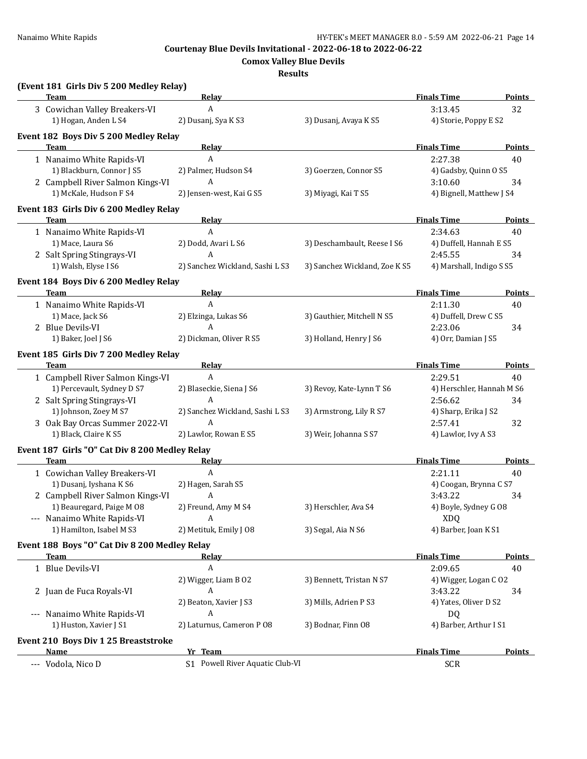**Comox Valley Blue Devils**

**Results**

| (Event 181 Girls Div 5 200 Medley Relay)<br><b>Team</b> | <b>Relay</b>                    |                                                                       | <b>Finals Time</b>                  | <b>Points</b> |
|---------------------------------------------------------|---------------------------------|-----------------------------------------------------------------------|-------------------------------------|---------------|
| 3 Cowichan Valley Breakers-VI                           | A                               |                                                                       | 3:13.45                             | 32            |
| 1) Hogan, Anden L S4                                    | 2) Dusanj, Sya K S3             | 3) Dusanj, Avaya K S5                                                 | 4) Storie, Poppy E S2               |               |
|                                                         |                                 |                                                                       |                                     |               |
| Event 182 Boys Div 5 200 Medley Relay<br>Team           | <u>Relav</u>                    |                                                                       | <b>Finals Time</b>                  | <b>Points</b> |
|                                                         | $\mathbf{A}$                    |                                                                       | 2:27.38                             | 40            |
| 1 Nanaimo White Rapids-VI<br>1) Blackburn, Connor J S5  | 2) Palmer, Hudson S4            |                                                                       |                                     |               |
| 2 Campbell River Salmon Kings-VI                        | A                               | 3) Goerzen, Connor S5                                                 | 4) Gadsby, Quinn O S5               |               |
| 1) McKale, Hudson F S4                                  | 2) Jensen-west, Kai G S5        | 3) Miyagi, Kai T S5                                                   | 3:10.60<br>4) Bignell, Matthew J S4 | 34            |
|                                                         |                                 |                                                                       |                                     |               |
| Event 183 Girls Div 6 200 Medley Relay                  |                                 |                                                                       |                                     |               |
| Team                                                    | <b>Relay</b><br>A               | the control of the control of the control of the control of           | <b>Finals Time</b>                  | Points        |
| 1 Nanaimo White Rapids-VI                               |                                 |                                                                       | 2:34.63                             | 40            |
| 1) Mace, Laura S6                                       | 2) Dodd, Avari L S6<br>A        | 3) Deschambault, Reese I S6                                           | 4) Duffell, Hannah E S5             |               |
| 2 Salt Spring Stingrays-VI                              |                                 |                                                                       | 2:45.55                             | 34            |
| 1) Walsh, Elyse I S6                                    | 2) Sanchez Wickland, Sashi L S3 | 3) Sanchez Wickland, Zoe K S5                                         | 4) Marshall, Indigo S S5            |               |
| Event 184 Boys Div 6 200 Medley Relay                   |                                 |                                                                       |                                     |               |
| Team                                                    | <b>Relay</b>                    | <u> 1989 - Johann Barn, mars an t-Amerikaansk ferstjer op de oars</u> | <b>Finals Time</b>                  | <b>Points</b> |
| 1 Nanaimo White Rapids-VI                               | $\boldsymbol{A}$                |                                                                       | 2:11.30                             | 40            |
| 1) Mace, Jack S6                                        | 2) Elzinga, Lukas S6            | 3) Gauthier, Mitchell N S5                                            | 4) Duffell, Drew C S5               |               |
| 2 Blue Devils-VI                                        | A                               |                                                                       | 2:23.06                             | 34            |
| 1) Baker, Joel J S6                                     | 2) Dickman, Oliver R S5         | 3) Holland, Henry J S6                                                | 4) Orr, Damian J S5                 |               |
| Event 185 Girls Div 7 200 Medley Relay                  |                                 |                                                                       |                                     |               |
| Team                                                    | Relay                           |                                                                       | <b>Finals Time</b>                  | <b>Points</b> |
| 1 Campbell River Salmon Kings-VI                        | A                               |                                                                       | 2:29.51                             | 40            |
| 1) Percevault, Sydney D S7                              | 2) Blaseckie, Siena J S6        | 3) Revoy, Kate-Lynn T S6                                              | 4) Herschler, Hannah M S6           |               |
| 2 Salt Spring Stingrays-VI                              | A                               |                                                                       | 2:56.62                             | 34            |
| 1) Johnson, Zoey M S7                                   | 2) Sanchez Wickland, Sashi L S3 | 3) Armstrong, Lily R S7                                               | 4) Sharp, Erika J S2                |               |
| 3 Oak Bay Orcas Summer 2022-VI                          | A                               |                                                                       | 2:57.41                             | 32            |
| 1) Black, Claire K S5                                   | 2) Lawlor, Rowan E S5           | 3) Weir, Johanna S S7                                                 | 4) Lawlor, Ivy A S3                 |               |
| Event 187 Girls "O" Cat Div 8 200 Medley Relay          |                                 |                                                                       |                                     |               |
| Team                                                    | <b>Relay</b>                    |                                                                       | <b>Finals Time</b>                  | <b>Points</b> |
| 1 Cowichan Valley Breakers-VI                           | $\boldsymbol{A}$                |                                                                       | 2:21.11                             | 40            |
| 1) Dusanj, Iyshana K S6                                 | 2) Hagen, Sarah S5              |                                                                       | 4) Coogan, Brynna C S7              |               |
| 2 Campbell River Salmon Kings-VI                        | A                               |                                                                       | 3:43.22                             | 34            |
| 1) Beauregard, Paige M 08                               | 2) Freund, Amy M S4             | 3) Herschler, Ava S4                                                  | 4) Boyle, Sydney G 08               |               |
| --- Nanaimo White Rapids-VI                             | A                               |                                                                       | <b>XDQ</b>                          |               |
| 1) Hamilton, Isabel M S3                                | 2) Metituk, Emily J 08          | 3) Segal, Aia N S6                                                    | 4) Barber, Joan K S1                |               |
| Event 188 Boys "O" Cat Div 8 200 Medley Relay           |                                 |                                                                       |                                     |               |
| <b>Team</b>                                             | <u>Relay</u>                    |                                                                       | <b>Finals Time</b>                  | <b>Points</b> |
| 1 Blue Devils-VI                                        | A                               |                                                                       | 2:09.65                             | 40            |
|                                                         | 2) Wigger, Liam B 02            | 3) Bennett, Tristan N S7                                              | 4) Wigger, Logan C O2               |               |
| 2 Juan de Fuca Royals-VI                                | A                               |                                                                       | 3:43.22                             | 34            |
|                                                         | 2) Beaton, Xavier J S3          | 3) Mills, Adrien P S3                                                 | 4) Yates, Oliver D S2               |               |
| --- Nanaimo White Rapids-VI                             | A                               |                                                                       | DQ                                  |               |
| 1) Huston, Xavier J S1                                  | 2) Laturnus, Cameron P 08       | 3) Bodnar, Finn 08                                                    | 4) Barber, Arthur I S1              |               |
| Event 210 Boys Div 1 25 Breaststroke                    |                                 |                                                                       |                                     |               |
| Name                                                    | Yr Team                         |                                                                       | <b>Finals Time</b>                  | <b>Points</b> |
| --- Vodola, Nico D                                      | S1 Powell River Aquatic Club-VI |                                                                       | <b>SCR</b>                          |               |
|                                                         |                                 |                                                                       |                                     |               |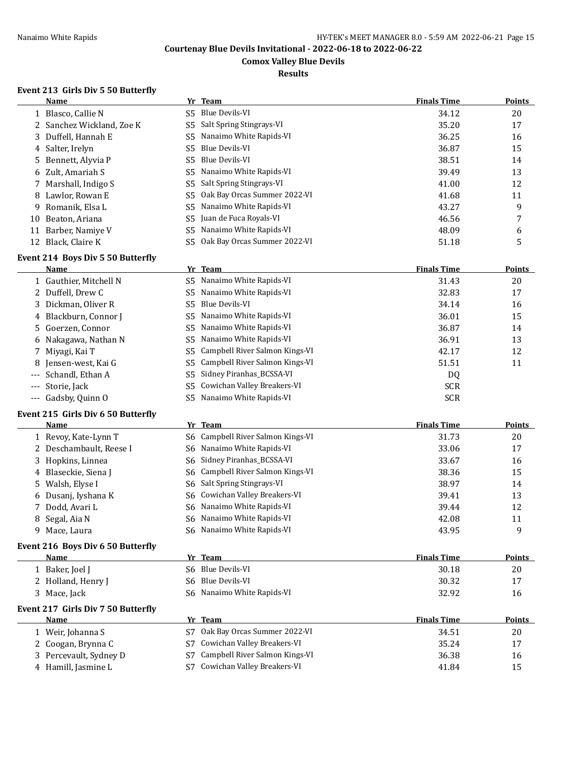**Comox Valley Blue Devils**

## **Results**

## **Event 213 Girls Div 5 50 Butterfly**

|    | Name                      |     | Yr Team                      | <b>Finals Time</b> | <b>Points</b> |
|----|---------------------------|-----|------------------------------|--------------------|---------------|
|    | 1 Blasco, Callie N        | S5. | Blue Devils-VI               | 34.12              | 20            |
|    | 2 Sanchez Wickland, Zoe K |     | S5 Salt Spring Stingrays-VI  | 35.20              | 17            |
|    | 3 Duffell, Hannah E       | S5. | Nanaimo White Rapids-VI      | 36.25              | 16            |
|    | 4 Salter, Irelyn          | S5. | Blue Devils-VI               | 36.87              | 15            |
|    | 5 Bennett, Alyvia P       | S5. | Blue Devils-VI               | 38.51              | 14            |
|    | 6 Zult, Amariah S         |     | S5 Nanaimo White Rapids-VI   | 39.49              | 13            |
|    | 7 Marshall, Indigo S      |     | S5 Salt Spring Stingrays-VI  | 41.00              | 12            |
|    | 8 Lawlor, Rowan E         | S5. | Oak Bay Orcas Summer 2022-VI | 41.68              | 11            |
|    | 9 Romanik, Elsa L         | S5. | Nanaimo White Rapids-VI      | 43.27              | 9             |
| 10 | Beaton, Ariana            |     | S5 Juan de Fuca Royals-VI    | 46.56              |               |
| 11 | Barber, Namiye V          | S5. | Nanaimo White Rapids-VI      | 48.09              | 6             |
|    | 12 Black, Claire K        | S5. | Oak Bay Orcas Summer 2022-VI | 51.18              | 5             |

#### **Event 214 Boys Div 5 50 Butterfly**

| <b>Name</b>            | Yr Team                            | <b>Finals Time</b> | <b>Points</b> |
|------------------------|------------------------------------|--------------------|---------------|
| 1 Gauthier, Mitchell N | Nanaimo White Rapids-VI<br>S5.     | 31.43              | 20            |
| 2 Duffell, Drew C      | Nanaimo White Rapids-VI<br>S5.     | 32.83              | 17            |
| 3 Dickman, Oliver R    | Blue Devils-VI<br>S5.              | 34.14              | 16            |
| 4 Blackburn, Connor J  | Nanaimo White Rapids-VI<br>S5.     | 36.01              | 15            |
| 5 Goerzen, Connor      | S5 Nanaimo White Rapids-VI         | 36.87              | 14            |
| 6 Nakagawa, Nathan N   | Nanaimo White Rapids-VI<br>S5.     | 36.91              | 13            |
| 7 Miyagi, Kai T        | S5 Campbell River Salmon Kings-VI  | 42.17              | 12            |
| 8 Jensen-west, Kai G   | S5 Campbell River Salmon Kings-VI  | 51.51              | 11            |
| --- Schandl, Ethan A   | S5 Sidney Piranhas_BCSSA-VI        | DQ                 |               |
| --- Storie, Jack       | Cowichan Valley Breakers-VI<br>S5. | <b>SCR</b>         |               |
| --- Gadsby, Quinn O    | Nanaimo White Rapids-VI<br>S5.     | <b>SCR</b>         |               |

#### **Event 215 Girls Div 6 50 Butterfly**

| Name                    | Yr Team                           | <b>Finals Time</b> | Points |
|-------------------------|-----------------------------------|--------------------|--------|
| 1 Revoy, Kate-Lynn T    | S6 Campbell River Salmon Kings-VI | 31.73              | 20     |
| 2 Deschambault, Reese I | S6 Nanaimo White Rapids-VI        | 33.06              | 17     |
| 3 Hopkins, Linnea       | S6 Sidney Piranhas_BCSSA-VI       | 33.67              | 16     |
| 4 Blaseckie, Siena J    | S6 Campbell River Salmon Kings-VI | 38.36              | 15     |
| 5 Walsh, Elyse I        | S6 Salt Spring Stingrays-VI       | 38.97              | 14     |
| 6 Dusanj, Iyshana K     | S6 Cowichan Valley Breakers-VI    | 39.41              | 13     |
| 7 Dodd, Avari L         | S6 Nanaimo White Rapids-VI        | 39.44              | 12     |
| 8 Segal, Aia N          | S6 Nanaimo White Rapids-VI        | 42.08              | 11     |
| 9 Mace, Laura           | S6 Nanaimo White Rapids-VI        | 43.95              | 9      |

#### **Event 216 Boys Div 6 50 Butterfly**

| Name               | Team<br>Vr 1               | <b>Finals Time</b> | Points |
|--------------------|----------------------------|--------------------|--------|
| 1 Baker, Joel J    | S6 Blue Devils-VI          | 30.18              | 20     |
| 2 Holland, Henry J | S6 Blue Devils-VI          | 30.32              |        |
| Mace, Jack         | S6 Nanaimo White Rapids-VI | 32.92              | 16     |

#### **Event 217 Girls Div 7 50 Butterfly**

| <b>Name</b>            | Yr Team                               | <b>Finals Time</b> | <b>Points</b> |
|------------------------|---------------------------------------|--------------------|---------------|
| Weir, Johanna S        | Oak Bay Orcas Summer 2022-VI<br>S7    | 34.51              | 20            |
| 2 Coogan, Brynna C     | Cowichan Valley Breakers-VI<br>S7     | 35.24              | 17            |
| 3 Percevault, Sydney D | Campbell River Salmon Kings-VI<br>-S7 | 36.38              | 16            |
| 4 Hamill, Jasmine L    | Cowichan Valley Breakers-VI<br>S7     | 41.84              | 15            |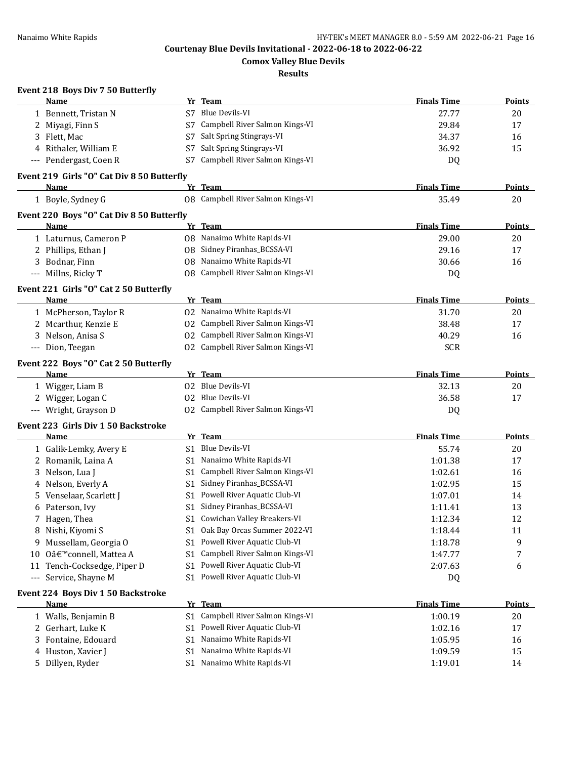**Comox Valley Blue Devils**

#### **Results**

## **Event 218 Boys Div 7 50 Butterfly**

|                      | Name                                       |                | Yr Team                           | <b>Finals Time</b> | <b>Points</b> |
|----------------------|--------------------------------------------|----------------|-----------------------------------|--------------------|---------------|
|                      | 1 Bennett, Tristan N                       |                | S7 Blue Devils-VI                 | 27.77              | 20            |
|                      | 2 Miyagi, Finn S                           | S7             | Campbell River Salmon Kings-VI    | 29.84              | 17            |
|                      | 3 Flett, Mac                               | S7             | Salt Spring Stingrays-VI          | 34.37              | 16            |
|                      | 4 Rithaler, William E                      | S7             | Salt Spring Stingrays-VI          | 36.92              | 15            |
|                      | --- Pendergast, Coen R                     |                | S7 Campbell River Salmon Kings-VI | DQ                 |               |
|                      | Event 219 Girls "O" Cat Div 8 50 Butterfly |                |                                   |                    |               |
|                      | Name                                       |                | Yr Team                           | <b>Finals Time</b> | <b>Points</b> |
|                      | 1 Boyle, Sydney G                          |                | 08 Campbell River Salmon Kings-VI | 35.49              | 20            |
|                      | Event 220 Boys "O" Cat Div 8 50 Butterfly  |                |                                   |                    |               |
|                      | Name                                       |                | Yr Team                           | <b>Finals Time</b> | <b>Points</b> |
|                      | 1 Laturnus, Cameron P                      |                | 08 Nanaimo White Rapids-VI        | 29.00              | 20            |
|                      | 2 Phillips, Ethan J                        |                | 08 Sidney Piranhas_BCSSA-VI       | 29.16              | 17            |
|                      | 3 Bodnar, Finn                             |                | 08 Nanaimo White Rapids-VI        | 30.66              | 16            |
|                      | --- Millns, Ricky T                        |                | 08 Campbell River Salmon Kings-VI | DQ                 |               |
|                      | Event 221 Girls "O" Cat 2 50 Butterfly     |                |                                   |                    |               |
|                      | Name                                       |                | Yr Team                           | <b>Finals Time</b> | <b>Points</b> |
|                      | 1 McPherson, Taylor R                      |                | 02 Nanaimo White Rapids-VI        | 31.70              | 20            |
|                      | 2 Mcarthur, Kenzie E                       |                | 02 Campbell River Salmon Kings-VI | 38.48              | 17            |
|                      | 3 Nelson, Anisa S                          |                | 02 Campbell River Salmon Kings-VI | 40.29              | 16            |
|                      | --- Dion, Teegan                           |                | 02 Campbell River Salmon Kings-VI | <b>SCR</b>         |               |
|                      | Event 222 Boys "O" Cat 2 50 Butterfly      |                |                                   |                    |               |
|                      | Name                                       |                | Yr Team                           | <b>Finals Time</b> | <b>Points</b> |
|                      | 1 Wigger, Liam B                           |                | 02 Blue Devils-VI                 | 32.13              | 20            |
|                      | 2 Wigger, Logan C                          |                | 02 Blue Devils-VI                 | 36.58              | 17            |
|                      | --- Wright, Grayson D                      |                | 02 Campbell River Salmon Kings-VI | DQ                 |               |
|                      | Event 223 Girls Div 1 50 Backstroke        |                |                                   |                    |               |
|                      | Name                                       |                | Yr Team                           | <b>Finals Time</b> | <b>Points</b> |
|                      | 1 Galik-Lemky, Avery E                     |                | S1 Blue Devils-VI                 | 55.74              | 20            |
|                      | 2 Romanik, Laina A                         |                | S1 Nanaimo White Rapids-VI        | 1:01.38            | 17            |
|                      | 3 Nelson, Lua J                            |                | S1 Campbell River Salmon Kings-VI | 1:02.61            | 16            |
|                      | 4 Nelson, Everly A                         | S1             | Sidney Piranhas_BCSSA-VI          | 1:02.95            | 15            |
|                      | 5 Venselaar, Scarlett J                    |                | S1 Powell River Aquatic Club-VI   | 1:07.01            | 14            |
|                      | 6 Paterson, Ivy                            | S1             | Sidney Piranhas_BCSSA-VI          | 1:11.41            | 13            |
|                      | 7 Hagen, Thea                              |                | S1 Cowichan Valley Breakers-VI    | 1:12.34            | 12            |
|                      | 8 Nishi, Kiyomi S                          |                | S1 Oak Bay Orcas Summer 2022-VI   | 1:18.44            | 11            |
| 9.                   | Mussellam, Georgia O                       | S1             | Powell River Aquatic Club-VI      | 1:18.78            | 9             |
| 10                   | O'connell, Mattea A                        | S1             | Campbell River Salmon Kings-VI    | 1:47.77            | 7             |
| 11                   | Tench-Cocksedge, Piper D                   | S1             | Powell River Aquatic Club-VI      | 2:07.63            | 6             |
| $\scriptstyle\cdots$ | Service, Shayne M                          |                | S1 Powell River Aquatic Club-VI   | DQ                 |               |
|                      | Event 224 Boys Div 1 50 Backstroke         |                |                                   |                    |               |
|                      | <u>Name</u>                                |                | Yr Team                           | <b>Finals Time</b> | <b>Points</b> |
|                      | 1 Walls, Benjamin B                        | S1             | Campbell River Salmon Kings-VI    | 1:00.19            | 20            |
|                      | 2 Gerhart, Luke K                          | S1             | Powell River Aquatic Club-VI      | 1:02.16            | 17            |
| 3                    | Fontaine, Edouard                          | S <sub>1</sub> | Nanaimo White Rapids-VI           | 1:05.95            | 16            |
|                      | 4 Huston, Xavier J                         | S <sub>1</sub> | Nanaimo White Rapids-VI           | 1:09.59            | 15            |
|                      | 5 Dillyen, Ryder                           |                | S1 Nanaimo White Rapids-VI        | 1:19.01            | 14            |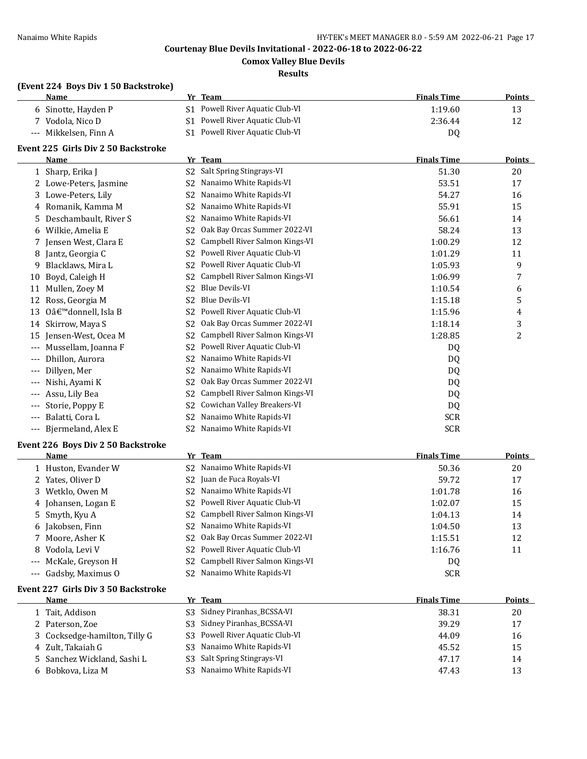**Comox Valley Blue Devils**

#### **Results**

## **(Event 224 Boys Div 1 50 Backstroke)**

| Name                  | Team<br>Vr.                     | <b>Finals Time</b> | Points |
|-----------------------|---------------------------------|--------------------|--------|
| 6 Sinotte, Hayden P   | S1 Powell River Aquatic Club-VI | 1:19.60            |        |
| 7 Vodola. Nico D      | S1 Powell River Aquatic Club-VI | 2:36.44            |        |
| --- Mikkelsen. Finn A | S1 Powell River Aquatic Club-VI | D <sub>0</sub>     |        |

## **Event 225 Girls Div 2 50 Backstroke**

|       | Name                                      | Yr             | <b>Team</b>                    | <b>Finals Time</b> | <b>Points</b> |
|-------|-------------------------------------------|----------------|--------------------------------|--------------------|---------------|
|       | Sharp, Erika J                            | S <sub>2</sub> | Salt Spring Stingrays-VI       | 51.30              | 20            |
| 2     | Lowe-Peters, Jasmine                      | S <sub>2</sub> | Nanaimo White Rapids-VI        | 53.51              | 17            |
| 3     | Lowe-Peters, Lily                         | S <sub>2</sub> | Nanaimo White Rapids-VI        | 54.27              | 16            |
| 4     | Romanik, Kamma M                          | S <sub>2</sub> | Nanaimo White Rapids-VI        | 55.91              | 15            |
| 5.    | Deschambault, River S                     | S <sub>2</sub> | Nanaimo White Rapids-VI        | 56.61              | 14            |
| 6     | Wilkie, Amelia E                          | S <sub>2</sub> | Oak Bay Orcas Summer 2022-VI   | 58.24              | 13            |
| 7     | Jensen West, Clara E                      | S <sub>2</sub> | Campbell River Salmon Kings-VI | 1:00.29            | 12            |
| 8     | Jantz, Georgia C                          | S2             | Powell River Aquatic Club-VI   | 1:01.29            | 11            |
| 9     | Blacklaws, Mira L                         | S <sub>2</sub> | Powell River Aquatic Club-VI   | 1:05.93            | 9             |
| 10    | Boyd, Caleigh H                           | S <sub>2</sub> | Campbell River Salmon Kings-VI | 1:06.99            |               |
| 11    | Mullen, Zoey M                            | S <sub>2</sub> | <b>Blue Devils-VI</b>          | 1:10.54            | 6             |
| 12    | Ross, Georgia M                           | S <sub>2</sub> | <b>Blue Devils-VI</b>          | 1:15.18            | 5             |
| 13    | O'donnell, Isla B                         | S <sub>2</sub> | Powell River Aquatic Club-VI   | 1:15.96            | 4             |
| 14    | Skirrow, Maya S                           | S <sub>2</sub> | Oak Bay Orcas Summer 2022-VI   | 1:18.14            | 3             |
| 15    | Jensen-West, Ocea M                       | S2             | Campbell River Salmon Kings-VI | 1:28.85            | 2             |
| ---   | Mussellam, Joanna F                       | S2             | Powell River Aquatic Club-VI   | D <sub>0</sub>     |               |
| ---   | Dhillon, Aurora                           | S <sub>2</sub> | Nanaimo White Rapids-VI        | DQ                 |               |
| $---$ | Dillyen, Mer                              | S2             | Nanaimo White Rapids-VI        | DQ                 |               |
| ---   | Nishi, Ayami K                            | S <sub>2</sub> | Oak Bay Orcas Summer 2022-VI   | DQ                 |               |
| $---$ | Assu, Lily Bea                            | S <sub>2</sub> | Campbell River Salmon Kings-VI | DQ                 |               |
| $---$ | Storie, Poppy E                           | S2             | Cowichan Valley Breakers-VI    | DQ                 |               |
| $---$ | Balatti, Cora L                           | S <sub>2</sub> | Nanaimo White Rapids-VI        | <b>SCR</b>         |               |
|       | --- Bjermeland, Alex E                    | S2             | Nanaimo White Rapids-VI        | <b>SCR</b>         |               |
|       | <b>Event 226 Boys Div 2 50 Backstroke</b> |                |                                |                    |               |
|       | Name                                      |                | Yr Team                        | <b>Finals Time</b> | <b>Points</b> |

| <b>Name</b>           | rr leam                                       | <b>Finals Time</b> | <b>POINTS</b> |
|-----------------------|-----------------------------------------------|--------------------|---------------|
| 1 Huston, Evander W   | Nanaimo White Rapids-VI<br>S2                 | 50.36              | 20            |
| 2 Yates, Oliver D     | S <sub>2</sub> Juan de Fuca Royals-VI         | 59.72              | 17            |
| 3 Wetklo, Owen M      | Nanaimo White Rapids-VI<br>S2.                | 1:01.78            | 16            |
| 4 Johansen, Logan E   | S2 Powell River Aquatic Club-VI               | 1:02.07            | 15            |
| 5 Smyth, Kyu A        | S <sub>2</sub> Campbell River Salmon Kings-VI | 1:04.13            | 14            |
| 6 Jakobsen, Finn      | S <sub>2</sub> Nanaimo White Rapids-VI        | 1:04.50            | 13            |
| 7 Moore, Asher K      | S <sub>2</sub> Oak Bay Orcas Summer 2022-VI   | 1:15.51            | 12            |
| Vodola, Levi V<br>8.  | S <sub>2</sub> Powell River Aquatic Club-VI   | 1:16.76            | 11            |
| --- McKale, Greyson H | S <sub>2</sub> Campbell River Salmon Kings-VI | DQ                 |               |
| --- Gadsby, Maximus 0 | Nanaimo White Rapids-VI<br>S2                 | <b>SCR</b>         |               |

#### **Event 227 Girls Div 3 50 Backstroke**

| <b>Name</b>                   | Yr Team                         | <b>Finals Time</b> | Points |
|-------------------------------|---------------------------------|--------------------|--------|
| 1 Tait, Addison               | S3 Sidney Piranhas_BCSSA-VI     | 38.31              | 20     |
| 2 Paterson, Zoe               | S3 Sidney Piranhas_BCSSA-VI     | 39.29              | 17     |
| 3 Cocksedge-hamilton, Tilly G | S3 Powell River Aquatic Club-VI | 44.09              | 16     |
| 4 Zult, Takaiah G             | S3 Nanaimo White Rapids-VI      | 45.52              | 15     |
| 5 Sanchez Wickland, Sashi L   | S3 Salt Spring Stingrays-VI     | 47.17              | 14     |
| 6 Bobkova, Liza M             | S3 Nanaimo White Rapids-VI      | 47.43              | 13     |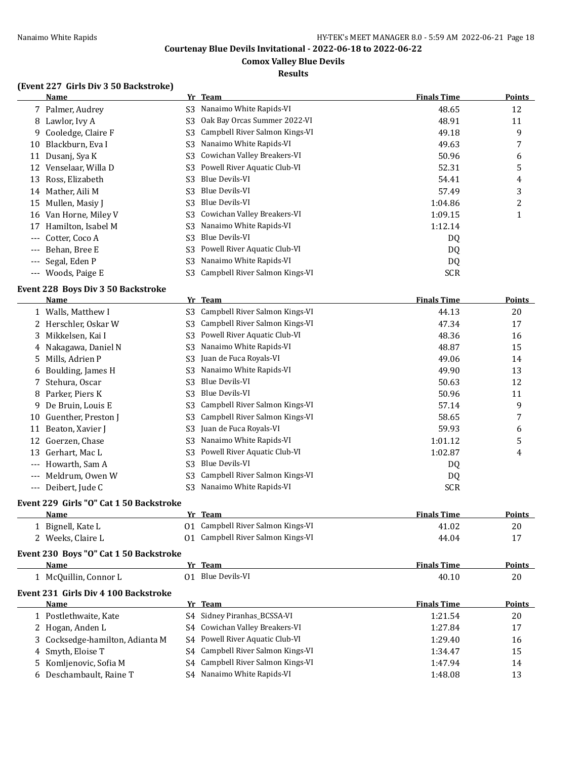#### **Comox Valley Blue Devils**

#### **Results**

#### **(Event 227 Girls Div 3 50 Backstroke)**

|                     | Name                  |                | Yr Team                        | <b>Finals Time</b> | <b>Points</b> |
|---------------------|-----------------------|----------------|--------------------------------|--------------------|---------------|
|                     | 7 Palmer, Audrey      |                | S3 Nanaimo White Rapids-VI     | 48.65              | 12            |
|                     | 8 Lawlor, Ivy A       | S3             | Oak Bay Orcas Summer 2022-VI   | 48.91              | 11            |
| 9.                  | Cooledge, Claire F    | S3             | Campbell River Salmon Kings-VI | 49.18              | 9             |
| 10                  | Blackburn, Eva I      | S3.            | Nanaimo White Rapids-VI        | 49.63              | 7             |
| 11                  | Dusanj, Sya K         |                | S3 Cowichan Valley Breakers-VI | 50.96              | 6             |
| 12                  | Venselaar, Willa D    | S3             | Powell River Aquatic Club-VI   | 52.31              | 5             |
| 13                  | Ross, Elizabeth       | S3.            | Blue Devils-VI                 | 54.41              | 4             |
| 14                  | Mather, Aili M        | S3             | Blue Devils-VI                 | 57.49              | 3             |
| 15                  | Mullen, Masiy J       | S3             | Blue Devils-VI                 | 1:04.86            | 2             |
|                     | 16 Van Horne, Miley V |                | S3 Cowichan Valley Breakers-VI | 1:09.15            |               |
| 17                  | Hamilton, Isabel M    | S3.            | Nanaimo White Rapids-VI        | 1:12.14            |               |
| $---$               | Cotter, Coco A        | S <sub>3</sub> | Blue Devils-VI                 | DQ                 |               |
| $\qquad \qquad - -$ | Behan, Bree E         | S3             | Powell River Aquatic Club-VI   | DQ                 |               |
| $\qquad \qquad -$   | Segal, Eden P         | S3.            | Nanaimo White Rapids-VI        | DQ                 |               |
| $\qquad \qquad - -$ | Woods, Paige E        | S3 -           | Campbell River Salmon Kings-VI | <b>SCR</b>         |               |

#### **Event 228 Boys Div 3 50 Backstroke**

|                     | <b>Name</b>          |     | Yr Team                        | <b>Finals Time</b> | <b>Points</b> |
|---------------------|----------------------|-----|--------------------------------|--------------------|---------------|
|                     | 1 Walls, Matthew I   | S3. | Campbell River Salmon Kings-VI | 44.13              | 20            |
|                     | 2 Herschler, Oskar W | S3. | Campbell River Salmon Kings-VI | 47.34              | 17            |
|                     | 3 Mikkelsen, Kai I   | S3  | Powell River Aquatic Club-VI   | 48.36              | 16            |
|                     | 4 Nakagawa, Daniel N | S3  | Nanaimo White Rapids-VI        | 48.87              | 15            |
|                     | 5 Mills, Adrien P    | S3  | Juan de Fuca Royals-VI         | 49.06              | 14            |
|                     | 6 Boulding, James H  | S3  | Nanaimo White Rapids-VI        | 49.90              | 13            |
|                     | 7 Stehura, Oscar     | S3  | Blue Devils-VI                 | 50.63              | 12            |
| 8                   | Parker, Piers K      | S3  | Blue Devils-VI                 | 50.96              | 11            |
| 9                   | De Bruin, Louis E    | S3  | Campbell River Salmon Kings-VI | 57.14              | 9             |
| 10                  | Guenther, Preston J  | S3  | Campbell River Salmon Kings-VI | 58.65              | 7             |
| 11                  | Beaton, Xavier J     | S3  | Juan de Fuca Royals-VI         | 59.93              | 6             |
| 12                  | Goerzen, Chase       | S3  | Nanaimo White Rapids-VI        | 1:01.12            | 5             |
| 13                  | Gerhart, Mac L       | S3  | Powell River Aquatic Club-VI   | 1:02.87            | 4             |
| $---$               | Howarth, Sam A       | S3  | Blue Devils-VI                 | DQ                 |               |
| $---$               | Meldrum, Owen W      | S3  | Campbell River Salmon Kings-VI | DQ                 |               |
| $\qquad \qquad - -$ | Deibert, Jude C      | S3  | Nanaimo White Rapids-VI        | <b>SCR</b>         |               |

## **Event 229 Girls "O" Cat 1 50 Backstroke**

| <b>Name</b>       | Yr Team                           | <b>Finals Time</b> | <b>Points</b> |
|-------------------|-----------------------------------|--------------------|---------------|
| 1 Bignell, Kate L | 01 Campbell River Salmon Kings-VI | 41.02              | 20            |
| Weeks, Claire L   | 01 Campbell River Salmon Kings-VI | 44.04              |               |

#### **Event 230 Boys "O" Cat 1 50 Backstroke**

| <b>Name</b>         | Team<br>Vr           | <b>Finals Time</b> | <b>Points</b> |
|---------------------|----------------------|--------------------|---------------|
| McQuillin, Connor L | Blue Devils-VI<br>01 | 40.10              | 20            |

## **Event 231 Girls Div 4 100 Backstroke**

| Name                            | Yr Team                           | <b>Finals Time</b> | <b>Points</b> |
|---------------------------------|-----------------------------------|--------------------|---------------|
| 1 Postlethwaite, Kate           | S4 Sidney Piranhas_BCSSA-VI       | 1:21.54            | 20            |
| 2 Hogan, Anden L                | S4 Cowichan Valley Breakers-VI    | 1:27.84            | 17            |
| 3 Cocksedge-hamilton, Adianta M | S4 Powell River Aquatic Club-VI   | 1:29.40            | 16            |
| 4 Smyth, Eloise T               | S4 Campbell River Salmon Kings-VI | 1:34.47            | 15            |
| 5 Komljenovic, Sofia M          | S4 Campbell River Salmon Kings-VI | 1:47.94            | 14            |
| 6 Deschambault, Raine T         | S4 Nanaimo White Rapids-VI        | 1:48.08            | 13            |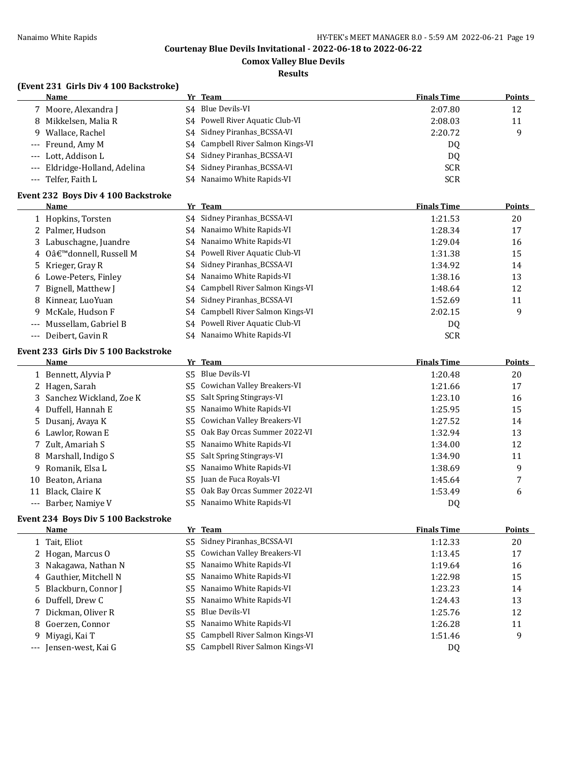**Comox Valley Blue Devils**

#### **Results**

## **(Event 231 Girls Div 4 100 Backstroke)**

| Name                          |    | Yr Team                           | <b>Finals Time</b> | Points |
|-------------------------------|----|-----------------------------------|--------------------|--------|
| 7 Moore, Alexandra J          |    | S <sub>4</sub> Blue Devils-VI     | 2:07.80            | 12     |
| 8 Mikkelsen, Malia R          |    | S4 Powell River Aquatic Club-VI   | 2:08.03            | 11     |
| 9 Wallace, Rachel             |    | S4 Sidney Piranhas BCSSA-VI       | 2:20.72            | q      |
| --- Freund, Amy M             |    | S4 Campbell River Salmon Kings-VI | DO.                |        |
| --- Lott, Addison L           |    | S4 Sidney Piranhas_BCSSA-VI       | DQ                 |        |
| --- Eldridge-Holland, Adelina |    | S4 Sidney Piranhas_BCSSA-VI       | <b>SCR</b>         |        |
| --- Telfer, Faith L           | S4 | Nanaimo White Rapids-VI           | <b>SCR</b>         |        |

## **Event 232 Boys Div 4 100 Backstroke**

| Name                     | Yr Team                           | <b>Finals Time</b> | Points |
|--------------------------|-----------------------------------|--------------------|--------|
| 1 Hopkins, Torsten       | S4 Sidney Piranhas_BCSSA-VI       | 1:21.53            | 20     |
| 2 Palmer, Hudson         | S4 Nanaimo White Rapids-VI        | 1:28.34            | 17     |
| 3 Labuschagne, Juandre   | S4 Nanaimo White Rapids-VI        | 1:29.04            | 16     |
| 4 O'donnell, Russell M   | S4 Powell River Aquatic Club-VI   | 1:31.38            | 15     |
| 5 Krieger, Gray R        | S4 Sidney Piranhas_BCSSA-VI       | 1:34.92            | 14     |
| 6 Lowe-Peters, Finley    | S4 Nanaimo White Rapids-VI        | 1:38.16            | 13     |
| 7 Bignell, Matthew J     | S4 Campbell River Salmon Kings-VI | 1:48.64            | 12     |
| 8 Kinnear, LuoYuan       | S4 Sidney Piranhas_BCSSA-VI       | 1:52.69            | 11     |
| 9 McKale, Hudson F       | S4 Campbell River Salmon Kings-VI | 2:02.15            | 9      |
| --- Mussellam, Gabriel B | S4 Powell River Aquatic Club-VI   | DQ                 |        |
| --- Deibert, Gavin R     | S4 Nanaimo White Rapids-VI        | <b>SCR</b>         |        |

#### **Event 233 Girls Div 5 100 Backstroke**

| Name                      | Yr Team                         | <b>Finals Time</b> | <b>Points</b> |
|---------------------------|---------------------------------|--------------------|---------------|
| 1 Bennett, Alyvia P       | S5 Blue Devils-VI               | 1:20.48            | 20            |
| 2 Hagen, Sarah            | S5 Cowichan Valley Breakers-VI  | 1:21.66            | 17            |
| 3 Sanchez Wickland, Zoe K | S5 Salt Spring Stingrays-VI     | 1:23.10            | 16            |
| 4 Duffell, Hannah E       | S5 Nanaimo White Rapids-VI      | 1:25.95            | 15            |
| 5 Dusanj, Avaya K         | S5 Cowichan Valley Breakers-VI  | 1:27.52            | 14            |
| 6 Lawlor, Rowan E         | S5 Oak Bay Orcas Summer 2022-VI | 1:32.94            | 13            |
| 7 Zult, Amariah S         | S5 Nanaimo White Rapids-VI      | 1:34.00            | 12            |
| 8 Marshall, Indigo S      | S5 Salt Spring Stingrays-VI     | 1:34.90            | 11            |
| 9 Romanik, Elsa L         | S5 Nanaimo White Rapids-VI      | 1:38.69            | 9             |
| 10 Beaton, Ariana         | S5 Juan de Fuca Royals-VI       | 1:45.64            | 7             |
| 11 Black, Claire K        | S5 Oak Bay Orcas Summer 2022-VI | 1:53.49            | 6             |
| --- Barber, Namiye V      | S5 Nanaimo White Rapids-VI      | DQ                 |               |
|                           |                                 |                    |               |

#### **Event 234 Boys Div 5 100 Backstroke**

| <b>Name</b>            | Yr Team                           | <b>Finals Time</b> | <b>Points</b> |
|------------------------|-----------------------------------|--------------------|---------------|
| 1 Tait, Eliot          | S5 Sidney Piranhas_BCSSA-VI       | 1:12.33            | 20            |
| 2 Hogan, Marcus O      | S5 Cowichan Valley Breakers-VI    | 1:13.45            | 17            |
| 3 Nakagawa, Nathan N   | S5 Nanaimo White Rapids-VI        | 1:19.64            | 16            |
| 4 Gauthier, Mitchell N | Nanaimo White Rapids-VI<br>S5.    | 1:22.98            | 15            |
| 5 Blackburn, Connor J  | S5 Nanaimo White Rapids-VI        | 1:23.23            | 14            |
| 6 Duffell, Drew C      | S5 Nanaimo White Rapids-VI        | 1:24.43            | 13            |
| 7 Dickman, Oliver R    | Blue Devils-VI<br>S5 -            | 1:25.76            | 12            |
| 8 Goerzen, Connor      | Nanaimo White Rapids-VI<br>S5.    | 1:26.28            | 11            |
| 9 Miyagi, Kai T        | S5 Campbell River Salmon Kings-VI | 1:51.46            | 9             |
| --- Jensen-west, Kai G | S5 Campbell River Salmon Kings-VI | DQ                 |               |
|                        |                                   |                    |               |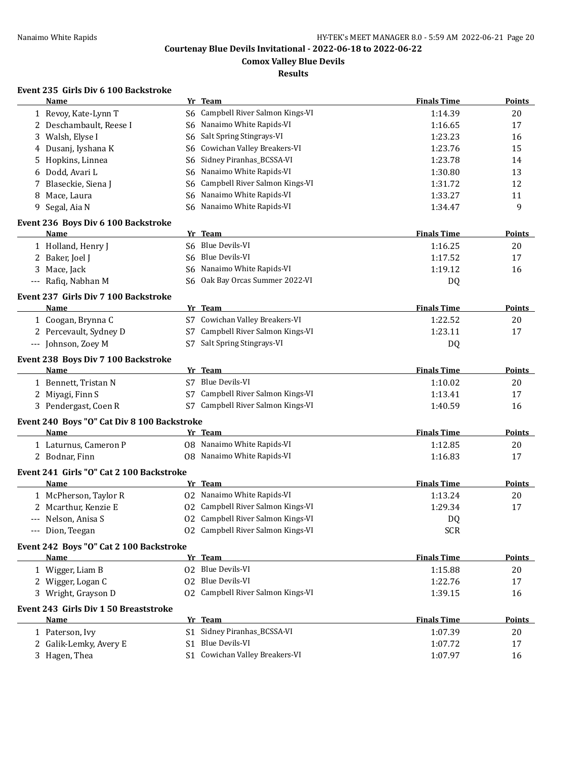**Comox Valley Blue Devils**

**Results**

## **Event 235 Girls Div 6 100 Backstroke**

| Name                                        |     | Yr Team                           | <b>Finals Time</b> | <b>Points</b> |
|---------------------------------------------|-----|-----------------------------------|--------------------|---------------|
| 1 Revoy, Kate-Lynn T                        | S6. | Campbell River Salmon Kings-VI    | 1:14.39            | 20            |
| 2 Deschambault, Reese I                     | S6  | Nanaimo White Rapids-VI           | 1:16.65            | 17            |
| Walsh, Elyse I<br>3                         | S6  | Salt Spring Stingrays-VI          | 1:23.23            | 16            |
| 4 Dusanj, Iyshana K                         | S6  | Cowichan Valley Breakers-VI       | 1:23.76            | 15            |
| Hopkins, Linnea<br>5                        | S6  | Sidney Piranhas_BCSSA-VI          | 1:23.78            | 14            |
| Dodd, Avari L<br>6                          | S6  | Nanaimo White Rapids-VI           | 1:30.80            | 13            |
| Blaseckie, Siena J<br>7                     | S6  | Campbell River Salmon Kings-VI    | 1:31.72            | 12            |
| Mace, Laura<br>8                            | S6  | Nanaimo White Rapids-VI           | 1:33.27            | 11            |
| Segal, Aia N<br>9                           | S6. | Nanaimo White Rapids-VI           | 1:34.47            | 9             |
| Event 236 Boys Div 6 100 Backstroke         |     |                                   |                    |               |
| Name                                        |     | Yr Team                           | <b>Finals Time</b> | <b>Points</b> |
| 1 Holland, Henry J                          |     | S6 Blue Devils-VI                 | 1:16.25            | 20            |
| 2 Baker, Joel J                             | S6. | Blue Devils-VI                    | 1:17.52            | 17            |
| 3 Mace, Jack                                |     | S6 Nanaimo White Rapids-VI        | 1:19.12            | 16            |
| --- Rafiq, Nabhan M                         | S6  | Oak Bay Orcas Summer 2022-VI      | DQ                 |               |
| Event 237 Girls Div 7 100 Backstroke        |     |                                   |                    |               |
| Name                                        |     | Yr Team                           | <b>Finals Time</b> | <b>Points</b> |
| 1 Coogan, Brynna C                          |     | S7 Cowichan Valley Breakers-VI    | 1:22.52            | 20            |
| 2 Percevault, Sydney D                      | S7  | Campbell River Salmon Kings-VI    | 1:23.11            | 17            |
| --- Johnson, Zoey M                         |     | S7 Salt Spring Stingrays-VI       | DQ                 |               |
| Event 238 Boys Div 7 100 Backstroke         |     |                                   |                    |               |
| Name                                        |     | Yr Team                           | <b>Finals Time</b> | <b>Points</b> |
| 1 Bennett, Tristan N                        |     | S7 Blue Devils-VI                 | 1:10.02            | 20            |
| 2 Miyagi, Finn S                            |     | S7 Campbell River Salmon Kings-VI | 1:13.41            | 17            |
| 3 Pendergast, Coen R                        |     | S7 Campbell River Salmon Kings-VI | 1:40.59            | 16            |
| Event 240 Boys "O" Cat Div 8 100 Backstroke |     |                                   |                    |               |
| Name                                        |     | Yr_Team                           | <b>Finals Time</b> | <b>Points</b> |
| 1 Laturnus, Cameron P                       |     | 08 Nanaimo White Rapids-VI        | 1:12.85            | 20            |
| 2 Bodnar, Finn                              |     | 08 Nanaimo White Rapids-VI        | 1:16.83            | 17            |
| Event 241 Girls "O" Cat 2 100 Backstroke    |     |                                   |                    |               |
| Name                                        |     | Yr Team                           | <b>Finals Time</b> | <b>Points</b> |
| 1 McPherson, Taylor R                       |     | 02 Nanaimo White Rapids-VI        | 1:13.24            | 20            |
| 2 Mcarthur, Kenzie E                        | 02  | Campbell River Salmon Kings-VI    | 1:29.34            | 17            |
| --- Nelson, Anisa S                         |     | 02 Campbell River Salmon Kings-VI | DQ                 |               |
| --- Dion, Teegan                            |     | 02 Campbell River Salmon Kings-VI | <b>SCR</b>         |               |
| Event 242 Boys "O" Cat 2 100 Backstroke     |     |                                   |                    |               |
| Name                                        |     | Yr Team                           | <b>Finals Time</b> | <b>Points</b> |
| 1 Wigger, Liam B                            |     | 02 Blue Devils-VI                 | 1:15.88            | 20            |
| 2 Wigger, Logan C                           |     | 02 Blue Devils-VI                 | 1:22.76            | 17            |
| 3 Wright, Grayson D                         |     | 02 Campbell River Salmon Kings-VI | 1:39.15            | 16            |
| Event 243 Girls Div 1 50 Breaststroke       |     |                                   |                    |               |
| Name                                        |     | Yr Team                           | <b>Finals Time</b> | <b>Points</b> |
| 1 Paterson, Ivy                             |     | S1 Sidney Piranhas_BCSSA-VI       | 1:07.39            | 20            |
| 2 Galik-Lemky, Avery E                      |     | S1 Blue Devils-VI                 | 1:07.72            | 17            |
| 3 Hagen, Thea                               |     | S1 Cowichan Valley Breakers-VI    | 1:07.97            | 16            |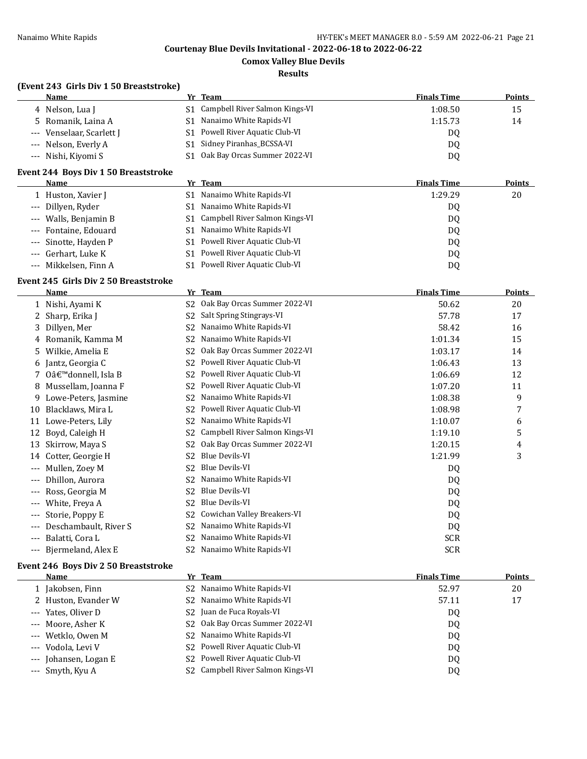**Comox Valley Blue Devils**

#### **Results**

## **(Event 243 Girls Div 1 50 Breaststroke)**

| Name                      | Yr Team                           | <b>Finals Time</b> | <b>Points</b> |
|---------------------------|-----------------------------------|--------------------|---------------|
| 4 Nelson, Lua J           | S1 Campbell River Salmon Kings-VI | 1:08.50            | 15            |
| 5 Romanik, Laina A        | S1 Nanaimo White Rapids-VI        | 1:15.73            | 14            |
| --- Venselaar, Scarlett J | S1 Powell River Aquatic Club-VI   | DO.                |               |
| --- Nelson, Everly A      | S1 Sidney Piranhas_BCSSA-VI       | DO.                |               |
| --- Nishi, Kiyomi S       | Oak Bay Orcas Summer 2022-VI      | DO.                |               |

#### **Event 244 Boys Div 1 50 Breaststroke**

| Name                  | Yr Team                             | <b>Finals Time</b> | Points |
|-----------------------|-------------------------------------|--------------------|--------|
| 1 Huston, Xavier J    | Nanaimo White Rapids-VI<br>S1.      | 1:29.29            | 20     |
| --- Dillyen, Ryder    | Nanaimo White Rapids-VI<br>S1.      | DQ                 |        |
| --- Walls, Benjamin B | S1 Campbell River Salmon Kings-VI   | DQ                 |        |
| --- Fontaine, Edouard | Nanaimo White Rapids-VI<br>S1.      | DQ.                |        |
| --- Sinotte, Hayden P | Powell River Aquatic Club-VI<br>S1. | DQ.                |        |
| --- Gerhart, Luke K   | Powell River Aquatic Club-VI<br>S1. | DQ                 |        |
| --- Mikkelsen, Finn A | Powell River Aquatic Club-VI<br>S1. | DQ                 |        |
|                       |                                     |                    |        |

#### **Event 245 Girls Div 2 50 Breaststroke**

|       | <b>Name</b>           | Yr | <b>Team</b>                    | <b>Finals Time</b> | Points |
|-------|-----------------------|----|--------------------------------|--------------------|--------|
|       | Nishi, Ayami K        | S2 | Oak Bay Orcas Summer 2022-VI   | 50.62              | 20     |
|       | Sharp, Erika J        | S2 | Salt Spring Stingrays-VI       | 57.78              | 17     |
| 3     | Dillyen, Mer          | S2 | Nanaimo White Rapids-VI        | 58.42              | 16     |
| 4     | Romanik, Kamma M      | S2 | Nanaimo White Rapids-VI        | 1:01.34            | 15     |
| 5.    | Wilkie, Amelia E      | S2 | Oak Bay Orcas Summer 2022-VI   | 1:03.17            | 14     |
| 6     | Jantz, Georgia C      | S2 | Powell River Aquatic Club-VI   | 1:06.43            | 13     |
|       | 0'donnell, Isla B     | S2 | Powell River Aquatic Club-VI   | 1:06.69            | 12     |
| 8     | Mussellam, Joanna F   | S2 | Powell River Aquatic Club-VI   | 1:07.20            | 11     |
| 9     | Lowe-Peters, Jasmine  | S2 | Nanaimo White Rapids-VI        | 1:08.38            | 9      |
| 10    | Blacklaws, Mira L     | S2 | Powell River Aquatic Club-VI   | 1:08.98            | 7      |
| 11    | Lowe-Peters, Lily     | S2 | Nanaimo White Rapids-VI        | 1:10.07            | 6      |
| 12    | Boyd, Caleigh H       | S2 | Campbell River Salmon Kings-VI | 1:19.10            | 5      |
| 13    | Skirrow, Maya S       | S2 | Oak Bay Orcas Summer 2022-VI   | 1:20.15            | 4      |
| 14    | Cotter, Georgie H     | S2 | <b>Blue Devils-VI</b>          | 1:21.99            | 3      |
| ---   | Mullen, Zoey M        | S2 | <b>Blue Devils-VI</b>          | DQ                 |        |
| ---   | Dhillon, Aurora       | S2 | Nanaimo White Rapids-VI        | DQ                 |        |
| ---   | Ross, Georgia M       | S2 | <b>Blue Devils-VI</b>          | DQ                 |        |
|       | White, Freya A        | S2 | <b>Blue Devils-VI</b>          | DQ                 |        |
| ---   | Storie, Poppy E       | S2 | Cowichan Valley Breakers-VI    | DQ                 |        |
|       | Deschambault, River S | S2 | Nanaimo White Rapids-VI        | DQ                 |        |
| ---   | Balatti, Cora L       | S2 | Nanaimo White Rapids-VI        | SCR                |        |
| $---$ | Bjermeland, Alex E    | S2 | Nanaimo White Rapids-VI        | <b>SCR</b>         |        |

#### **Event 246 Boys Div 2 50 Breaststroke**

| Name                  | Yr Team                               | <b>Finals Time</b> | <b>Points</b> |
|-----------------------|---------------------------------------|--------------------|---------------|
| 1 Jakobsen, Finn      | S2 Nanaimo White Rapids-VI            | 52.97              | 20            |
| 2 Huston, Evander W   | S2 Nanaimo White Rapids-VI            | 57.11              | 17            |
| --- Yates, Oliver D   | S <sub>2</sub> Juan de Fuca Royals-VI | DQ                 |               |
| --- Moore, Asher K    | Oak Bay Orcas Summer 2022-VI<br>S2.   | DQ                 |               |
| --- Wetklo, Owen M    | S2 Nanaimo White Rapids-VI            | DQ                 |               |
| --- Vodola, Levi V    | S2 Powell River Aquatic Club-VI       | DQ                 |               |
| --- Johansen, Logan E | S2 Powell River Aquatic Club-VI       | DQ                 |               |
| --- Smyth, Kyu A      | Campbell River Salmon Kings-VI<br>S2. | DQ                 |               |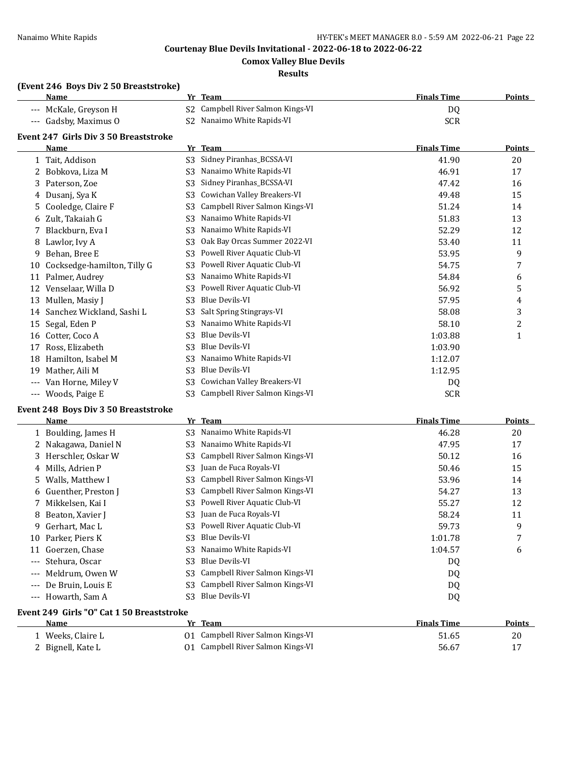**Comox Valley Blue Devils**

#### **Results**

## **(Event 246 Boys Div 2 50 Breaststroke)**

|       | <b>Name</b>                                  | Yr             | <b>Team</b>                    | <b>Finals Time</b> | <b>Points</b>  |
|-------|----------------------------------------------|----------------|--------------------------------|--------------------|----------------|
| ---   | McKale, Greyson H                            | S <sub>2</sub> | Campbell River Salmon Kings-VI | DQ                 |                |
| $---$ | Gadsby, Maximus O                            | S <sub>2</sub> | Nanaimo White Rapids-VI        | <b>SCR</b>         |                |
|       | <b>Event 247 Girls Div 3 50 Breaststroke</b> |                |                                |                    |                |
|       | Name                                         |                | Yr Team                        | <b>Finals Time</b> | <b>Points</b>  |
|       | 1 Tait, Addison                              | S <sub>3</sub> | Sidney Piranhas_BCSSA-VI       | 41.90              | 20             |
| 2     | Bobkova, Liza M                              | S <sub>3</sub> | Nanaimo White Rapids-VI        | 46.91              | 17             |
| 3     | Paterson, Zoe                                | S <sub>3</sub> | Sidney Piranhas_BCSSA-VI       | 47.42              | 16             |
| 4     | Dusanj, Sya K                                | S3             | Cowichan Valley Breakers-VI    | 49.48              | 15             |
| 5     | Cooledge, Claire F                           | S <sub>3</sub> | Campbell River Salmon Kings-VI | 51.24              | 14             |
| 6     | Zult, Takaiah G                              | S <sub>3</sub> | Nanaimo White Rapids-VI        | 51.83              | 13             |
|       | Blackburn, Eva I                             | S3             | Nanaimo White Rapids-VI        | 52.29              | 12             |
| 8     | Lawlor, Ivy A                                | S <sub>3</sub> | Oak Bay Orcas Summer 2022-VI   | 53.40              | 11             |
| 9     | Behan, Bree E                                | S <sub>3</sub> | Powell River Aquatic Club-VI   | 53.95              | 9              |
| 10    | Cocksedge-hamilton, Tilly G                  | S <sub>3</sub> | Powell River Aquatic Club-VI   | 54.75              | 7              |
| 11    | Palmer, Audrey                               | S <sub>3</sub> | Nanaimo White Rapids-VI        | 54.84              | 6              |
| 12    | Venselaar, Willa D                           | S <sub>3</sub> | Powell River Aquatic Club-VI   | 56.92              | 5              |
| 13    | Mullen, Masiy J                              | S <sub>3</sub> | <b>Blue Devils-VI</b>          | 57.95              | 4              |
| 14    | Sanchez Wickland, Sashi L                    | S <sub>3</sub> | Salt Spring Stingrays-VI       | 58.08              | 3              |
| 15    | Segal, Eden P                                | S <sub>3</sub> | Nanaimo White Rapids-VI        | 58.10              | $\overline{c}$ |
| 16    | Cotter, Coco A                               | S3             | <b>Blue Devils-VI</b>          | 1:03.88            | 1              |
| 17    | Ross. Elizabeth                              | S <sub>3</sub> | <b>Blue Devils-VI</b>          | 1:03.90            |                |
| 18    | Hamilton, Isabel M                           | S3             | Nanaimo White Rapids-VI        | 1:12.07            |                |
| 19    | Mather, Aili M                               | S <sub>3</sub> | <b>Blue Devils-VI</b>          | 1:12.95            |                |
|       | Van Horne, Miley V                           | S3             | Cowichan Valley Breakers-VI    | DQ                 |                |
| ---   | Woods, Paige E                               | S3             | Campbell River Salmon Kings-VI | <b>SCR</b>         |                |

#### **Event 248 Boys Div 3 50 Breaststroke**

|                     | Name                  |     | Yr Team                        | <b>Finals Time</b> | <b>Points</b> |
|---------------------|-----------------------|-----|--------------------------------|--------------------|---------------|
|                     | 1 Boulding, James H   | S3  | Nanaimo White Rapids-VI        | 46.28              | 20            |
|                     | 2 Nakagawa, Daniel N  | S3  | Nanaimo White Rapids-VI        | 47.95              | 17            |
|                     | 3 Herschler, Oskar W  | S3  | Campbell River Salmon Kings-VI | 50.12              | 16            |
|                     | 4 Mills, Adrien P     | S3. | Juan de Fuca Royals-VI         | 50.46              | 15            |
|                     | 5 Walls, Matthew I    | S3  | Campbell River Salmon Kings-VI | 53.96              | 14            |
|                     | 6 Guenther, Preston J | S3  | Campbell River Salmon Kings-VI | 54.27              | 13            |
|                     | 7 Mikkelsen, Kai I    | S3. | Powell River Aquatic Club-VI   | 55.27              | 12            |
|                     | 8 Beaton, Xavier J    | S3  | Juan de Fuca Royals-VI         | 58.24              | 11            |
| 9.                  | Gerhart, Mac L        | S3  | Powell River Aquatic Club-VI   | 59.73              | 9             |
|                     | 10 Parker, Piers K    | S3. | Blue Devils-VI                 | 1:01.78            | 7             |
| 11                  | Goerzen, Chase        | S3  | Nanaimo White Rapids-VI        | 1:04.57            | 6             |
| $---$               | Stehura, Oscar        | S3  | Blue Devils-VI                 | DQ                 |               |
| $---$               | Meldrum. Owen W       | S3  | Campbell River Salmon Kings-VI | DQ                 |               |
| $---$               | De Bruin, Louis E     | S3  | Campbell River Salmon Kings-VI | DQ                 |               |
| $\qquad \qquad - -$ | Howarth, Sam A        | S3. | Blue Devils-VI                 | DQ                 |               |

## **Event 249 Girls "O" Cat 1 50 Breaststroke**

| Name            | Team<br>Vr.                       | <b>Finals Time</b> | <b>Points</b> |
|-----------------|-----------------------------------|--------------------|---------------|
| Weeks, Claire L | 01 Campbell River Salmon Kings-VI | 51.65              | 20            |
| Bignell, Kate L | 01 Campbell River Salmon Kings-VI | 56.67              |               |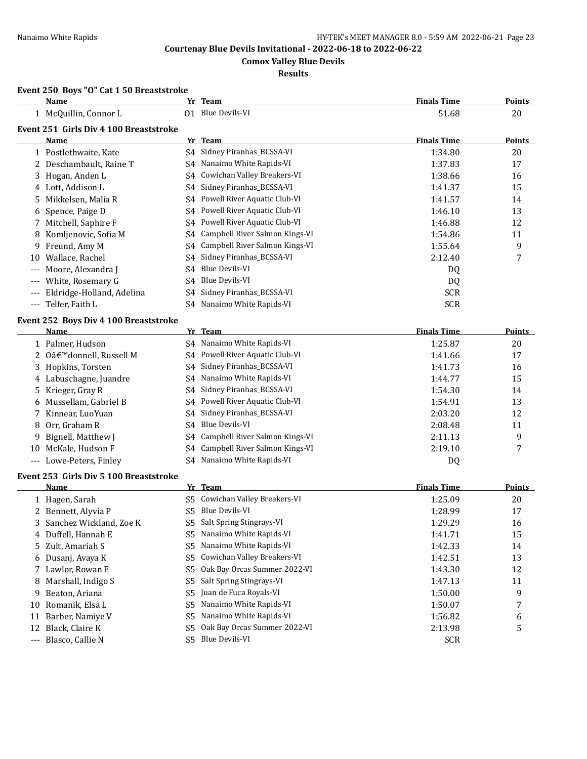**Comox Valley Blue Devils**

## **Results**

## **Event 250 Boys "O" Cat 1 50 Breaststroke**

|       | Name                                   |                | Yr Team                         | <b>Finals Time</b> | <b>Points</b> |
|-------|----------------------------------------|----------------|---------------------------------|--------------------|---------------|
|       | 1 McQuillin, Connor L                  |                | 01 Blue Devils-VI               | 51.68              | 20            |
|       | Event 251 Girls Div 4 100 Breaststroke |                |                                 |                    |               |
|       | Name                                   |                | Yr Team                         | <b>Finals Time</b> | <b>Points</b> |
|       | 1 Postlethwaite, Kate                  |                | S4 Sidney Piranhas_BCSSA-VI     | 1:34.80            | 20            |
|       | 2 Deschambault, Raine T                |                | S4 Nanaimo White Rapids-VI      | 1:37.83            | 17            |
| 3     | Hogan, Anden L                         | S4             | Cowichan Valley Breakers-VI     | 1:38.66            | 16            |
|       | 4 Lott, Addison L                      | S4             | Sidney Piranhas_BCSSA-VI        | 1:41.37            | 15            |
| 5.    | Mikkelsen, Malia R                     | S4             | Powell River Aquatic Club-VI    | 1:41.57            | 14            |
|       | 6 Spence, Paige D                      | S4             | Powell River Aquatic Club-VI    | 1:46.10            | 13            |
| 7     | Mitchell, Saphire F                    | S4             | Powell River Aquatic Club-VI    | 1:46.88            | 12            |
|       | 8 Komljenovic, Sofia M                 | S4             | Campbell River Salmon Kings-VI  | 1:54.86            | 11            |
| 9     | Freund, Amy M                          | S4             | Campbell River Salmon Kings-VI  | 1:55.64            | 9             |
| 10    | Wallace, Rachel                        | S4             | Sidney Piranhas_BCSSA-VI        | 2:12.40            | 7             |
| ---   | Moore, Alexandra J                     | S4             | Blue Devils-VI                  | DQ                 |               |
|       | White, Rosemary G                      | S4             | Blue Devils-VI                  | DQ                 |               |
|       | Eldridge-Holland, Adelina              | S4             | Sidney Piranhas_BCSSA-VI        | <b>SCR</b>         |               |
| $---$ | Telfer, Faith L                        |                | S4 Nanaimo White Rapids-VI      | <b>SCR</b>         |               |
|       | Event 252 Boys Div 4 100 Breaststroke  |                |                                 |                    |               |
|       | Name                                   |                | Yr Team                         | <b>Finals Time</b> | Points        |
|       | 1 Palmer, Hudson                       |                | S4 Nanaimo White Rapids-VI      | 1:25.87            | 20            |
|       | 2 O'donnell, Russell M                 |                | S4 Powell River Aquatic Club-VI | 1:41.66            | 17            |
|       | 3 Hopkins, Torsten                     |                | S4 Sidney Piranhas_BCSSA-VI     | 1:41.73            | 16            |
|       | 4 Labuschagne, Juandre                 | S4             | Nanaimo White Rapids-VI         | 1:44.77            | 15            |
| 5     | Krieger, Gray R                        | S4             | Sidney Piranhas_BCSSA-VI        | 1:54.30            | 14            |
|       | Mussellam, Gabriel B                   | S4             | Powell River Aquatic Club-VI    | 1:54.91            | 13            |
| 7     | Kinnear, LuoYuan                       | S4             | Sidney Piranhas_BCSSA-VI        | 2:03.20            | 12            |
| 8     | Orr, Graham R                          | S4             | Blue Devils-VI                  | 2:08.48            | 11            |
| 9     | Bignell, Matthew J                     | S4             | Campbell River Salmon Kings-VI  | 2:11.13            | 9             |
| 10    | McKale, Hudson F                       | S4             | Campbell River Salmon Kings-VI  | 2:19.10            | 7             |
|       | --- Lowe-Peters, Finley                |                | S4 Nanaimo White Rapids-VI      | DQ                 |               |
|       | Event 253 Girls Div 5 100 Breaststroke |                |                                 |                    |               |
|       | Name                                   |                | Yr Team                         | <b>Finals Time</b> | <b>Points</b> |
|       | 1 Hagen, Sarah                         | S5.            | Cowichan Valley Breakers-VI     | 1:25.09            | 20            |
|       | 2 Bennett, Alyvia P                    | S5.            | Blue Devils-VI                  | 1:28.99            | 17            |
|       | 3 Sanchez Wickland, Zoe K              |                | S5 Salt Spring Stingrays-VI     | 1:29.29            | 16            |
|       | 4 Duffell, Hannah E                    | S5.            | Nanaimo White Rapids-VI         | 1:41.71            | 15            |
| 5.    | Zult, Amariah S                        | S <sub>5</sub> | Nanaimo White Rapids-VI         | 1:42.33            | 14            |
|       | 6 Dusanj, Avaya K                      | S5             | Cowichan Valley Breakers-VI     | 1:42.51            | 13            |
| 7     | Lawlor, Rowan E                        | S5             | Oak Bay Orcas Summer 2022-VI    | 1:43.30            | 12            |
| 8     | Marshall, Indigo S                     | S5             | Salt Spring Stingrays-VI        | 1:47.13            | 11            |
| 9     | Beaton, Ariana                         | S5             | Juan de Fuca Royals-VI          | 1:50.00            | 9             |
| 10    | Romanik, Elsa L                        | S <sub>5</sub> | Nanaimo White Rapids-VI         | 1:50.07            | 7             |
| 11    | Barber, Namiye V                       | S5             | Nanaimo White Rapids-VI         | 1:56.82            | 6             |
| 12    | Black, Claire K                        | S5             | Oak Bay Orcas Summer 2022-VI    | 2:13.98            | 5             |
|       | --- Blasco, Callie N                   | S <sub>5</sub> | <b>Blue Devils-VI</b>           | <b>SCR</b>         |               |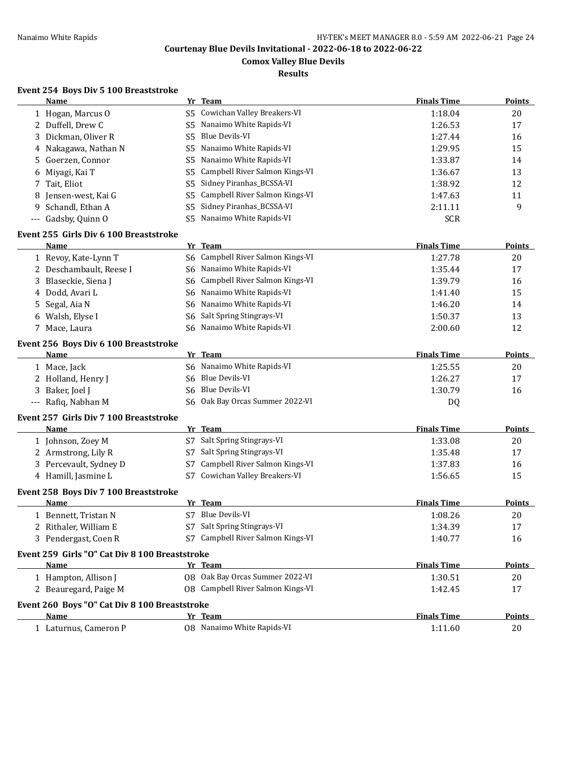**Comox Valley Blue Devils**

#### **Results**

## **Event 254 Boys Div 5 100 Breaststroke**

|          | <b>Name</b>                                    |                | Yr Team                           | <b>Finals Time</b> | <b>Points</b> |
|----------|------------------------------------------------|----------------|-----------------------------------|--------------------|---------------|
|          | 1 Hogan, Marcus O                              | S5.            | Cowichan Valley Breakers-VI       | 1:18.04            | 20            |
|          | 2 Duffell, Drew C                              | S5             | Nanaimo White Rapids-VI           | 1:26.53            | 17            |
| 3        | Dickman, Oliver R                              | S <sub>5</sub> | <b>Blue Devils-VI</b>             | 1:27.44            | 16            |
|          | 4 Nakagawa, Nathan N                           | S5             | Nanaimo White Rapids-VI           | 1:29.95            | 15            |
| 5        | Goerzen, Connor                                | S5             | Nanaimo White Rapids-VI           | 1:33.87            | 14            |
| 6        | Miyagi, Kai T                                  | S5             | Campbell River Salmon Kings-VI    | 1:36.67            | 13            |
| 7        | Tait, Eliot                                    | S <sub>5</sub> | Sidney Piranhas_BCSSA-VI          | 1:38.92            | 12            |
| 8        | Jensen-west, Kai G                             | S5             | Campbell River Salmon Kings-VI    | 1:47.63            | 11            |
| 9        | Schandl, Ethan A                               | S <sub>5</sub> | Sidney Piranhas_BCSSA-VI          | 2:11.11            | 9             |
| $\cdots$ | Gadsby, Quinn O                                | S5             | Nanaimo White Rapids-VI           | <b>SCR</b>         |               |
|          | Event 255 Girls Div 6 100 Breaststroke         |                |                                   |                    |               |
|          | Name                                           |                | Yr Team                           | <b>Finals Time</b> | Points        |
|          | 1 Revoy, Kate-Lynn T                           |                | S6 Campbell River Salmon Kings-VI | 1:27.78            | 20            |
|          | 2 Deschambault, Reese I                        |                | S6 Nanaimo White Rapids-VI        | 1:35.44            | 17            |
|          | 3 Blaseckie, Siena J                           | S6             | Campbell River Salmon Kings-VI    | 1:39.79            | 16            |
| 4        | Dodd, Avari L                                  |                | S6 Nanaimo White Rapids-VI        | 1:41.40            | 15            |
| 5        | Segal, Aia N                                   | S6             | Nanaimo White Rapids-VI           | 1:46.20            | 14            |
|          | 6 Walsh, Elyse I                               | S6             | Salt Spring Stingrays-VI          | 1:50.37            | 13            |
|          | 7 Mace, Laura                                  |                | S6 Nanaimo White Rapids-VI        | 2:00.60            | 12            |
|          | Event 256 Boys Div 6 100 Breaststroke          |                |                                   |                    |               |
|          | <b>Name</b>                                    |                | Yr Team                           | <b>Finals Time</b> | <b>Points</b> |
|          | 1 Mace, Jack                                   |                | S6 Nanaimo White Rapids-VI        | 1:25.55            | 20            |
|          | 2 Holland, Henry J                             |                | S6 Blue Devils-VI                 | 1:26.27            | 17            |
| 3        | Baker, Joel J                                  |                | S6 Blue Devils-VI                 | 1:30.79            | 16            |
|          | --- Rafiq, Nabhan M                            |                | S6 Oak Bay Orcas Summer 2022-VI   | DQ                 |               |
|          | Event 257 Girls Div 7 100 Breaststroke         |                |                                   |                    |               |
|          | Name                                           |                | Yr Team                           | <b>Finals Time</b> | <b>Points</b> |
|          | 1 Johnson, Zoey M                              | S7             | Salt Spring Stingrays-VI          | 1:33.08            | 20            |
|          | 2 Armstrong, Lily R                            | S7             | Salt Spring Stingrays-VI          | 1:35.48            | 17            |
|          | 3 Percevault, Sydney D                         | S7             | Campbell River Salmon Kings-VI    | 1:37.83            | 16            |
|          | 4 Hamill, Jasmine L                            | S7             | Cowichan Valley Breakers-VI       | 1:56.65            | 15            |
|          | Event 258 Boys Div 7 100 Breaststroke          |                |                                   |                    |               |
|          | Name                                           |                | Yr Team                           | <b>Finals Time</b> | <b>Points</b> |
|          | 1 Bennett, Tristan N                           |                | S7 Blue Devils-VI                 | 1:08.26            | 20            |
|          | 2 Rithaler, William E                          |                | S7 Salt Spring Stingrays-VI       | 1:34.39            | 17            |
|          | 3 Pendergast, Coen R                           |                | S7 Campbell River Salmon Kings-VI | 1:40.77            | 16            |
|          | Event 259 Girls "O" Cat Div 8 100 Breaststroke |                |                                   |                    |               |
|          | Name                                           |                | Yr Team                           | <b>Finals Time</b> | Points        |
|          | 1 Hampton, Allison J                           |                | 08 Oak Bay Orcas Summer 2022-VI   | 1:30.51            | 20            |
|          | 2 Beauregard, Paige M                          |                | 08 Campbell River Salmon Kings-VI | 1:42.45            | 17            |
|          | Event 260 Boys "O" Cat Div 8 100 Breaststroke  |                |                                   |                    |               |
|          | Name                                           |                | Yr Team                           | <b>Finals Time</b> | <b>Points</b> |
|          | 1 Laturnus, Cameron P                          |                | 08 Nanaimo White Rapids-VI        | 1:11.60            | 20            |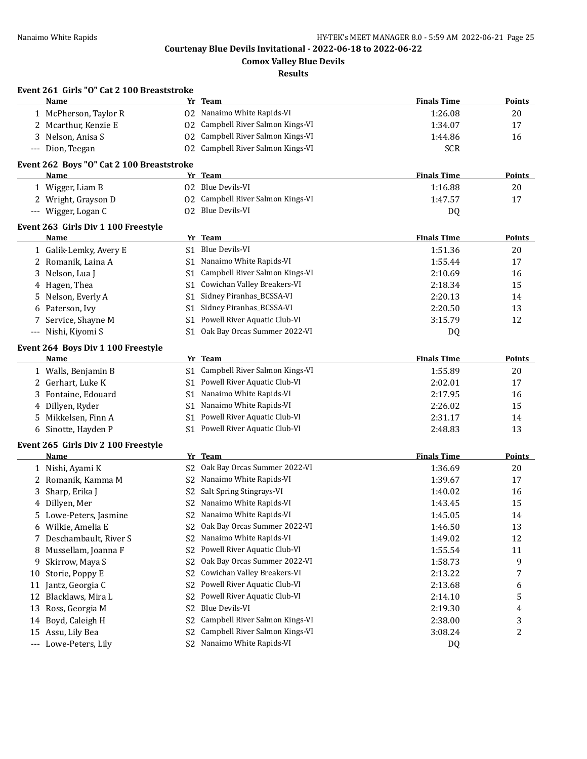**Comox Valley Blue Devils**

**Results**

|                     | Event 261 Girls "O" Cat 2 100 Breaststroke<br>Name |                | Yr Team                           | <b>Finals Time</b> | <b>Points</b> |
|---------------------|----------------------------------------------------|----------------|-----------------------------------|--------------------|---------------|
|                     | 1 McPherson, Taylor R                              |                | 02 Nanaimo White Rapids-VI        |                    |               |
|                     |                                                    |                | Campbell River Salmon Kings-VI    | 1:26.08            | 20            |
|                     | 2 Mcarthur, Kenzie E                               | 02             | Campbell River Salmon Kings-VI    | 1:34.07            | 17            |
|                     | 3 Nelson, Anisa S                                  | 02             |                                   | 1:44.86            | 16            |
| $\qquad \qquad - -$ | Dion, Teegan                                       |                | 02 Campbell River Salmon Kings-VI | <b>SCR</b>         |               |
|                     | Event 262 Boys "O" Cat 2 100 Breaststroke          |                |                                   |                    |               |
|                     | Name                                               |                | Yr Team                           | <b>Finals Time</b> | <b>Points</b> |
|                     | 1 Wigger, Liam B                                   |                | 02 Blue Devils-VI                 | 1:16.88            | 20            |
|                     | 2 Wright, Grayson D                                |                | 02 Campbell River Salmon Kings-VI | 1:47.57            | 17            |
|                     | --- Wigger, Logan C                                |                | 02 Blue Devils-VI                 | DQ                 |               |
|                     | Event 263 Girls Div 1 100 Freestyle                |                |                                   |                    |               |
|                     | Name                                               |                | Yr Team                           | <b>Finals Time</b> | <b>Points</b> |
|                     | 1 Galik-Lemky, Avery E                             |                | S1 Blue Devils-VI                 | 1:51.36            | 20            |
|                     | 2 Romanik, Laina A                                 |                | S1 Nanaimo White Rapids-VI        | 1:55.44            | 17            |
|                     | 3 Nelson, Lua J                                    |                | S1 Campbell River Salmon Kings-VI | 2:10.69            | 16            |
|                     | 4 Hagen, Thea                                      | S1             | Cowichan Valley Breakers-VI       | 2:18.34            | 15            |
|                     | 5 Nelson, Everly A                                 |                | S1 Sidney Piranhas_BCSSA-VI       | 2:20.13            | 14            |
|                     | 6 Paterson, Ivy                                    | S1             | Sidney Piranhas_BCSSA-VI          | 2:20.50            | 13            |
| 7.                  | Service, Shayne M                                  |                | S1 Powell River Aquatic Club-VI   | 3:15.79            | 12            |
|                     | --- Nishi, Kiyomi S                                |                | S1 Oak Bay Orcas Summer 2022-VI   | DQ                 |               |
|                     | Event 264 Boys Div 1 100 Freestyle                 |                |                                   |                    |               |
|                     | <b>Name</b>                                        |                | Yr Team                           | <b>Finals Time</b> | <b>Points</b> |
|                     | 1 Walls, Benjamin B                                |                | S1 Campbell River Salmon Kings-VI | 1:55.89            | 20            |
|                     | 2 Gerhart, Luke K                                  |                | S1 Powell River Aquatic Club-VI   | 2:02.01            | 17            |
|                     | 3 Fontaine, Edouard                                | S1.            | Nanaimo White Rapids-VI           | 2:17.95            | 16            |
|                     | 4 Dillyen, Ryder                                   |                | S1 Nanaimo White Rapids-VI        | 2:26.02            | 15            |
|                     | 5 Mikkelsen, Finn A                                | S1.            | Powell River Aquatic Club-VI      | 2:31.17            | 14            |
| 6                   | Sinotte, Hayden P                                  |                | S1 Powell River Aquatic Club-VI   | 2:48.83            | 13            |
|                     | Event 265 Girls Div 2 100 Freestyle                |                |                                   |                    |               |
|                     | Name                                               |                | Yr Team                           | <b>Finals Time</b> | <b>Points</b> |
|                     | 1 Nishi, Ayami K                                   | S <sub>2</sub> | Oak Bay Orcas Summer 2022-VI      | 1:36.69            | 20            |
|                     | 2 Romanik, Kamma M                                 |                | S2 Nanaimo White Rapids-VI        | 1:39.67            | 17            |
|                     | 3 Sharp, Erika J                                   | S <sub>2</sub> | Salt Spring Stingrays-VI          | 1:40.02            | 16            |
|                     | 4 Dillyen, Mer                                     |                | S2 Nanaimo White Rapids-VI        | 1:43.45            | 15            |
|                     | 5 Lowe-Peters, Jasmine                             |                | S2 Nanaimo White Rapids-VI        | 1:45.05            | 14            |
|                     | 6 Wilkie, Amelia E                                 |                | S2 Oak Bay Orcas Summer 2022-VI   | 1:46.50            | 13            |
| 7.                  | Deschambault, River S                              | S2             | Nanaimo White Rapids-VI           | 1:49.02            | 12            |
| 8                   | Mussellam, Joanna F                                | S2             | Powell River Aquatic Club-VI      | 1:55.54            | 11            |
| 9                   | Skirrow, Maya S                                    | S <sub>2</sub> | Oak Bay Orcas Summer 2022-VI      | 1:58.73            | 9             |
| 10                  | Storie, Poppy E                                    | S <sub>2</sub> | Cowichan Valley Breakers-VI       | 2:13.22            | 7             |
| 11                  | Jantz, Georgia C                                   | S <sub>2</sub> | Powell River Aquatic Club-VI      | 2:13.68            | 6             |
| 12                  | Blacklaws, Mira L                                  | S <sub>2</sub> | Powell River Aquatic Club-VI      | 2:14.10            | 5             |
| 13                  | Ross, Georgia M                                    | S2             | Blue Devils-VI                    | 2:19.30            | 4             |
| 14                  | Boyd, Caleigh H                                    | S <sub>2</sub> | Campbell River Salmon Kings-VI    | 2:38.00            | 3             |
|                     | 15 Assu, Lily Bea                                  | S2             | Campbell River Salmon Kings-VI    | 3:08.24            | 2             |
|                     | --- Lowe-Peters, Lily                              |                | S2 Nanaimo White Rapids-VI        | DQ                 |               |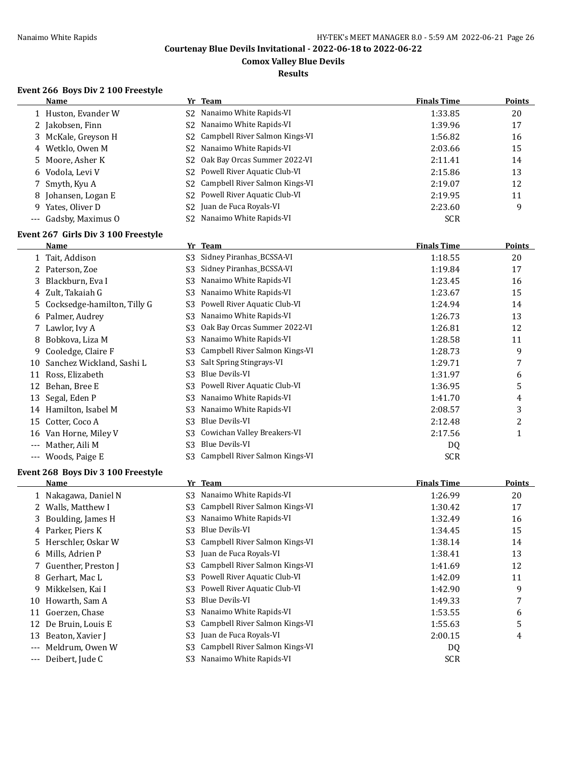**Comox Valley Blue Devils**

**Results**

#### **Event 266 Boys Div 2 100 Freestyle**

| Name                  |     | Yr Team                                       | <b>Finals Time</b> | <b>Points</b> |
|-----------------------|-----|-----------------------------------------------|--------------------|---------------|
| 1 Huston, Evander W   |     | S <sub>2</sub> Nanaimo White Rapids-VI        | 1:33.85            | 20            |
| 2 Jakobsen, Finn      | S2. | Nanaimo White Rapids-VI                       | 1:39.96            | 17            |
| 3 McKale, Greyson H   |     | S2 Campbell River Salmon Kings-VI             | 1:56.82            | 16            |
| 4 Wetklo, Owen M      |     | S2 Nanaimo White Rapids-VI                    | 2:03.66            | 15            |
| 5 Moore, Asher K      |     | S <sub>2</sub> Oak Bay Orcas Summer 2022-VI   | 2:11.41            | 14            |
| 6 Vodola, Levi V      |     | S2 Powell River Aquatic Club-VI               | 2:15.86            | 13            |
| 7 Smyth, Kyu A        |     | S <sub>2</sub> Campbell River Salmon Kings-VI | 2:19.07            | 12            |
| 8 Johansen, Logan E   |     | S2 Powell River Aquatic Club-VI               | 2:19.95            | 11            |
| 9 Yates, Oliver D     |     | S <sub>2</sub> Juan de Fuca Royals-VI         | 2:23.60            | 9             |
| --- Gadsby, Maximus 0 |     | S2 Nanaimo White Rapids-VI                    | <b>SCR</b>         |               |

#### **Event 267 Girls Div 3 100 Freestyle**

|         | Name                        | Yr | <b>Team</b>                    | <b>Finals Time</b> | <b>Points</b> |
|---------|-----------------------------|----|--------------------------------|--------------------|---------------|
|         | 1 Tait, Addison             | S3 | Sidney Piranhas_BCSSA-VI       | 1:18.55            | 20            |
|         | Paterson, Zoe               | S3 | Sidney Piranhas_BCSSA-VI       | 1:19.84            | 17            |
| 3.      | Blackburn, Eva I            | S3 | Nanaimo White Rapids-VI        | 1:23.45            | 16            |
|         | 4 Zult, Takaiah G           | S3 | Nanaimo White Rapids-VI        | 1:23.67            | 15            |
| 5.      | Cocksedge-hamilton, Tilly G | S3 | Powell River Aquatic Club-VI   | 1:24.94            | 14            |
| 6       | Palmer, Audrey              | S3 | Nanaimo White Rapids-VI        | 1:26.73            | 13            |
|         | Lawlor, Ivy A               | S3 | Oak Bay Orcas Summer 2022-VI   | 1:26.81            | 12            |
| 8       | Bobkova, Liza M             | S3 | Nanaimo White Rapids-VI        | 1:28.58            | 11            |
| 9.      | Cooledge, Claire F          | S3 | Campbell River Salmon Kings-VI | 1:28.73            | 9             |
| 10      | Sanchez Wickland, Sashi L   | S3 | Salt Spring Stingrays-VI       | 1:29.71            | 7             |
| 11      | Ross, Elizabeth             | S3 | Blue Devils-VI                 | 1:31.97            | 6             |
| 12      | Behan, Bree E               | S3 | Powell River Aquatic Club-VI   | 1:36.95            | 5             |
| 13      | Segal, Eden P               | S3 | Nanaimo White Rapids-VI        | 1:41.70            | 4             |
| 14      | Hamilton, Isabel M          | S3 | Nanaimo White Rapids-VI        | 2:08.57            | 3             |
| 15      | Cotter, Coco A              | S3 | <b>Blue Devils-VI</b>          | 2:12.48            | 2             |
| 16      | Van Horne, Miley V          | S3 | Cowichan Valley Breakers-VI    | 2:17.56            | 1             |
| $- - -$ | Mather, Aili M              | S3 | <b>Blue Devils-VI</b>          | DQ                 |               |
| $---$   | Woods, Paige E              | S3 | Campbell River Salmon Kings-VI | <b>SCR</b>         |               |

#### **Event 268 Boys Div 3 100 Freestyle**

|          | Name                  |                | Yr Team                        | <b>Finals Time</b> | <b>Points</b> |
|----------|-----------------------|----------------|--------------------------------|--------------------|---------------|
|          | 1 Nakagawa, Daniel N  | S3             | Nanaimo White Rapids-VI        | 1:26.99            | 20            |
|          | 2 Walls, Matthew I    | S3             | Campbell River Salmon Kings-VI | 1:30.42            | 17            |
|          | 3 Boulding, James H   | S3             | Nanaimo White Rapids-VI        | 1:32.49            | 16            |
|          | 4 Parker, Piers K     | S3             | Blue Devils-VI                 | 1:34.45            | 15            |
|          | 5 Herschler, Oskar W  | S3             | Campbell River Salmon Kings-VI | 1:38.14            | 14            |
|          | 6 Mills, Adrien P     | S3             | Juan de Fuca Royals-VI         | 1:38.41            | 13            |
|          | 7 Guenther, Preston J | S3             | Campbell River Salmon Kings-VI | 1:41.69            | 12            |
|          | 8 Gerhart, Mac L      | S3             | Powell River Aquatic Club-VI   | 1:42.09            | 11            |
| 9        | Mikkelsen, Kai I      | S3             | Powell River Aquatic Club-VI   | 1:42.90            | 9             |
| 10       | Howarth, Sam A        | S3             | Blue Devils-VI                 | 1:49.33            | 7             |
| 11       | Goerzen, Chase        | S3             | Nanaimo White Rapids-VI        | 1:53.55            | 6             |
|          | 12 De Bruin, Louis E  | S3             | Campbell River Salmon Kings-VI | 1:55.63            | 5             |
| 13       | Beaton, Xavier J      | S <sub>3</sub> | Juan de Fuca Royals-VI         | 2:00.15            | 4             |
| $---$    | Meldrum, Owen W       | S3             | Campbell River Salmon Kings-VI | DQ                 |               |
| $\cdots$ | Deibert, Jude C       | S <sub>3</sub> | Nanaimo White Rapids-VI        | <b>SCR</b>         |               |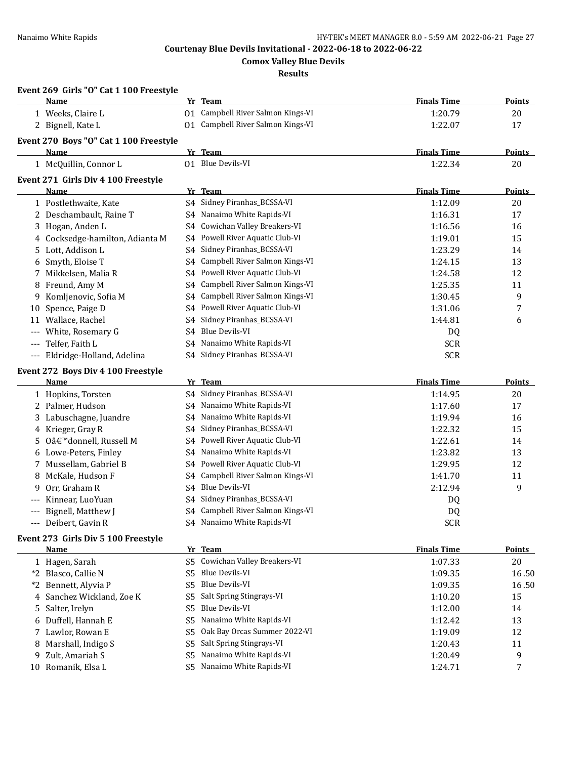**Event 269 Girls "O" Cat 1 100 Freestyle**

**Courtenay Blue Devils Invitational - 2022-06-18 to 2022-06-22**

**Comox Valley Blue Devils**

**Results**

|       | Name                                              |                | Yr Team                           | <b>Finals Time</b> | <b>Points</b> |
|-------|---------------------------------------------------|----------------|-----------------------------------|--------------------|---------------|
|       | 1 Weeks, Claire L                                 |                | 01 Campbell River Salmon Kings-VI | 1:20.79            | 20            |
|       | 2 Bignell, Kate L                                 |                | 01 Campbell River Salmon Kings-VI | 1:22.07            | 17            |
|       | Event 270 Boys "O" Cat 1 100 Freestyle            |                |                                   |                    |               |
|       | Name                                              |                | Yr Team                           | <b>Finals Time</b> | <b>Points</b> |
|       | 1 McQuillin, Connor L                             |                | 01 Blue Devils-VI                 | 1:22.34            | 20            |
|       | Event 271 Girls Div 4 100 Freestyle               |                |                                   |                    |               |
|       | Name                                              |                | Yr Team                           | <b>Finals Time</b> | <b>Points</b> |
|       | 1 Postlethwaite, Kate                             |                | S4 Sidney Piranhas_BCSSA-VI       | 1:12.09            | 20            |
|       | 2 Deschambault, Raine T                           | S4             | Nanaimo White Rapids-VI           | 1:16.31            | 17            |
|       | 3 Hogan, Anden L                                  | S4             | Cowichan Valley Breakers-VI       | 1:16.56            | 16            |
|       | 4 Cocksedge-hamilton, Adianta M                   | S4             | Powell River Aquatic Club-VI      | 1:19.01            | 15            |
|       | 5 Lott, Addison L                                 | S4             | Sidney Piranhas_BCSSA-VI          | 1:23.29            | 14            |
| 6     | Smyth, Eloise T                                   | S4             | Campbell River Salmon Kings-VI    | 1:24.15            | 13            |
| 7     | Mikkelsen, Malia R                                | S4             | Powell River Aquatic Club-VI      | 1:24.58            | 12            |
|       |                                                   |                | Campbell River Salmon Kings-VI    | 1:25.35            | 11            |
| 8     | Freund, Amy M                                     | S4             | Campbell River Salmon Kings-VI    |                    |               |
| 9.    | Komljenovic, Sofia M                              | S4             | Powell River Aquatic Club-VI      | 1:30.45            | 9             |
| 10    | Spence, Paige D                                   | S4             |                                   | 1:31.06            | 7             |
| 11    | Wallace, Rachel                                   | S4             | Sidney Piranhas_BCSSA-VI          | 1:44.81            | 6             |
| $---$ | White, Rosemary G                                 | S4             | <b>Blue Devils-VI</b>             | DQ                 |               |
|       | Telfer, Faith L                                   | S4             | Nanaimo White Rapids-VI           | <b>SCR</b>         |               |
| $---$ | Eldridge-Holland, Adelina                         | S4             | Sidney Piranhas_BCSSA-VI          | <b>SCR</b>         |               |
|       | Event 272 Boys Div 4 100 Freestyle                |                |                                   |                    |               |
|       | Name                                              |                | Yr Team                           | <b>Finals Time</b> | <b>Points</b> |
|       | 1 Hopkins, Torsten                                | S4             | Sidney Piranhas_BCSSA-VI          | 1:14.95            | 20            |
|       | 2 Palmer, Hudson                                  | S4             | Nanaimo White Rapids-VI           | 1:17.60            | 17            |
|       | 3 Labuschagne, Juandre                            | S4             | Nanaimo White Rapids-VI           | 1:19.94            | 16            |
|       | 4 Krieger, Gray R                                 | S4             | Sidney Piranhas_BCSSA-VI          | 1:22.32            | 15            |
|       | 5 O'donnell, Russell M                            | S4             | Powell River Aquatic Club-VI      | 1:22.61            | 14            |
|       | 6 Lowe-Peters, Finley                             | S4             | Nanaimo White Rapids-VI           | 1:23.82            | 13            |
|       | 7 Mussellam, Gabriel B                            | S4             | Powell River Aquatic Club-VI      | 1:29.95            | 12            |
| 8     | McKale, Hudson F                                  | S4             | Campbell River Salmon Kings-VI    | 1:41.70            | 11            |
| 9     | Orr, Graham R                                     | S4             | Blue Devils-VI                    | 2:12.94            | 9             |
|       | Kinnear, LuoYuan                                  | S4             | Sidney Piranhas_BCSSA-VI          | DQ                 |               |
|       | Bignell, Matthew J                                | S4             | Campbell River Salmon Kings-VI    | DQ                 |               |
| $---$ | Deibert, Gavin R                                  |                | S4 Nanaimo White Rapids-VI        | <b>SCR</b>         |               |
|       |                                                   |                |                                   |                    |               |
|       | Event 273 Girls Div 5 100 Freestyle<br>Name       |                | Yr Team                           | <b>Finals Time</b> | <b>Points</b> |
|       | 1 Hagen, Sarah                                    | S <sub>5</sub> | Cowichan Valley Breakers-VI       | 1:07.33            | 20            |
|       | *2 Blasco, Callie N                               | S <sub>5</sub> | Blue Devils-VI                    |                    | 16.50         |
|       |                                                   | S <sub>5</sub> | <b>Blue Devils-VI</b>             | 1:09.35            | 16.50         |
|       | *2 Bennett, Alyvia P<br>4 Sanchez Wickland, Zoe K |                | Salt Spring Stingrays-VI          | 1:09.35            |               |
|       |                                                   | S <sub>5</sub> | <b>Blue Devils-VI</b>             | 1:10.20            | 15            |
|       | 5 Salter, Irelyn                                  | S <sub>5</sub> |                                   | 1:12.00            | 14            |
| 6     | Duffell, Hannah E                                 | S <sub>5</sub> | Nanaimo White Rapids-VI           | 1:12.42            | 13            |
|       | 7 Lawlor, Rowan E                                 | S5             | Oak Bay Orcas Summer 2022-VI      | 1:19.09            | 12            |
|       | 8 Marshall, Indigo S                              | S <sub>5</sub> | Salt Spring Stingrays-VI          | 1:20.43            | 11            |
| 9     | Zult, Amariah S                                   | S <sub>5</sub> | Nanaimo White Rapids-VI           | 1:20.49            | 9             |
|       | 10 Romanik, Elsa L                                | S5.            | Nanaimo White Rapids-VI           | 1:24.71            | 7             |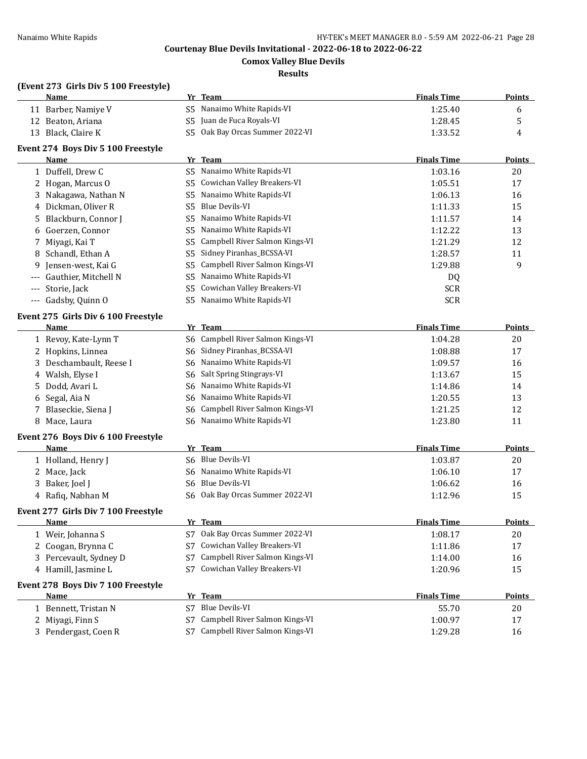**Comox Valley Blue Devils**

#### **Results**

## **(Event 273 Girls Div 5 100 Freestyle)**

|    | $\frac{1}{2}$ $\frac{1}{2}$ $\frac{1}{2}$ $\frac{1}{2}$ $\frac{1}{2}$ $\frac{1}{2}$ $\frac{1}{2}$ $\frac{1}{2}$ $\frac{1}{2}$ $\frac{1}{2}$ $\frac{1}{2}$ $\frac{1}{2}$ $\frac{1}{2}$ $\frac{1}{2}$ $\frac{1}{2}$ $\frac{1}{2}$ $\frac{1}{2}$ $\frac{1}{2}$ $\frac{1}{2}$ $\frac{1}{2}$ $\frac{1}{2}$ $\frac{1}{2}$ |                |                                                |                    |               |
|----|---------------------------------------------------------------------------------------------------------------------------------------------------------------------------------------------------------------------------------------------------------------------------------------------------------------------|----------------|------------------------------------------------|--------------------|---------------|
|    | <u>Name</u>                                                                                                                                                                                                                                                                                                         |                | Yr Team                                        | <b>Finals Time</b> | <b>Points</b> |
|    | 11 Barber, Namiye V                                                                                                                                                                                                                                                                                                 |                | S5 Nanaimo White Rapids-VI                     | 1:25.40            | 6             |
|    | 12 Beaton, Ariana                                                                                                                                                                                                                                                                                                   | S <sub>5</sub> | Juan de Fuca Royals-VI                         | 1:28.45            | 5             |
|    | 13 Black, Claire K                                                                                                                                                                                                                                                                                                  |                | S5 Oak Bay Orcas Summer 2022-VI                | 1:33.52            | 4             |
|    | Event 274 Boys Div 5 100 Freestyle                                                                                                                                                                                                                                                                                  |                |                                                |                    |               |
|    | Name                                                                                                                                                                                                                                                                                                                |                | Yr Team                                        | <b>Finals Time</b> | <b>Points</b> |
|    | 1 Duffell, Drew C                                                                                                                                                                                                                                                                                                   |                | S5 Nanaimo White Rapids-VI                     | 1:03.16            | 20            |
|    | 2 Hogan, Marcus O                                                                                                                                                                                                                                                                                                   |                | S5 Cowichan Valley Breakers-VI                 | 1:05.51            | 17            |
| 3  | Nakagawa, Nathan N                                                                                                                                                                                                                                                                                                  | S5             | Nanaimo White Rapids-VI                        | 1:06.13            | 16            |
| 4  | Dickman, Oliver R                                                                                                                                                                                                                                                                                                   | S5             | <b>Blue Devils-VI</b>                          | 1:11.33            | 15            |
| 5  | Blackburn, Connor J                                                                                                                                                                                                                                                                                                 | S5             | Nanaimo White Rapids-VI                        | 1:11.57            | 14            |
| 6  | Goerzen, Connor                                                                                                                                                                                                                                                                                                     | S5             | Nanaimo White Rapids-VI                        | 1:12.22            | 13            |
| 7  | Miyagi, Kai T                                                                                                                                                                                                                                                                                                       | S5             | Campbell River Salmon Kings-VI                 | 1:21.29            | 12            |
| 8  | Schandl, Ethan A                                                                                                                                                                                                                                                                                                    | S5             | Sidney Piranhas_BCSSA-VI                       | 1:28.57            | 11            |
| 9  | Jensen-west, Kai G                                                                                                                                                                                                                                                                                                  | S5             | Campbell River Salmon Kings-VI                 | 1:29.88            | 9             |
|    | Gauthier, Mitchell N                                                                                                                                                                                                                                                                                                | S5             | Nanaimo White Rapids-VI                        | DQ                 |               |
|    | Storie, Jack                                                                                                                                                                                                                                                                                                        | S5             | Cowichan Valley Breakers-VI                    | <b>SCR</b>         |               |
|    | Gadsby, Quinn O                                                                                                                                                                                                                                                                                                     | S <sub>5</sub> | Nanaimo White Rapids-VI                        | <b>SCR</b>         |               |
|    | Event 275 Girls Div 6 100 Freestyle                                                                                                                                                                                                                                                                                 |                |                                                |                    |               |
|    | <b>Name</b>                                                                                                                                                                                                                                                                                                         |                | Yr Team                                        | <b>Finals Time</b> | <b>Points</b> |
|    | 1 Revoy, Kate-Lynn T                                                                                                                                                                                                                                                                                                |                | S6 Campbell River Salmon Kings-VI              | 1:04.28            | 20            |
| 2  | Hopkins, Linnea                                                                                                                                                                                                                                                                                                     | S6             | Sidney Piranhas_BCSSA-VI                       | 1:08.88            | 17            |
| 3  | Deschambault, Reese I                                                                                                                                                                                                                                                                                               |                | S6 Nanaimo White Rapids-VI                     | 1:09.57            | 16            |
| 4  | Walsh, Elyse I                                                                                                                                                                                                                                                                                                      | S6             | Salt Spring Stingrays-VI                       | 1:13.67            | 15            |
| 5. | Dodd, Avari L                                                                                                                                                                                                                                                                                                       | S6             | Nanaimo White Rapids-VI                        | 1:14.86            | 14            |
| 6  | Segal, Aia N                                                                                                                                                                                                                                                                                                        | S6             | Nanaimo White Rapids-VI                        | 1:20.55            | 13            |
| 7  | Blaseckie, Siena J                                                                                                                                                                                                                                                                                                  | S6             | Campbell River Salmon Kings-VI                 | 1:21.25            | 12            |
| 8  | Mace, Laura                                                                                                                                                                                                                                                                                                         | S6             | Nanaimo White Rapids-VI                        | 1:23.80            | 11            |
|    | <b>Event 276 Boys Div 6 100 Freestyle</b>                                                                                                                                                                                                                                                                           |                |                                                |                    |               |
|    | Name                                                                                                                                                                                                                                                                                                                |                | Yr Team                                        | <b>Finals Time</b> | <b>Points</b> |
|    | 1 Holland, Henry J                                                                                                                                                                                                                                                                                                  |                | S6 Blue Devils-VI                              | 1:03.87            | 20            |
| 2  | Mace, Jack                                                                                                                                                                                                                                                                                                          | S6             | Nanaimo White Rapids-VI                        | 1:06.10            | 17            |
| 3  | Baker, Joel J                                                                                                                                                                                                                                                                                                       | S6             | <b>Blue Devils-VI</b>                          | 1:06.62            | 16            |
|    | 4 Rafiq, Nabhan M                                                                                                                                                                                                                                                                                                   | S6-            | Oak Bay Orcas Summer 2022-VI                   | 1:12.96            | 15            |
|    |                                                                                                                                                                                                                                                                                                                     |                |                                                |                    |               |
|    | Event 277 Girls Div 7 100 Freestyle                                                                                                                                                                                                                                                                                 |                |                                                | <b>Finals Time</b> |               |
|    | <u>Name</u>                                                                                                                                                                                                                                                                                                         |                | <u>Yr Team</u><br>Oak Bay Orcas Summer 2022-VI |                    | <b>Points</b> |
|    | 1 Weir, Johanna S                                                                                                                                                                                                                                                                                                   | S7             | Cowichan Valley Breakers-VI                    | 1:08.17            | 20            |
| 2  | Coogan, Brynna C                                                                                                                                                                                                                                                                                                    | S7             | Campbell River Salmon Kings-VI                 | 1:11.86            | 17            |
| 3  | Percevault, Sydney D                                                                                                                                                                                                                                                                                                | S7<br>S7       | Cowichan Valley Breakers-VI                    | 1:14.00            | 16<br>15      |
|    | 4 Hamill, Jasmine L                                                                                                                                                                                                                                                                                                 |                |                                                | 1:20.96            |               |
|    | Event 278 Boys Div 7 100 Freestyle                                                                                                                                                                                                                                                                                  |                |                                                |                    |               |
|    | <u>Name</u>                                                                                                                                                                                                                                                                                                         |                | Yr Team                                        | <b>Finals Time</b> | <b>Points</b> |
|    | 1 Bennett, Tristan N                                                                                                                                                                                                                                                                                                | S7             | Blue Devils-VI                                 | 55.70              | 20            |
|    | 2 Miyagi, Finn S                                                                                                                                                                                                                                                                                                    | S7             | Campbell River Salmon Kings-VI                 | 1:00.97            | 17            |
|    | 3 Pendergast, Coen R                                                                                                                                                                                                                                                                                                | S7             | Campbell River Salmon Kings-VI                 | 1:29.28            | 16            |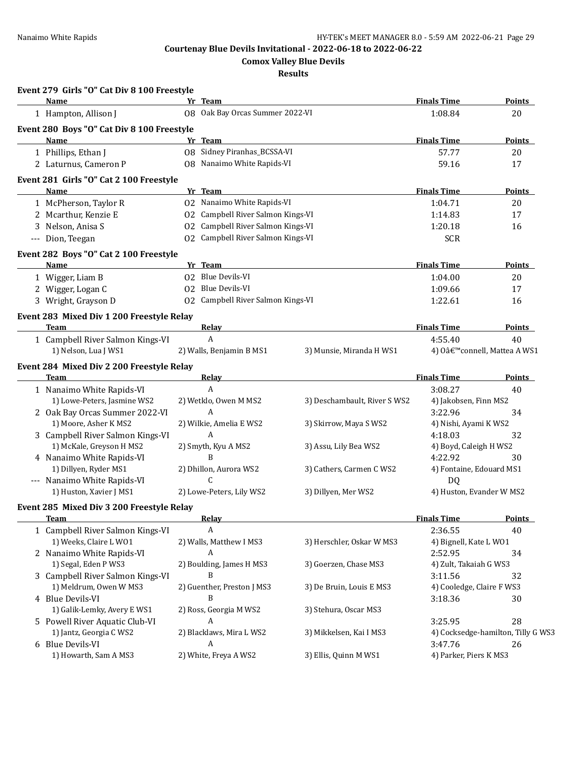**Comox Valley Blue Devils**

**Results**

| Event 279 Girls "O" Cat Div 8 100 Freestyle              |                                   |                              |                                |                                    |
|----------------------------------------------------------|-----------------------------------|------------------------------|--------------------------------|------------------------------------|
| Name                                                     | Yr Team                           |                              | <b>Finals Time</b>             | Points                             |
| 1 Hampton, Allison J                                     | 08 Oak Bay Orcas Summer 2022-VI   |                              | 1:08.84                        | 20                                 |
| Event 280 Boys "O" Cat Div 8 100 Freestyle               |                                   |                              |                                |                                    |
| <b>Name</b>                                              | Yr Team                           |                              | <b>Finals Time</b>             | <b>Points</b>                      |
| 1 Phillips, Ethan J                                      | 08 Sidney Piranhas_BCSSA-VI       |                              | 57.77                          | 20                                 |
| 2 Laturnus, Cameron P                                    | 08 Nanaimo White Rapids-VI        |                              | 59.16                          | 17                                 |
| Event 281 Girls "O" Cat 2 100 Freestyle                  |                                   |                              |                                |                                    |
| Name                                                     | Yr Team                           |                              | <b>Finals Time</b>             | <b>Points</b>                      |
| 1 McPherson, Taylor R                                    | 02 Nanaimo White Rapids-VI        |                              | 1:04.71                        | 20                                 |
| 2 Mcarthur, Kenzie E                                     | 02 Campbell River Salmon Kings-VI |                              | 1:14.83                        | 17                                 |
| 3 Nelson, Anisa S                                        | 02 Campbell River Salmon Kings-VI |                              | 1:20.18                        | 16                                 |
| --- Dion, Teegan                                         | 02 Campbell River Salmon Kings-VI |                              | <b>SCR</b>                     |                                    |
| Event 282 Boys "O" Cat 2 100 Freestyle                   |                                   |                              |                                |                                    |
| Name                                                     | Yr Team                           |                              | <b>Finals Time</b>             | <b>Points</b>                      |
| 1 Wigger, Liam B                                         | 02 Blue Devils-VI                 |                              | 1:04.00                        | 20                                 |
| 2 Wigger, Logan C                                        | 02 Blue Devils-VI                 |                              | 1:09.66                        | 17                                 |
| 3 Wright, Grayson D                                      | 02 Campbell River Salmon Kings-VI |                              | 1:22.61                        | 16                                 |
| Event 283 Mixed Div 1 200 Freestyle Relay                |                                   |                              |                                |                                    |
| Team                                                     | Relay                             |                              | <b>Finals Time</b>             | Points                             |
| 1 Campbell River Salmon Kings-VI                         | A                                 |                              | 4:55.40                        | 40                                 |
| 1) Nelson, Lua J WS1                                     | 2) Walls, Benjamin B MS1          | 3) Munsie, Miranda H WS1     |                                | 4) O'connell, Mattea A WS1         |
| Event 284 Mixed Div 2 200 Freestyle Relay                |                                   |                              |                                |                                    |
| Team                                                     | <b>Relay</b>                      |                              | <b>Finals Time</b>             | <b>Points</b>                      |
| 1 Nanaimo White Rapids-VI                                | $\mathbf{A}$                      |                              | 3:08.27                        | 40                                 |
| 1) Lowe-Peters, Jasmine WS2                              | 2) Wetklo, Owen M MS2             | 3) Deschambault, River S WS2 | 4) Jakobsen, Finn MS2          |                                    |
| 2 Oak Bay Orcas Summer 2022-VI                           | A                                 |                              | 3:22.96                        | 34                                 |
| 1) Moore, Asher K MS2                                    | 2) Wilkie, Amelia E WS2           | 3) Skirrow, Maya S WS2       | 4) Nishi, Ayami K WS2          |                                    |
| 3 Campbell River Salmon Kings-VI                         | A                                 |                              | 4:18.03                        | 32                                 |
| 1) McKale, Greyson H MS2                                 | 2) Smyth, Kyu A MS2               | 3) Assu, Lily Bea WS2        | 4) Boyd, Caleigh H WS2         |                                    |
| 4 Nanaimo White Rapids-VI                                | B                                 |                              | 4:22.92                        | 30                                 |
| 1) Dillyen, Ryder MS1                                    | 2) Dhillon, Aurora WS2            | 3) Cathers, Carmen C WS2     | 4) Fontaine, Edouard MS1       |                                    |
| --- Nanaimo White Rapids-VI                              | C                                 |                              |                                |                                    |
| 1) Huston, Xavier J MS1                                  | 2) Lowe-Peters, Lily WS2          | 3) Dillyen, Mer WS2          | DQ<br>4) Huston, Evander W MS2 |                                    |
|                                                          |                                   |                              |                                |                                    |
| Event 285 Mixed Div 3 200 Freestyle Relay<br><b>Team</b> | Relay                             |                              | <b>Finals Time</b>             | <b>Points</b>                      |
| 1 Campbell River Salmon Kings-VI                         | $\boldsymbol{A}$                  |                              | 2:36.55                        | 40                                 |
| 1) Weeks, Claire L WO1                                   | 2) Walls, Matthew I MS3           | 3) Herschler, Oskar W MS3    | 4) Bignell, Kate L W01         |                                    |
| 2 Nanaimo White Rapids-VI                                | A                                 |                              | 2:52.95                        | 34                                 |
| 1) Segal, Eden P WS3                                     | 2) Boulding, James H MS3          | 3) Goerzen, Chase MS3        | 4) Zult, Takaiah G WS3         |                                    |
| 3 Campbell River Salmon Kings-VI                         | B                                 |                              | 3:11.56                        | 32                                 |
| 1) Meldrum, Owen W MS3                                   | 2) Guenther, Preston J MS3        | 3) De Bruin, Louis E MS3     | 4) Cooledge, Claire F WS3      |                                    |
| 4 Blue Devils-VI                                         | B                                 |                              | 3:18.36                        | 30                                 |
| 1) Galik-Lemky, Avery E WS1                              | 2) Ross, Georgia M WS2            | 3) Stehura, Oscar MS3        |                                |                                    |
| 5 Powell River Aquatic Club-VI                           | А                                 |                              | 3:25.95                        | 28                                 |
| 1) Jantz, Georgia C WS2                                  | 2) Blacklaws, Mira L WS2          | 3) Mikkelsen, Kai I MS3      |                                | 4) Cocksedge-hamilton, Tilly G WS3 |
| 6 Blue Devils-VI                                         | A                                 |                              | 3:47.76                        |                                    |
| 1) Howarth, Sam A MS3                                    | 2) White, Freya A WS2             | 3) Ellis, Quinn M WS1        | 4) Parker, Piers K MS3         | 26                                 |
|                                                          |                                   |                              |                                |                                    |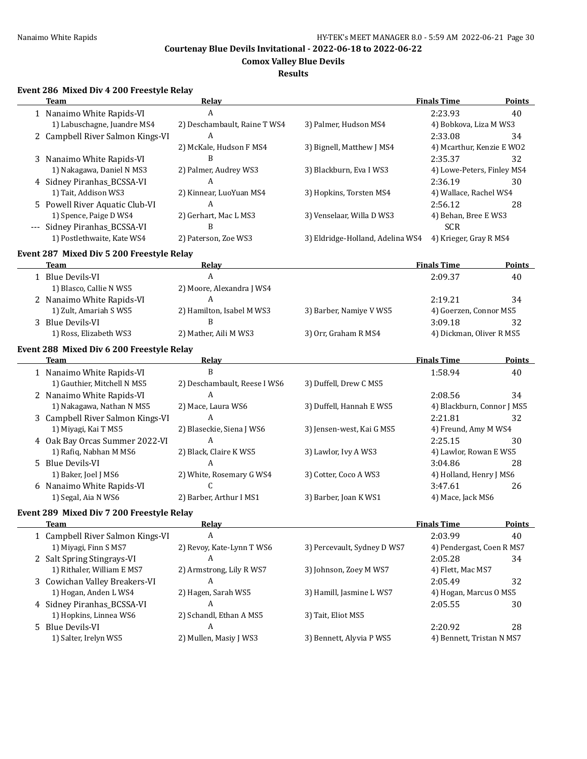**Comox Valley Blue Devils**

## **Results**

# **Event 286 Mixed Div 4 200 Freestyle Relay**

| Team                                      | <b>Relay</b>                 |                                  | <b>Finals Time</b>         | <b>Points</b> |
|-------------------------------------------|------------------------------|----------------------------------|----------------------------|---------------|
| 1 Nanaimo White Rapids-VI                 | $\overline{A}$               |                                  | 2:23.93                    | 40            |
| 1) Labuschagne, Juandre MS4               | 2) Deschambault, Raine T WS4 | 3) Palmer, Hudson MS4            | 4) Bobkova, Liza M WS3     |               |
| 2 Campbell River Salmon Kings-VI          | A                            |                                  | 2:33.08                    | 34            |
|                                           | 2) McKale, Hudson F MS4      | 3) Bignell, Matthew J MS4        | 4) Mcarthur, Kenzie E WO2  |               |
| 3 Nanaimo White Rapids-VI                 | B                            |                                  | 2:35.37                    | 32            |
| 1) Nakagawa, Daniel N MS3                 | 2) Palmer, Audrey WS3        | 3) Blackburn, Eva I WS3          | 4) Lowe-Peters, Finley MS4 |               |
| 4 Sidney Piranhas_BCSSA-VI                | A                            |                                  | 2:36.19                    | 30            |
| 1) Tait, Addison WS3                      | 2) Kinnear, LuoYuan MS4      | 3) Hopkins, Torsten MS4          | 4) Wallace, Rachel WS4     |               |
| 5 Powell River Aquatic Club-VI            | A                            |                                  | 2:56.12                    | 28            |
| 1) Spence, Paige D WS4                    | 2) Gerhart, Mac L MS3        | 3) Venselaar, Willa D WS3        | 4) Behan, Bree E WS3       |               |
| --- Sidney Piranhas_BCSSA-VI              | B                            |                                  | <b>SCR</b>                 |               |
| 1) Postlethwaite, Kate WS4                | 2) Paterson, Zoe WS3         | 3) Eldridge-Holland, Adelina WS4 | 4) Krieger, Gray R MS4     |               |
|                                           |                              |                                  |                            |               |
| Event 287 Mixed Div 5 200 Freestyle Relay |                              |                                  |                            |               |
| <b>Team</b>                               | <b>Relay</b>                 |                                  | <b>Finals Time</b>         | Points        |
| 1 Blue Devils-VI                          | $\boldsymbol{A}$             |                                  | 2:09.37                    | 40            |
| 1) Blasco, Callie N WS5                   | 2) Moore, Alexandra J WS4    |                                  |                            |               |
| 2 Nanaimo White Rapids-VI                 | A                            |                                  | 2:19.21                    | 34            |
| 1) Zult, Amariah S WS5                    | 2) Hamilton, Isabel M WS3    | 3) Barber, Namiye V WS5          | 4) Goerzen, Connor MS5     |               |
| 3 Blue Devils-VI                          | B                            |                                  | 3:09.18                    | 32            |
| 1) Ross, Elizabeth WS3                    | 2) Mather, Aili M WS3        | 3) Orr, Graham R MS4             | 4) Dickman, Oliver R MS5   |               |
| Event 288 Mixed Div 6 200 Freestyle Relay |                              |                                  |                            |               |
| Team                                      | Relay                        |                                  | <b>Finals Time</b>         | <b>Points</b> |
| 1 Nanaimo White Rapids-VI                 | B                            |                                  | 1:58.94                    | 40            |
| 1) Gauthier, Mitchell N MS5               | 2) Deschambault, Reese I WS6 | 3) Duffell, Drew C MS5           |                            |               |
| 2 Nanaimo White Rapids-VI                 | $\overline{A}$               |                                  | 2:08.56                    | 34            |
| 1) Nakagawa, Nathan N MS5                 | 2) Mace, Laura WS6           | 3) Duffell, Hannah E WS5         | 4) Blackburn, Connor J MS5 |               |
| 3 Campbell River Salmon Kings-VI          | A                            |                                  | 2:21.81                    | 32            |
| 1) Miyagi, Kai T MS5                      | 2) Blaseckie, Siena J WS6    | 3) Jensen-west, Kai G MS5        | 4) Freund, Amy M WS4       |               |
| 4 Oak Bay Orcas Summer 2022-VI            | A                            |                                  | 2:25.15                    | 30            |
| 1) Rafiq, Nabhan M MS6                    | 2) Black, Claire K WS5       | 3) Lawlor, Ivy A WS3             | 4) Lawlor, Rowan E WS5     |               |
| 5 Blue Devils-VI                          | A                            |                                  | 3:04.86                    | 28            |
| 1) Baker, Joel J MS6                      | 2) White, Rosemary G WS4     | 3) Cotter, Coco A WS3            | 4) Holland, Henry J MS6    |               |
| 6 Nanaimo White Rapids-VI                 | C                            |                                  | 3:47.61                    | 26            |
| 1) Segal, Aia N WS6                       | 2) Barber, Arthur I MS1      | 3) Barber, Joan K WS1            | 4) Mace, Jack MS6          |               |
|                                           |                              |                                  |                            |               |
| Event 289 Mixed Div 7 200 Freestyle Relay |                              |                                  |                            |               |
| <b>Team</b>                               | <b>Relay</b>                 |                                  | <b>Finals Time</b>         | <b>Points</b> |
| 1 Campbell River Salmon Kings-VI          | A                            |                                  | 2:03.99                    | 40            |
| 1) Miyagi, Finn S MS7                     | 2) Revoy, Kate-Lynn T WS6    | 3) Percevault, Sydney D WS7      | 4) Pendergast, Coen R MS7  |               |
| 2 Salt Spring Stingrays-VI                | A                            |                                  | 2:05.28                    | 34            |
| 1) Rithaler, William E MS7                | 2) Armstrong, Lily R WS7     | 3) Johnson, Zoey M WS7           | 4) Flett, Mac MS7          |               |
| 3 Cowichan Valley Breakers-VI             | A                            |                                  | 2:05.49                    | 32            |
| 1) Hogan, Anden L WS4                     | 2) Hagen, Sarah WS5          | 3) Hamill, Jasmine L WS7         | 4) Hogan, Marcus O MS5     |               |
| 4 Sidney Piranhas_BCSSA-VI                | A                            |                                  | 2:05.55                    | 30            |
| 1) Hopkins, Linnea WS6                    | 2) Schandl, Ethan A MS5      | 3) Tait, Eliot MS5               |                            |               |
| 5 Blue Devils-VI                          | A                            |                                  | 2:20.92                    | 28            |
| 1) Salter, Irelyn WS5                     | 2) Mullen, Masiy J WS3       | 3) Bennett, Alyvia P WS5         | 4) Bennett, Tristan N MS7  |               |
|                                           |                              |                                  |                            |               |